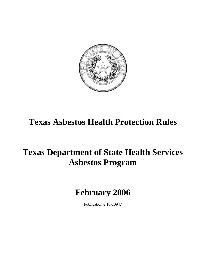

## **Texas Asbestos Health Protection Rules**

# **Texas Department of State Health Services Asbestos Program**

## **February 2006**

Publication # 18-10947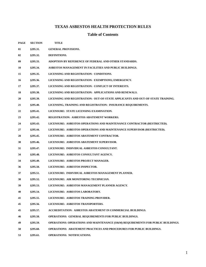### **TEXAS ASBESTOS HEALTH PROTECTION RULES**

### **Table of Contents**

| <b>PAGE</b> | <b>SECTION</b> | <b>TITLE</b>                                                                    |
|-------------|----------------|---------------------------------------------------------------------------------|
| 01          | §295.31.       | <b>GENERAL PROVISIONS.</b>                                                      |
| 02          | §295.32.       | DEFINITIONS.                                                                    |
| 09          | §295.33.       | ADOPTION BY REFERENCE OF FEDERAL AND OTHER STANDARDS.                           |
| 10          | §295.34.       | ASBESTOS MANAGEMENT IN FACILITIES AND PUBLIC BUILDINGS.                         |
| 15          | §295.35.       | LICENSING AND REGISTRATION: CONDITIONS.                                         |
| 16          | §295.36.       | LICENSING AND REGISTRATION: EXEMPTIONS; EMERGENCY.                              |
| 17          | §295.37.       | LICENSING AND REGISTRATION: CONFLICT OF INTERESTS.                              |
| 18          | §295.38.       | LICENSING AND REGISTRATION: APPLICATIONS AND RENEWALS.                          |
| 20          | §295.39.       | LICENSING AND REGISTRATION: OUT-OF-STATE APPLICANTS AND OUT-OF-STATE TRAINING.  |
| 21          | §295.40.       | LICENSING, TRAINING AND REGISTRATION: INSURANCE REQUIREMENTS.                   |
| 22          | §295.41.       | LICENSURE: STATE LICENSING EXAMINATION.                                         |
| 23          | §295.42.       | <b>REGISTRATION: ASBESTOS ABATEMENT WORKERS.</b>                                |
| 24          | §295.43.       | LICENSURE: ASBESTOS OPERATIONS AND MAINTENANCE CONTRACTOR (RESTRICTED).         |
| 27          | §295.44.       | LICENSURE: ASBESTOS OPERATIONS AND MAINTENANCE SUPERVISOR (RESTRICTED).         |
| 28          | §295.45.       | LICENSURE: ASBESTOS ABATEMENT CONTRACTOR.                                       |
| 30          | §295.46.       | LICENSURE: ASBESTOS ABATEMENT SUPERVISOR.                                       |
| 31          | §295.47.       | LICENSURE: INDIVIDUAL ASBESTOS CONSULTANT.                                      |
| 34          | §295.48.       | LICENSURE: ASBESTOS CONSULTANT AGENCY.                                          |
| 34          | §295.49.       | LICENSURE: ASBESTOS PROJECT MANAGER.                                            |
| 36          | §295.50.       | LICENSURE: ASBESTOS INSPECTOR.                                                  |
| 37          | §295.51.       | LICENSURE: INDIVIDUAL ASBESTOS MANAGEMENT PLANNER.                              |
| 38          | §295.52.       | LICENSURE: AIR MONITORING TECHNICIAN.                                           |
| 39          | §295.53.       | LICENSURE: ASBESTOS MANAGEMENT PLANNER AGENCY.                                  |
| 40          | §295.54.       | LICENSURE: ASBESTOS LABORATORY.                                                 |
| 41          | §295.55.       | LICENSURE: ASBESTOS TRAINING PROVIDER.                                          |
| 45          | §295.56.       | LICENSURE: ASBESTOS TRANSPORTERS.                                               |
| 45          | §295.57.       | <b>ACCREDITATION: ASBESTOS ABATEMENT IN COMMERCIAL BUILDINGS.</b>               |
| 46          | §295.58.       | OPERATIONS: GENERAL REQUIREMENTS FOR PUBLIC BUILDINGS.                          |
| 49          | \$295.59.      | OPERATIONS: OPERATIONS AND MAINTENANCE (O&M) REQUIREMENTS FOR PUBLIC BUILDINGS. |
| 50          | §295.60.       | <b>OPERATIONS: ABATEMENT PRACTICES AND PROCEDURES FOR PUBLIC BUILDINGS.</b>     |
|             |                |                                                                                 |

**53 §295.61. OPERATIONS: NOTIFICATIONS.**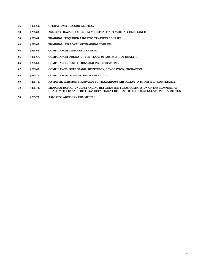- **55 §295.62. OPERATIONS: RECORD KEEPING.**
- **58 §295.63. ASBESTOS HAZARD EMERGENCY RESPONSE ACT (AHERA) COMPLIANCE.**
- **58 §295.64. TRAINING: REQUIRED ASBESTOS TRAINING COURSES.**
- **63 §295.65. TRAINING: APPROVAL OF TRAINING COURSES.**
- **66 §295.66. COMPLIANCE: DEACCREDITATION.**
- **66 §295.67. COMPLIANCE: POLICY OF THE TEXAS DEPARTMENT OF HEALTH.**
- **66 §295.68. COMPLIANCE: INSPECTIONS AND INVESTIGATIONS.**
- **67 §295.69. COMPLIANCE: REPRIMAND, SUSPENSION, REVOCATION, PROBATION.**
- **68 §295.70. COMPLIANCE: ADMINISTRATIVE PENALTY.**
- **69 §295.71. NATIONAL EMISSION STANDARDS FOR HAZARDOUS AIR POLLUTANTS (NESHAP) COMPLIANCE.**
- **70 §295.72. MEMORANDUM OF UNDERSTANDING BETWEEN THE TEXAS COMMISSION ON ENVIRONMENTAL QUALITY (TCEQ) AND THE TEXAS DEPARTMENT OF HEALTH FOR THE REGULATION OF ASBESTOS.**
- **70 §295.73. ASBESTOS ADVISORY COMMITTEE.**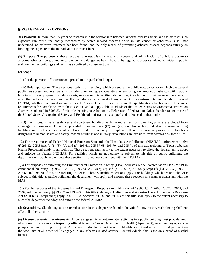#### **§295.31 GENERAL PROVISIONS**

 (a) **Problem**. In more than 25 years of research into the relationship between airborne asbestos fibers and the diseases such exposure can cause, the bodily mechanism by which inhaled asbestos fibers initiate cancer or asbestosis is still not understood, no effective treatment has been found, and the only means of preventing asbestos disease depends entirely on limiting the exposure of the individual to asbestos fibers.

(b) **Purpose**. The purpose of these sections is to establish the means of control and minimization of public exposure to airborne asbestos fibers, a known carcinogen and dangerous health hazard, by regulating asbestos related activities in public and commercial buildings and facilities as defined by these sections.

(c) **Scope**.

(1) For the purposes of licensure and procedures in public buildings:

 (A) Rules application. These sections apply to all buildings which are subject to public occupancy, or to which the general public has access, and to all persons disturbing, removing, encapsulating, or enclosing any amount of asbestos within public buildings for any purpose, including repair, renovation, dismantling, demolition, installation, or maintenance operations, or any other activity that may involve the disturbance or removal of any amount of asbestos-containing building material (ACBM) whether intentional or unintentional. Also included in these rules are the qualifications for licensure of persons, requirements for compliance with these sections and all applicable standards of the United States Environmental Protection Agency as adopted in §295.33 of this title (relating to Adoption by Reference of Federal and Other Standards) and those of the United States Occupational Safety and Health Administration as adopted and referenced in these rules.

 (B) Exclusions. Private residences and apartment buildings with no more than four dwelling units are excluded from coverage by these rules. Except as provided in subsection  $(c)(2)$  and  $(c)(3)$  of this section, industrial or manufacturing facilities, in which access is controlled and limited principally to employees therein because of processes or functions dangerous to human health and safety, federal buildings and military installations are excluded from coverage by these rules.

 (2) For the purposes of Federal National Emission Standards for Hazardous Air Pollutants (NESHAP) enforcement only: §§295.32; 295.34(a), (b)(1)-(3), (c), and (f); 295.61; 295.67-68; 295.70; and 295.71 of this title (relating to Texas Asbestos Health Protection) apply to all facilities. These sections shall apply to the extent necessary to allow the department to adopt and enforce the federal NESHAP. For facilities which are not otherwise subject to this title as public buildings, the department will apply and enforce these sections in a manner consistent with the NESHAP.

 (3) For purposes of enforcing the Environmental Protection Agency (EPA) Asbestos Model Accreditation Plan (MAP) in commercial buildings, §§295.31, 295.32, 295.33, 295.34(c), (e) and (g), 295.57, 295.64 (except (f)-(h)), 295.66, 295.67, 295.68 and 295.70 of this title (relating to Texas Asbestos Health Protection) apply. For buildings which are not otherwise subject to this title as public buildings, the department will apply and enforce these sections in a manner consistent with the MAP.

 (4) For the purposes of the Asbestos Hazard Emergency Response Act (AHERA) of 1986, U.S.C. 2605, 2607(c), 2643, and 2646, enforcement only: §§295.32 and 295.63 of this title (relating to Definitions and Asbestos Hazard Emergency Response Act (AHERA) Compliance) apply to all LEAs. Sections 295.32 and 295.63 of this title shall apply to the extent necessary to allow the department to adopt and enforce the federal AHERA.

(d) **Severability**. Should any section or subsection in this chapter be found to be void for any reason, such finding shall not affect all other sections.

(e) **License possession requirements**. Anyone engaged in asbestos-related activities in a public building must provide proof of a current license to any inspecting official from the Texas Department of Health (department), to an employer, or to a prospective employer upon request. All licensed individuals must have the Identification Card issued by the department on the work site at all times while engaged in any asbestos-related activity. For individuals, this is the only proof of a valid license.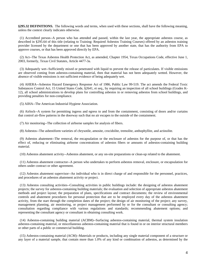**§295.32 DEFINITIONS.** The following words and terms, when used with these sections, shall have the following meaning, unless the context clearly indicates otherwise.

 (1) Accredited person--A person who has attended and passed, within the last year, the appropriate asbestos course, as described in §295.64 of this title (relating to Training: Required Asbestos Training Courses) offered by an asbestos training provider licensed by the department or one that has been approved by another state, that has the authority from EPA to approve courses, or that has been approved directly by EPA.

 (2) Act--The Texas Asbestos Health Protection Act, as amended, Chapter 1954, Texas Occupations Code, effective June 1, 2003, formerly, Texas Civil Statutes, Article 4477-3a.

 (3) Adequately wet--Sufficiently mixed or penetrated with liquid to prevent the release of particulates. If visible emissions are observed coming from asbestos-containing material, then that material has not been adequately wetted. However, the absence of visible emissions is not sufficient evidence of being adequately wet.

 (4) AHERA--Asbestos Hazard Emergency Response Act of 1986, Public Law 99-519. The act amends the Federal Toxic Substances Control Act, 15 United States Code, §2641, et seq., by requiring an inspection of all school buildings (Grades K-12), all school administrations to develop plans for controlling asbestos in or removing asbestos from school buildings, and providing penalties for non-compliance.

(5) AIHA--The American Industrial Hygiene Association.

 (6) Airlock--A system for permitting ingress and egress to and from the containment, consisting of doors and/or curtains that control air-flow patterns in the doorway such that no air escapes to the outside of the containment.

(7) Air monitoring--The collection of airborne samples for analysis of fibers.

(8) Asbestos--The asbestiform varieties of chrysotile, amosite, crocidolite, tremolite, anthophyllite, and actinolite.

 (9) Asbestos abatement--The removal, the encapsulation or the enclosure of asbestos for the purpose of, or that has the effect of, reducing or eliminating airborne concentrations of asbestos fibers or amounts of asbestos-containing building material.

(10) Asbestos abatement activity--Asbestos abatement, or any on-site preparations or clean-up related to the abatement.

 (11) Asbestos abatement contractor--A person who undertakes to perform asbestos removal, enclosure, or encapsulation for others under contract or other agreement.

 (12) Asbestos abatement supervisor--An individual who is in direct charge of and responsible for the personnel, practices, and procedures of an asbestos abatement activity or project.

 (13) Asbestos consulting activities--Consulting activities in public buildings include: the designing of asbestos abatement projects; the survey for asbestos-containing building materials; the evaluation and selection of appropriate asbestos abatement methods and project layout; the preparation of plans, specifications and contract documents; the review of environmental controls and abatement procedures for personal protection that are to be employed every day of the asbestos abatement activity, from the start through the completion dates of the project; the design of air monitoring of the project; any survey, management planning, air monitoring, or project management performed by or for the consultant or consulting agency; consultation regarding compliance with various regulations and standards; recommending abatement options; and representing the consultant agency or consultant in obtaining consulting work.

 (14) Asbestos-containing building material (ACBM)--Surfacing asbestos-containing material, thermal system insulation asbestos-containing material, or miscellaneous asbestos-containing material that is found in or on interior structural members or other parts of a public or commercial building.

 (15) Asbestos-containing material (ACM)--Materials or products, including any single material component of a structure or any layer of a material sample, that contain more than 1.0% of any kind or combination of asbestos, as determined by the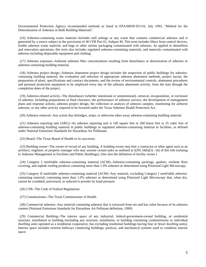Environmental Protection Agency recommended methods as listed in EPA/600/R-93/116, July 1993, "Method for the Determination of Asbestos in Bulk Building Materials".

 (16) Asbestos-containing waste material--Includes mill tailings or any waste that contains commercial asbestos and is generated by a source subject to the provisions of 40 CFR Part 61, Subpart M. This term includes filters from control devices, friable asbestos waste material, and bags or other similar packaging contaminated with asbestos. As applied to demolition and renovation operations, this term also includes regulated asbestos-containing materials, and materials contaminated with asbestos including disposable equipment and clothing.

 (17) Asbestos exposure--Airborne asbestos fiber concentrations resulting from disturbance or deterioration of asbestos or asbestos-containing building material.

 (18) Asbestos project design--Asbestos abatement project design includes the inspection of public buildings for asbestoscontaining building material, the evaluation and selection of appropriate asbestos abatement methods, project layout, the preparation of plans, specifications and contract documents, and the review of environmental controls, abatement procedures and personal protection equipment to be employed every day of the asbestos abatement activity, from the start through the completion dates of the project.

 (19) Asbestos-related activity--The disturbance (whether intentional or unintentional), removal, encapsulation, or enclosure of asbestos, including preparations or final clearance, the performance of asbestos surveys, the development of management plans and response actions, asbestos project design, the collection or analysis of asbestos samples, monitoring for airborne asbestos, or any other activity required to be licensed under the Texas Asbestos Health Protection Act.

(20) Asbestos removal--Any action that dislodges, strips, or otherwise takes away asbestos-containing building material.

 (21) Asbestos reporting unit (ARU)--An asbestos reporting unit is 160 square feet or 260 linear feet or 35 cubic feet of asbestos-containing building material in public buildings or regulated asbestos-containing material in facilities, as defined under National Emissions Standards for Hazardous Air Pollutants.

(22) Board--The Texas Board of Health or its successor.

 (23) Building owner--The owner of record of any building. A building owner may hire a contractor or other agent such as an architect, engineer, or property manager who may assume certain tasks as outlined in  $\S 295.34(b)(5)$  - (6) of this title (relating to Asbestos Management in Facilities and Public Buildings). (See also the definition of facility owner.)

 (24) Category I nonfriable asbestos-containing material (ACM)--Asbestos-containing packings, gaskets, resilient floor covering, and asphalt roofing products containing more than 1.0% asbestos as determined using Polarized Light Microscopy.

 (25) Category II nonfriable asbestos-containing material (ACM)--Any material, excluding Category I nonfriable asbestoscontaining material, containing more than 1.0% asbestos as determined using Polarized Light Microscopy that, when dry, cannot be crumbled, pulverized, or reduced to powder by hand pressure.

(26) CFR--The Code of Federal Regulations.

(27) Commissioner--The Texas Commissioner of Health.

 (28) Commercial asbestos--Any material containing asbestos that is extracted from ore and has value because of its asbestos content (National Emissions Standards for Hazardous Air Pollutant definition, 1990).

 (29) Commercial Building--The interior space of any industrial, federal-government-owned building, or residential structure, installation or building (including any structure, installation, or building containing condominiums or individual dwelling units operated as a residential cooperative, but excluding residential buildings having four or fewer dwelling units). Interior space includes exterior hallways connecting buildings, porticos, and mechanical systems used to condition interior space.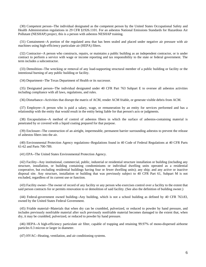(30) Competent person--The individual designated as the competent person by the United States Occupational Safety and Health Administration regulations in 29 CFR §1926.1101. For an asbestos National Emissions Standards for Hazardous Air Pollutant (NESHAP) project, this is a person with asbestos NESHAP training.

 (31) Containment--A portion of the regulated area that has been sealed and placed under negative air pressure with air machines using high-efficiency particulate air (HEPA) filters.

 (32) Contractor--A person who constructs, repairs, or maintains a public building as an independent contractor, or is under contract to perform a service with wage or income reporting and tax responsibility to the state or federal government. The term includes a subcontractor.

 (33) Demolition--The wrecking or removal of any load-supporting structural member of a public building or facility or the intentional burning of any public building or facility.

(34) Department--The Texas Department of Health or its successor.

 (35) Designated person--The individual designated under 40 CFR Part 763 Subpart E to oversee all asbestos activities including compliance with all laws, regulations, and rules.

(36) Disturbance--Activities that disrupt the matrix of ACM, render ACM friable, or generate visible debris from ACM.

 (37) Employee--A person who is paid a salary, wage, or remuneration by an entity for services performed and has a relationship with the entity that would result in the entity being liable for that person's acts or judgments.

 (38) Encapsulation--A method of control of asbestos fibers in which the surface of asbestos-containing material is penetrated by or covered with a liquid coating prepared for that purpose.

 (39) Enclosure--The construction of an airtight, impermeable, permanent barrier surrounding asbestos to prevent the release of asbestos fibers into the air.

 (40) Environmental Protection Agency regulations--Regulations found in 40 Code of Federal Regulations at 40 CFR Parts 61-62 and Parts 700-789.

(41) EPA--The United States Environmental Protection Agency.

 (42) Facility--Any institutional, commercial, public, industrial or residential structure installation or building (including any structure, installation, or building containing condominiums or individual dwelling units operated as a residential cooperative, but excluding residential buildings having four or fewer dwelling units); any ship; and any active or inactive disposal site. Any structure, installation or building that was previously subject to 40 CFR Part 61, Subpart M is not excluded, regardless of its current use or function.

 (43) Facility owner--The owner of record of any facility or any person who exercises control over a facility to the extent that said person contracts for or permits renovation to or demolition of said facility. (See also the definition of building owner.)

 (44) Federal-government owned building--Any building, which is not a school building as defined by 40 CFR 763.83, owned by the United States Federal Government.

 (45) Friable material--Materials that when dry can be crumbled, pulverized, or reduced to powder by hand pressure, and includes previously nonfriable material after such previously nonfriable material becomes damaged to the extent that, when dry, it may be crumbled, pulverized, or reduced to powder by hand pressure.

 (46) HEPA--A high-efficiency particulate air filter, capable of trapping and retaining 99.97% of mono-dispersed airborne particles 0.3 micron or larger in diameter.

(47) HVAC--Heating, ventilation, and air conditioning systems.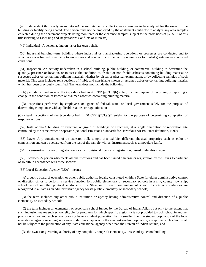(48) Independent third-party air monitor--A person retained to collect area air samples to be analyzed for the owner of the building or facility being abated. The person must not be employed by the abatement contractor to analyze any area samples collected during the abatement projects being monitored or the clearance samples subject to the provisions of §295.37 of this title (relating to Licensing and Registration: Conflicts of Interests).

(49) Individual--A person acting on his or her own behalf.

 (50) Industrial building--Any building where industrial or manufacturing operations or processes are conducted and to which access is limited principally to employees and contractors of the facility operator or to invited guests under controlled conditions.

 (51) Inspection--An activity undertaken in a school building, public building, or commercial building to determine the quantity, presence or location, or to assess the condition of, friable or non-friable asbestos-containing building material or suspected asbestos-containing building material, whether by visual or physical examination, or by collecting samples of such material. This term includes reinspections of friable and non-friable known or assumed asbestos-containing building material which has been previously identified. The term does not include the following:

 (A) periodic surveillance of the type described in 40 CFR §763.92(b) solely for the purpose of recording or reporting a change in the condition of known or assumed asbestos-containing building material;

 (B) inspections performed by employees or agents of federal, state, or local government solely for the purpose of determining compliance with applicable statutes or regulations; or

(C) visual inspections of the type described in 40 CFR §763.90(i) solely for the purpose of determining completion of response actions.

 (52) Installation--A building or structure, or group of buildings or structures, at a single demolition or renovation site controlled by the same owner or operator (National Emissions Standards for Hazardous Air Pollutant definition, 1990).

 (53) Layer--Any constituent of an asbestos bulk sample that exhibits different physical properties such as color or composition and can be separated from the rest of the sample with an instrument such as a modeler's knife.

(54) License--Any license or registration, or any provisional license or registration, issued under this chapter.

 (55) Licensee--A person who meets all qualifications and has been issued a license or registration by the Texas Department of Health in accordance with these sections.

(56) Local Education Agency (LEA)--means:

 (A) a public board of education or other public authority legally constituted within a State for either administrative control or direction of, or to perform a service function for, public elementary or secondary schools in a city, county, township, school district, or other political subdivision of a State, or for such combination of school districts or counties as are recognized in a State as an administrative agency for its public elementary or secondary schools;

 (B) the term includes any other public institution or agency having administrative control and direction of a public elementary or secondary school;

 (C) the term includes an elementary or secondary school funded by the Bureau of Indian Affairs but only to the extent that such inclusion makes such school eligible for programs for which specific eligibility is not provided to such school in another provision of law and such school does not have a student population that is smaller than the student population of the local educational agency receiving assistance under this chapter with the smallest student population, except that such school shall not be subject to the jurisdiction of any State educational agency other than the Bureau of Indian Affairs; and

(D) the owner or governing authority of any nonpublic, nonprofit elementary, or secondary school building.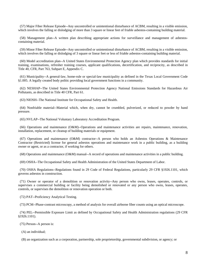(57) Major Fiber Release Episode--Any uncontrolled or unintentional disturbance of ACBM, resulting in a visible emission, which involves the falling or dislodging of more than 3 square or linear feet of friable asbestos-containing building material.

 (58) Management plan--A written plan describing appropriate actions for surveillance and management of asbestoscontaining material.

 (59) Minor Fiber Release Episode--Any uncontrolled or unintentional disturbance of ACBM, resulting in a visible emission, which involves the falling or dislodging of 3 square or linear feet or less of friable asbestos-containing building material.

 (60) Model accreditation plan--A United States Environmental Protection Agency plan which provides standards for initial training, examinations, refresher training courses, applicant qualifications, decertification, and reciprocity, as described in Title 40, CFR, Part 763, Subpart E, Appendix C.

 (61) Municipality--A general-law, home-rule or special-law municipality as defined in the Texas Local Government Code §1.005. A legally created body politic providing local government functions in a community.

 (62) NESHAP--The United States Environmental Protection Agency National Emissions Standards for Hazardous Air Pollutants, as described in Title 40 CFR, Part 61.

(63) NIOSH--The National Institute for Occupational Safety and Health.

 (64) Nonfriable material--Material which, when dry, cannot be crumbled, pulverized, or reduced to powder by hand pressure.

(65) NVLAP--The National Voluntary Laboratory Accreditation Program.

 (66) Operations and maintenance (O&M)--Operations and maintenance activities are repairs, maintenance, renovation, installation, replacement, or cleanup of building materials or equipment.

 (67) Operations and maintenance (O&M) contractor--A person who holds an Asbestos Operations & Maintenance Contractor (Restricted) license for general asbestos operations and maintenance work in a public building, as a building owner or agent, or as a contractor, if working for others.

(68) Operations and maintenance (O&M) manual--A record of operations and maintenance activities in a public building.

(69) OSHA--The Occupational Safety and Health Administration of the United States Department of Labor.

 (70) OSHA Regulations--Regulations found in 29 Code of Federal Regulations, particularly 29 CFR §1926.1101, which governs asbestos in construction.

 (71) Owner or operator of a demolition or renovation activity--Any person who owns, leases, operates, controls, or supervises a commercial building or facility being demolished or renovated or any person who owns, leases, operates, controls, or supervises the demolition or renovation operation or both.

(72) PAT--Proficiency Analytical Testing.

(73) PCM--Phase-contrast microscopy, a method of analysis for overall airborne fiber counts using an optical microscope.

 (74) PEL--Permissible Exposure Limit as defined by Occupational Safety and Health Administration regulations (29 CFR §1926.1101).

(75) Person--A person is:

(A) an individual;

(B) an organization such as a corporation, partnership, sole proprietorship, governmental subdivision, or agency; or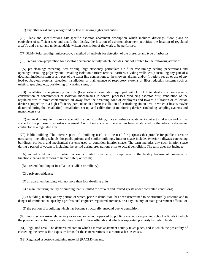(C) any other legal entity recognized by law as having rights and duties.

 (76) Plans and specifications--Site-specific asbestos abatement description which includes drawings, floor plans or equivalent of sufficient size and detail, that display the location of asbestos abatement activities, the location of regulated area(s), and a clear and understandable written description of the work to be performed.

(77) PLM--Polarized-light microscopy, a method of analysis for detection of the presence and type of asbestos.

(78) Preparation--preparation for asbestos abatement activity which includes, but not limited to, the following activities:

 (A) pre-cleaning; sweeping; wet wiping; high-efficiency particulate air filter vacuuming; sealing penetrations and openings; installing polyethylene; installing isolation barriers (critical barriers, dividing walls, etc.); installing any part of a decontamination system or any part of the water line connections to the showers, drains, and/or filtration; set-up or use of any load-out/bag-out systems, selection, installation, or maintenance of respiratory systems or fiber reduction systems such as misting, spraying, etc., positioning of warning signs; or

 (B) installation of engineering controls (local exhaust ventilation equipped with HEPA filter dust collection systems, construction of containments or isolation mechanisms to control processes producing asbestos dust, ventilation of the regulated area to move contaminated air away from the breathing zone of employees and toward a filtration or collection device equipped with a high-efficiency particulate air filter); installation of scaffolding (in an area in which asbestos maybe disturbed during the installation); installation, set-up, and calibration of monitoring devices (including sampling systems and manometers); or

 (C) removal of any item from a space within a public building, once an asbestos abatement contractor takes control of that space for the purpose of asbestos abatement. Control occurs when the area has been established by the asbestos abatement contractor as a regulated area.

 (79) Public building--The interior space of a building used or to be used for purposes that provide for public access or occupancy, including schools, hospitals, prisons and similar buildings. Interior space includes exterior hallways connecting buildings, porticos, and mechanical systems used to condition interior space. The term includes any such interior space during a period of vacancy, including the period during preparations prior to actual demolition. The term does not include:

 (A) an industrial facility to which access is limited principally to employees of the facility because of processes or functions that are hazardous to human safety or health;

(B) a federal building or installation (civilian or military);

(C) a private residence;

(D) an apartment building with no more than four dwelling units;

(E) a manufacturing facility or building that is limited to workers and invited guests under controlled conditions;

 (F) a building, facility, or any portion of which, prior to demolition, has been determined to be structurally unsound and in danger of imminent collapse by a professional engineer, registered architect, or a city, county, or state government official; or

(G) the portion of a building which has become structurally unsound due to demolition.

 (80) Public school--Any elementary or secondary school operated by publicly elected or appointed school officials in which the program and activities are under the control of these officials and which is supported primarily by public funds.

 (81) Regulated area--The demarcated area in which asbestos abatement activity takes place, and in which the possibility of exceeding the permissible exposure limits for the concentrations of airborne asbestos exists.

(82) Regulated asbestos-containing material (RACM)--means: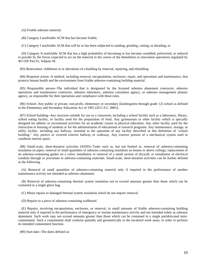(A) Friable asbestos material;

(B) Category I nonfriable ACM that has become friable;

(C) Category I nonfriable ACM that will be or has been subjected to sanding, grinding, cutting, or abrading; or

 (D) Category II nonfriable ACM that has a high probability of becoming or has become crumbled, pulverized, or reduced to powder by the forces expected to act on the material in the course of the demolition or renovation operations regulated by 40 CFR Part 61, Subpart M.

(83) Renovation--Additions to or alterations of a building by removal, repairing, and rebuilding.

 (84) Response action--A method, including removal, encapsulation, enclosure, repair, and operations and maintenance, that protects human health and the environment from friable asbestos-containing building material.

 (85) Responsible person--The individual that is designated by the licensed asbestos abatement contractor, asbestos operations and maintenance contractor, asbestos laboratory, asbestos consultant agency, or asbestos management planner agency, as responsible for their operations and compliance with these rules.

 (86) School--Any public or private, non-profit, elementary or secondary (kindergarten through grade 12) school as defined in the Elementary and Secondary Education Act of 1965 (20 U.S.C. 8801).

 (87) School building--Any structure suitable for use as a classroom, including a school facility such as a laboratory, library, school eating facility, or facility used for the preparation of food. Any gymnasium or other facility which is specially designed for athletic or recreational activities for an academic course in physical education. Any other facility used for the instruction or housing of students or for the administration of educational or research programs. Any maintenance, storage, or utility facility, including any hallway, essential to the operation of any facility described in this definition of "school building." Any portico or covered exterior hallway or walkway. Any exterior portion of a mechanical system used to condition interior space.

 (88) Small-scale, short-duration activities (SSSD)--Tasks such as, but not limited to, removal of asbestos-containing insulation on pipes; removal of small quantities of asbestos-containing insulation on beams or above ceilings; replacement of an asbestos-containing gasket on a valve; installation or removal of a small section of drywall; or installation of electrical conduits through or proximate to asbestos-containing materials. Small-scale, short-duration activities can be further defined as the following.

 (A) Removal of small quantities of asbestos-containing material only if required in the performance of another maintenance activity not intended as asbestos abatement.

 (B) Removal of asbestos-containing thermal system insulation not to exceed amounts greater than those which can be contained in a single glove bag.

(C) Minor repairs to damaged thermal system insulation which do not require removal.

(D) Repairs to a piece of asbestos-containing wallboard.

 (E) Repairs, involving encapsulation, enclosure, or removal, to small amounts of friable asbestos-containing building material only if required in the performance of emergency or routine maintenance activity and not intended solely as asbestos abatement. Such work may not exceed amounts greater than those which can be contained in a single prefabricated minicontainment. Such a containment shall conform spatially and geometrically to the localized work areas, in order to perform its intended containment function.

(89) Start date--The dates defined as: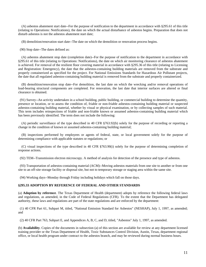(A) asbestos abatement start date--For the purpose of notification to the department in accordance with §295.61 of this title (relating to Operations: Notifications), the date on which the actual disturbance of asbestos begins. Preparation that does not disturb asbestos is not the asbestos abatement start date;

(B) demolition/renovation start date--The date on which the demolition or renovation process begins.

(90) Stop date--The dates defined as:

 (A) asbestos abatement stop date (completion date)--For the purpose of notification to the department in accordance with §295.61 of this title (relating to Operations: Notifications), the date on which air monitoring clearance of asbestos abatement is achieved. For removal of the resilient floor covering material in accordance with §295.36 of this title (relating to Licensing and Registration: Emergency), the date that the asbestos-containing building materials are removed from the substrate and properly containerized as specified for the project. For National Emissions Standards for Hazardous Air Pollutant projects, the date that all regulated asbestos-containing building material is removed from the substrate and properly containerized.

 (B) demolition/renovation stop date--For demolition, the last date on which the wrecking and/or removal operations of load-bearing structural components are completed. For renovation, the last date that interior surfaces are altered or final clearance is obtained.

 (91) Survey--An activity undertaken in a school building, public building, or commercial building to determine the quantity, presence or location, or to assess the condition of, friable or non-friable asbestos-containing building material or suspected asbestos-containing building material, whether by visual or physical examination, or by collecting samples of such material. This term includes reinspections of friable and non-friable known or assumed asbestos-containing building material which has been previously identified. The term does not include the following:

 (A) periodic surveillance of the type described in 40 CFR §763.92(b) solely for the purpose of recording or reporting a change in the condition of known or assumed asbestos-containing building material;

 (B) inspections performed by employees or agents of federal, state, or local government solely for the purpose of determining compliance with applicable statutes or regulations; or

 (C) visual inspections of the type described in 40 CFR §763.90(i) solely for the purpose of determining completion of response actions.

(92) TEM--Transmission electron microscopy. A method of analysis for detection of the presence and type of asbestos.

 (93) Transportation of asbestos-containing material (ACM)--Moving asbestos materials from one site to another or from one site to an off-site storage facility or disposal site, but not to temporary storage or staging area within the same site.

(94) Working days--Monday through Friday including holidays which fall on those days.

#### **§295.33 ADOPTION BY REFERENCE OF FEDERAL AND OTHER STANDARDS**

(a) **Adoption by reference**. The Texas Department of Health (department) adopts by reference the following federal laws and regulations, as amended, in the Code of Federal Regulations (CFR). To the extent that the Department has delegated authority, these laws and regulations are part of the state regulations and are enforced by the department:

 (1) 40 CFR Part 61, Subpart M, titled, "National Emission Standard for Asbestos" (NESHAP), July 1, 1997, as amended; and

(2) 40 CFR Part 763, Subpart E, and Appendices A, B, C, and D, titled, "Asbestos" July 1, 1997, as amended.

(b) **Availability**. Copies of the documents in subsection (a) of this section are available for review at any department licensed training provider or the Texas Department of Health, Toxic Substances Control Division, Austin, Texas, department regional office, or local health program under contract to the asbestos branch, and may be reviewed during normal business hours.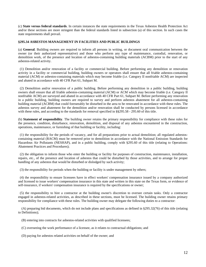(c) **State versus federal standards**. In certain instances the state requirements in the Texas Asbestos Health Protection Act and/or these sections are more stringent than the federal standards listed in subsection (a) of this section. In such cases the state requirements shall prevail.

#### **§295.34 ASBESTOS MANAGEMENT IN FACILITIES AND PUBLIC BUILDINGS**

(a) **General**. Building owners are required to inform all persons in writing, or document oral communication between the owner (or their authorized representative) and those who perform any type of maintenance, custodial, renovation, or demolition work, of the presence and location of asbestos-containing building materials (ACBM) prior to the start of any asbestos-related activity.

 (1) Demolition and/or renovation of a facility or commercial building. Before performing any demolition or renovation activity in a facility or commercial building, building owners or operators shall ensure that all friable asbestos-containing material (ACM) or asbestos-containing materials which may become friable (i.e. Category II nonfriable ACM) are inspected and abated in accordance with 40 CFR Part 61, Subpart M.

 (2) Demolition and/or renovation of a public building. Before performing any demolition in a public building, building owners shall ensure that all friable asbestos-containing material (ACM) or ACM which may become friable (i.e. Category II nonfriable ACM) are surveyed and abated in accordance with 40 CFR Part 61, Subpart M. Before performing any renovation in a public building, building owners are required to survey and perform asbestos abatement for all asbestos-containing building material (ACBM) that could foreseeably be disturbed in the area to be renovated in accordance with these rules. The asbestos survey and abatement for the demolition and/or renovation shall be conducted by persons licensed in accordance with these rules, and according to the standards for removal specified in §§295.58 - 295.60 of this title.

(b) **Statement of responsibility**. The building owner retains the primary responsibility for compliance with these rules for the presence, condition, disturbance, renovation, demolition, and disposal of any asbestos encountered in the construction, operations, maintenance, or furnishing of that building or facility, including:

 (1) the responsibility for the periods of vacancy, and for all preparations prior to actual demolition; all regulated asbestoscontaining material (RACM) must be removed prior to demolition in accordance with the National Emission Standards for Hazardous Air Pollutants (NESHAP), and in a public building, comply with §295.60 of this title (relating to Operations: Abatement Practices and Procedures);

 (2) the obligation to inform those who enter the building or facility for purposes of construction, maintenance, installation, repairs, etc., of the presence and location of asbestos that could be disturbed by those activities, and to arrange for proper handling of any asbestos that would be disturbed or dislodged by such activity;

(3) the responsibility for periods when the building or facility is under management by others;

 (4) the responsibility to ensure licensees have in effect workers' compensation insurance issued by a company authorized and licensed to issue workers' compensation insurance in this state and written in this state on the Texas form, or evidence of self-insurance, if workers' compensation insurance is required by the specifications or owner;

 (5) the responsibility to hire a contractor at the building owner's discretion to oversee certain tasks. Only a contractor engaged in asbestos-related activities, as described in these sections, must be licensed. The building owner retains primary responsibility for compliance with these rules. The building owner may delegate the following duties to a contractor:

 (A) preparing bid documents, which do not include plans and specifications as defined in §295.32(76) of this title (relating to Definitions);

- (B) entering into contracts for asbestos-related activities with qualified licensees;
- (C) overseeing the work performance of a licensee, as it relates to contractual obligations; and
- (D) paying for asbestos related activities on behalf of the owner; and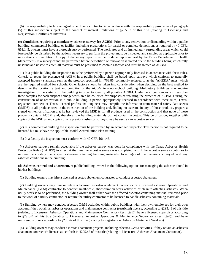(6) the responsibility to hire an agent other than a contractor in accordance with the responsibility provisions of paragraph (5) of this subsection subject to the conflict of interest limitations of §295.37 of this title (relating to Licensing and Registration: Conflicts of Interests).

(c) **Conditions requiring a mandatory asbestos survey for ACBM**. Prior to any renovation or dismantling within a public building, commercial building, or facility, including preparations for partial or complete demolition, as required by 40 CFR, §61.145, owners must have a thorough survey performed. The work area and all immediately surrounding areas which could foreseeably be disturbed by the actions necessary to perform the project must be inspected and sampled as applicable prior to renovations or demolition. A copy of the survey report must be produced upon request by the Texas Department of Health (department). If a survey cannot be performed before demolition or renovation is started due to the building being structurally unsound and unsafe to enter, all material must be presumed to contain asbestos and must be treated as ACBM.

 (1) In a public building the inspection must be performed by a person appropriately licensed in accordance with these rules. Criteria to rebut the presence of ACBM in a public building shall be based upon surveys which conform to generally accepted industry standards such as the protocol specified in §763.85, commonly referred to as the "AHERA" rules, which are the required method for schools. Other factors should be taken into consideration when deciding on the best method to determine the location, extent and condition of the ACBM in a non-school building. Multi-story buildings may require investigation of the systems in the building in order to identify all possible ACBM. Under no circumstances will less than three samples for each suspect homogeneous area be collected for purposes of rebutting the presence of ACBM. During the construction of or renovation in a public building, a person appropriately licensed in accordance with these rules, Texasregistered architect or Texas-licensed professional engineer may compile the information from material safety data sheets (MSDS) of all products used in the construction of the building and, finding no asbestos in any of those products, prepare a signed written certification that he has reviewed the MSDSs for all products used in the construction and that none of those products contain ACBM and; therefore, the building materials do not contain asbestos. This certification, together with copies of the MSDSs and copies of any previous asbestos surveys, may be used as an asbestos survey.

 (2) In a commercial building the inspection must be performed by an accredited inspector. This person is not required to be licensed but must have the applicable Model Accreditation Plan training.

(3) In a facility the inspection must conform with 40 CFR §61.145.

 (4) Asbestos surveys remain acceptable if the asbestos survey was done in compliance with the Texas Asbestos Health Protection Rules (TAHPR) in effect at the time the asbestos survey was completed, and if the asbestos survey continues to represent accurately the suspect asbestos-containing building materials, location(s) of the materials surveyed, and any asbestos conditions in the building.

(d) **Asbestos control and abatement**. A public building owner has the following options for managing the asbestos found in his/her buildings.

(1) Building owners may hire a licensed asbestos abatement contractor to conduct asbestos abatement.

 (2) Building owners may hire or retain a licensed asbestos abatement contractor or a licensed asbestos Operations and Maintenance (O&M) contractor to conduct small-scale, short-duration work activities or cleanup affecting asbestos. When utility work is to be performed, the building owner shall either have the affected asbestos-containing material removed prior to the work of a utility contractor, or require the utility contractor to be licensed to handle asbestos-containing materials.

 (3) Building owners may conduct asbestos O&M activities within public buildings with their own employees for their own account if they obtain an asbestos operations and maintenance contractor (restricted) license, according to §295.43 of this title (relating to Licensure: Asbestos Operations and Maintenance Contractor (Restricted)), have a licensed supervisor according to §295.44 of this title (relating to Licensure: Asbestos Operations & Maintenance Supervisor (Restricted)), and have registered workers according to §295.42 of this title (relating to Registration: Asbestos Abatement Workers).

 (4) Building owners may conduct asbestos abatement projects, including asbestos O&M activities, if they obtain an asbestos abatement contractor's license, as set forth in §295.45 of this title (relating to Licensure: Asbestos Abatement Contractor).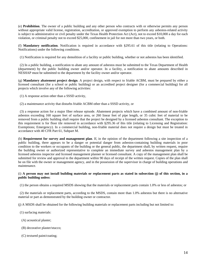(e) **Prohibition**. The owner of a public building and any other person who contracts with or otherwise permits any person without appropriate valid license, registration, accreditation, or approved exemption to perform any asbestos-related activity is subject to administrative or civil penalty under the Texas Health Protection Act (Act), not to exceed \$10,000 a day for each violation, or criminal penalty not to exceed \$25,000, confinement in jail for not more than two years, or both.

(f) **Mandatory notification**. Notification is required in accordance with §295.61 of this title (relating to Operations: Notifications) under the following conditions.

(1) Notification is required for any demolition of a facility or public building, whether or not asbestos has been identified.

 (2) In a public building, a notification to abate any amount of asbestos must be submitted to the Texas Department of Health (department) by the public building owner and/or operator. In a facility, a notification to abate amounts described in NESHAP must be submitted to the department by the facility owner and/or operator.

(g) **Mandatory abatement project design**. A project design, with respect to friable ACBM, must be prepared by either a licensed consultant (for a school or public building) or an accredited project designer (for a commercial building) for all projects which involve any of the following activities:

(1) A response action other than a SSSD activity,

(2) a maintenance activity that disturbs friable ACBM other than a SSSD activity, or

 (3) a response action for a major fiber release episode. Abatement projects which have a combined amount of non-friable asbestos exceeding 160 square feet of surface area, or 260 linear feet of pipe length, or 35 cubic feet of material to be removed from a public building shall require that the project be designed by a licensed asbestos consultant. The exception to this requirement is for floor tile removed in accordance with §295.36 of this title (relating to Licensing and Registration: Exemptions; Emergency). In a commercial building, non-friable material does not require a design but must be treated in accordance with 40 CFR Part 61, Subpart M.

(h) **Requirement for survey and management plan**. If, in the opinion of the department following a site inspection of a public building, there appears to be a danger or potential danger from asbestos-containing building materials in poor condition to the workers or occupants of the building or the general public, the department shall, by written request, require the building owner or authorized representative to complete an immediate survey and asbestos management plan by a licensed asbestos inspector and licensed management planner or licensed consultant. A copy of the management plan shall be submitted for review and approval to the department within 90 days of receipt of the written request. Copies of the plan shall be on file with the owner or management agency, and in the possession of the supervisor in charge of building operations and maintenance.

#### (i) **A person may not install building materials or replacement parts as stated in subsection (j) of this section, in a public building unless**:

(1) the person obtains a required MSDS showing that the materials or replacement parts contain 1.0% or less of asbestos; or

 (2) the materials or replacement parts, according to the MSDS, contain more than 1.0% asbestos but there is no alternative material or part as demonstrated by the building owner or contractor.

(j) A MSDS shall be obtained for the following building materials or replacement parts including but not limited to:

- (1) surfacing materials:
- (A) acoustical plaster;
- (B) decorative plaster/stucco;
- (C) textured paint/coating;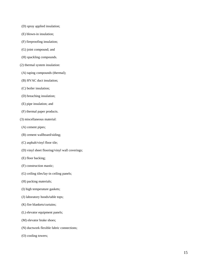- (D) spray applied insulation;
- (E) blown-in insulation;
- (F) fireproofing insulation;
- (G) joint compound; and
- (H) spackling compounds.
- (2) thermal system insulation:
- (A) taping compounds (thermal);
- (B) HVAC duct insulation;
- (C) boiler insulation;
- (D) breaching insulation;
- (E) pipe insulation; and
- (F) thermal paper products.
- (3) miscellaneous material:
- (A) cement pipes;
- (B) cement wallboard/siding;
- (C) asphalt/vinyl floor tile;
- (D) vinyl sheet flooring/vinyl wall coverings;
- (E) floor backing;
- (F) construction mastic;
- (G) ceiling tiles/lay-in ceiling panels;
- (H) packing materials;
- (I) high temperature gaskets;
- (J) laboratory hoods/table tops;
- (K) fire blankets/curtains;
- (L) elevator equipment panels;
- (M) elevator brake shoes;
- (N) ductwork flexible fabric connections;
- (O) cooling towers;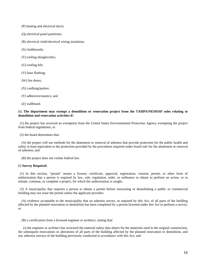- (P) heating and electrical ducts;
- (Q) electrical panel partitions;
- (R) electrical cloth/electrical wiring insulation;
- (S) chalkboards;
- (T) roofing shingles/tiles;
- (U) roofing felt;
- (V) base flashing;
- (W) fire doors;
- (X) caulking/putties;
- (Y) adhesives/mastics; and

(Z) wallboard.

#### (k) **The department may exempt a demolition or renovation project from the TAHPA/NESHAP rules relating to demolition and renovation activities if:**

 (1) the project has received an exemption from the United States Environmental Protection Agency exempting the project from federal regulations; or

(2) the board determines that:

 (A) the project will use methods for the abatement or removal of asbestos that provide protection for the public health and safety at least equivalent to the protection provided by the procedures required under board rule for the abatement or removal of asbestos; and

(B) the project does not violate federal law.

#### (l) **Survey Required**.

 (1) In this section, "permit" means a license, certificate, approval, registration, consent, permit, or other form of authorization that a person is required by law, rule, regulation, order, or ordinance to obtain to perform an action, or to initiate, continue, or complete a project, for which the authorization is sought.

 (2) A municipality that requires a person to obtain a permit before renovating or demolishing a public or commercial building may not issue the permit unless the applicant provides:

 (A) evidence acceptable to the municipality that an asbestos survey, as required by this Act, of all parts of the building affected by the planned renovation or demolition has been completed by a person licensed under this Act to perform a survey; or

(B) a certification from a licensed engineer or architect, stating that:

 (i) the engineer or architect has reviewed the material safety data sheets for the materials used in the original construction, the subsequent renovations or alterations of all parts of the building affected by the planned renovation or demolition, and any asbestos surveys of the building previously conducted in accordance with this Act; and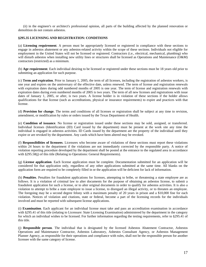(ii) in the engineer's or architect's professional opinion, all parts of the building affected by the planned renovation or demolition do not contain asbestos.

#### **§295.35 LICENSING AND REGISTRATION: CONDITIONS**

(a) **Licensing requirement**. A person must be appropriately licensed or registered in compliance with these sections to engage in asbestos abatement or any asbestos-related activity within the scope of these sections. Individuals not eligible for employment in the United States will not be licensed or registered. Contractors (i.e., electrical, mechanical, plumbing) who will disturb asbestos when installing new utility lines or structures shall be licensed as Operations and Maintenance (O&M) contractors (restricted) as a minimum.

(b) **Age requirement**. Each individual desiring to be licensed or registered under these sections must be 18 years old prior to submitting an application for such purpose.

(c) **Term and expiration**. Prior to January 1, 2005, the term of all licenses, including the registration of asbestos workers, is one year and expires on the anniversary of the effective date, unless renewed. The term of license and registration renewals with expiration dates during odd numbered months of 2005 is one year. The term of license and registration renewals with expiration dates during even numbered months of 2005 is two years. The term of all new licenses and registrations with issue dates of January 1, 2005, or after, is two years. A license holder is in violation of these sections if the holder allows qualifications for that license (such as accreditations, physical or insurance requirements) to expire and practices with that license.

(d) **Provision for change**. The terms and conditions of all licenses or registration shall be subject at any time to revision, amendment, or modification by rules or orders issued by the Texas Department of Health.

(e) **Condition of issuance**. No license or registration issued under these sections may be sold, assigned, or transferred. Individual licenses (Identification (ID) Card issued by the department) must be present at the work site any time the individual is engaged in asbestos activities. ID Cards issued by the department are the property of the individual until they expire or are revoked by the department. Any cards which have been altered may be revoked.

(f) **Responsibilities of licensees**. Licensees who become aware of violations of these sections must report these violations within 24 hours to the department if the violations are not immediately corrected by the responsible party. A notice of violation reporting procedure developed by the department shall be posted at the entrance to the regulated area in accordance with §295.58(j) of this title (Relating to Operations: General Requirements).

(g) **License application**. Each license application must be complete. Documentation submitted for an application will be considered for that application only, regardless of any other applications submitted at the same time. All blanks on the application form are required to be completely filled in or the application will be deficient for lack of information.

(h) **Penalties**. Penalties for fraudulent applications for licenses, attempting to bribe, or threatening a state employee are as follows. It is a violation of criminal law to alter documents for the purpose of obtaining an asbestos license, to submit a fraudulent application for such a license, or to alter original documents in order to qualify for asbestos activities. It is also a violation to attempt to bribe a state employee to issue a license, to disregard an illegal activity, or to threaten an employee. The foregoing may be a second degree felony with a maximum penalty of 20 years in prison and a \$10,000 fine for each violation. Notices of violation and citations, state or federal, become a part of the licensing records for the individuals involved and must be reported with subsequent license applications.

(i) **Examination**. Each applicant for an individual license must take and pass an accreditation examination in accordance with §295.41 of this title (relating to Licensure: State Licensing Examination) administered by the department in the category for which an individual wishes to be licensed. For further information regarding the testing requirements, refer to §295.41 of this title.

(j) **Responsible person**. The individual that is designated by the licensed Asbestos Abatement Contractor, Asbestos Operations and Maintenance Contractor, Asbestos Laboratory, Asbestos Consultant Agency, or Asbestos Management Planner Agency, as responsible for their operations and compliance with rules, shall not be the responsible person for another licensee with the same category of license.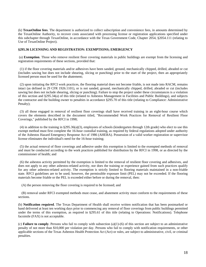(k) **TexasOnline fees**. The department is authorized to collect subscription and convenience fees, in amounts determined by the TexasOnline Authority, to recover costs associated with processing license or registration applications specified under this subchapter through TexasOnline, in accordance with the Texas Government Code, Chapter 2054, §2054.111 (relating to Use of TexasOnline Project).

#### **§295.36 LICENSING AND REGISTRATION: EXEMPTIONS; EMERGENCY**

 (a) **Exemption**. Those who remove resilient floor covering materials in public buildings are exempt from the licensing and registration requirements of these sections, provided that:

 (1) if the floor covering materials and/or adhesives have been sanded, ground, mechanically chipped, drilled, abraded or cut (includes sawing but does not include shearing, slicing or punching) prior to the start of the project, then an appropriately licensed person must be used for the abatement;

 (2) upon initiating the RFCI work practices, the flooring material does not become friable, is not made into RACM, remains intact (as defined in 29 CFR 1926.1101), or is not sanded, ground, mechanically chipped, drilled, abraded or cut (includes sawing but does not include shearing, slicing or punching). Failure to stop the project under these circumstances is a violation of this section and §295.34(a) of this title (related to Asbestos Management in Facilities and Public Buildings), and subjects the contractor and the building owner to penalties in accordance §295.70 of this title (relating to Compliance: Administrative Penalty);

 (3) all those engaged in removal of resilient floor coverings shall have received training in an eight-hour course which covers the elements described in the document titled, "Recommended Work Practices for Removal of Resilient Floor Coverings," published by the RFCI in 1998;

 (4) in addition to the training in §295.36(a)(3), employees of schools (kindergarten through 12th grade) who elect to use this exempt method must first complete the 16-hour custodial training, as required by federal regulations adopted under authority of the Asbestos Hazard Emergency Response Act of 1986 (AHERA). Possession of a valid worker registration or supervisor license eliminates the individual's need for the 16-hour training;

 (5) the actual removal of floor coverings and adhesive under this exemption is limited to the exempted methods of removal and must be conducted according to the work practices published for distribution by the RFCI in 1998, or as directed by the commissioner of health; and

 (6) the asbestos activity permitted by the exemption is limited to the removal of resilient floor covering and adhesives, and does not apply to any other asbestos-related activity, nor does the training or experience gained from such practices qualify for any other asbestos-related activity. The exemption is strictly limited to flooring materials maintained in a non-friable state. RFCI guidelines are to be used; however, the permissible exposure limit (PEL) may not be exceeded. If the flooring materials become friable or the PEL is exceeded either before or during the removal, then:

(A) the person removing the floor covering is required to be licensed; and

 (B) removal under RFCI exempted methods must cease, and abatement activity must conform to the requirements of these sections.

(b) **Notification required**. The Texas Department of Health shall receive written notification that has been postmarked or hand delivered at least ten working days prior to commencing any removal of floor coverings from public buildings permitted under the terms of this exemption, as required in §295.61 of this title (relating to Operations: Notifications). Telephone facsimile (FAX) is not acceptable.

(c) **Failure to comply**. Persons who fail to comply with subsection (a)(1)-(6) of this section are subject to an administrative penalty of not more than \$10,000 per violation per day. Persons who fail to comply with notification requirements, or other applicable sections of the Texas Asbestos Health Protection Act (Act) or rules, are subject to administrative, civil, or criminal penalties.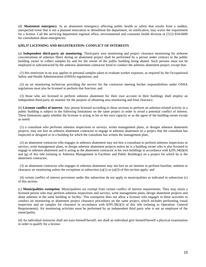(d) **Abatement emergency**. In an abatement emergency affecting public health or safety that results from a sudden, unexpected event that is not a planned renovation or demolition the department, on notification, may waive the requirement for a license. Call the servicing department regional office, environmental and consumer health division or (512) 834-6600 for consultation about emergencies.

#### **§295.37 LICENSING AND REGISTRATION: CONFLICT OF INTERESTS**

(a) **Independent third-party air monitoring**. Third-party area monitoring and project clearance monitoring for airborne concentrations of asbestos fibers during an abatement project shall be performed by a person under contract to the public building owner to collect samples by and for the owner of the public building being abated. Such persons must not be employed or subcontracted by the asbestos abatement contractor hired to conduct the asbestos abatement project, except that:

 (1) this restriction in no way applies to personal samples taken to evaluate worker exposure, as required by the Occupational Safety and Health Administration (OSHA) regulations; and

 (2) an air monitoring technician providing the service for the contractor meeting his/her responsibilities under OSHA regulations must also be licensed to perform that function; and

 (3) those who are licensed to perform asbestos abatement for their own account in their buildings shall employ an independent third-party air monitor for the purpose of obtaining area monitoring and final clearance.

(b) **Licensee conflict of interest**. Any person licensed according to these sections to perform an asbestos-related activity in a public building is subject to the following limitations on the same project in order to avoid a potential conflict of interest. These limitations apply whether the licensee is acting in his or her own capacity or as the agent of the building owner except as noted:

 (1) a consultant who performs asbestos inspections or surveys, writes management plans, or designs asbestos abatement projects, may not hire an asbestos abatement contractor to engage in asbestos abatement on a project that the consultant has inspected or designed or in a building for which the consultant has written the management plan;

 (2) an abatement contractor who engages in asbestos abatement may not hire a consultant to perform asbestos inspections or surveys, write management plans, or design asbestos abatement projects unless he is a building owner who is also licensed to engage in asbestos abatement and is acting as the abatement contractor in his own buildings in accordance with §295.34(d)(4) and (g) of this title (relating to Asbestos Management in Facilities and Public Buildings) on a project for which he is the abatement contractor;

 (3) an abatement contractor who engages in asbestos abatement may not hire an air monitor to perform baseline, ambient or clearance air monitoring unless the exceptions in subsection (a)(1) or (a)(3) of this section apply; and

 (4) certain conflict of interest provisions under this subsection do not apply to municipalities as indicated in subsection (c) of this section.

(c) **Municipalities exemption**. Municipalities are exempt from certain conflict of interest requirements. They may retain a licensed person who may perform asbestos inspections and surveys, write management plans, design abatement projects and abate asbestos in the same building or facility. This exemption does not allow a licensee who engages in these activities to conduct air monitoring or abatement project clearance procedures on the same project, which includes performing visual inspection and air samples for clearance in accordance with §295.58(i)(3) of this title (relating to Operation: General Requirements). Air monitoring activities must be performed by an independent third party who is not an employee of the municipality.

(d) An individual instructor shall not train himself/herself, nor shall an individual give himself/herself a physical examination in order to qualify for a license.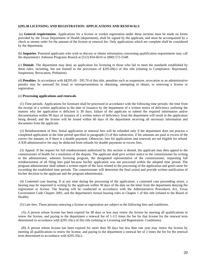#### **§295.38 LICENSING AND REGISTRATION: APPLICATIONS AND RENEWALS**

 (a) **General requirements**. Applications for a license or worker registration under these sections must be made on forms provided by the Texas Department of Health (department), shall be signed by the applicant, and must be accompanied by a check or money order for the amount of the license or renewal fee. Only applications which are complete shall be considered by the department.

(b) **Inquiries**. Potential applicants who wish to discuss or obtain information concerning qualification requirements may call the department's Asbestos Programs Branch at (512) 834-6610 or (800) 572-5548.

(c) **Denials**. The department may deny an application for licensing to those who fail to meet the standards established by these rules, including, but not limited to the provisions of §295.69(c) of this title (relating to Compliance: Reprimand, Suspension, Revocation, Probation).

(d) **Penalties**. In accordance with §§295.69 - 295.70 of this title, penalties such as suspension, revocation or an administrative penalty may be assessed for fraud or misrepresentation in obtaining, attempting to obtain, or renewing a license or registration.

#### (e) **Processing applications and renewals**.

 (1) Time periods. Applications for licensure shall be processed in accordance with the following time periods: the time from the receipt of a written application to the date of issuance by the department of a written notice of deficiency outlining the reasons why the application is deficient is 30 days; failure of the applicant to submit the required information and/or documentation within 90 days of issuance of a written notice of deficiency from the department will result in the application being denied; and the license will be issued within 60 days of the department receiving all necessary information and documents from the applicant.

 (2) Reimbursement of fees. Initial application or renewal fees will be refunded only if the department does not process a completed application in the time period specified in paragraph (1) of this subsection, if fee amounts are paid in excess of the correct fee amount, or if there is a double payment. Otherwise, fees for applications and renewals are not eligible for refund. A \$30 administrative fee may be deducted from refunds for double payments or excess fees.

 (3) Appeal. If the request for full reimbursement authorized by this section is denied, the applicant may then appeal to the commissioner of health for a resolution of the dispute. The applicant shall give written notice to the commissioner by writing to the administrator, asbestos licensing program, the designated representative of the commissioner, requesting full reimbursement of all filing fees paid because his/her application was not processed within the adopted time period. The program administrator shall submit a written report of the facts related to the processing of the application and good cause for exceeding the established time periods. The commissioner will determine the final action and provide written notification of his/her decision to the applicant and the program administrator.

 (4) Contested case hearing. If at any time during the processing of the application, a contested case proceeding arises, a hearing may be requested in writing by the applicant within 30 days of the date on the letter from the department denying the registration or license. The hearing will be conducted in accordance with the Administrative Procedures Act, Texas Government Code Chapter 2001, and the department's formal hearing rules in Chapter 1 of this title (related to the Board of Health).

(5) Late fees. Those persons renewing a license or registration are subject to the following fees and conditions.

 (A) A person whose license has been expired for 90 days or less may renew the license by meeting all qualifications to renew the license, and paying to the department a renewal fee of 1-1/2 times the fee for that license for the renewal term determined in accordance with §295.35(c) of this title (relating to Licensing and Registration: Conditions).

 (B) A person whose license has been expired for more than 90 days but less than one year may renew the license by meeting all qualifications to renew the license, and paying to the department a renewal fee of 2 times the fee for the renewal term determined in accordance with §295.35(c).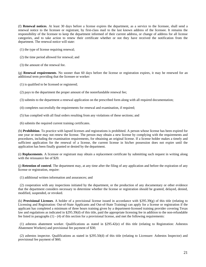(f) **Renewal notices**. At least 30 days before a license expires the department, as a service to the licensee, shall send a renewal notice to the licensee or registrant, by first-class mail to the last known address of the licensee. It remains the responsibility of the licensee to keep the department informed of their current address, or change of address for all license categories, and to take action to renew their certificate whether or not they have received the notification from the department. The renewal notice will state:

- (1) the type of license requiring renewal;
- (2) the time period allowed for renewal; and
- (3) the amount of the renewal fee.

(g) **Renewal requirements**. No sooner than 60 days before the license or registration expires, it may be renewed for an additional term providing that the licensee or worker:

- (1) is qualified to be licensed or registered;
- (2) pays to the department the proper amount of the nonrefundable renewal fee;

(3) submits to the department a renewal application on the prescribed form along with all required documentation;

- (4) completes successfully the requirements for renewal and examination, if required;
- (5) has complied with all final orders resulting from any violations of these sections; and

(6) submits the required current training certificates.

(h) **Prohibition**. To practice with lapsed licenses and registrations is prohibited. A person whose license has been expired for one year or more may not renew the license. The person may obtain a new license by complying with the requirements and procedures, including the examination requirements, for obtaining an original license. If a license holder makes a timely and sufficient application for the renewal of a license, the current license in his/her possession does not expire until the application has been finally granted or denied by the department.

(i) **Replacements**. A licensee or registrant may obtain a replacement certificate by submitting such request in writing along with the reissuance fee of \$20.

(j) **Retention of control**. The department may, at any time after the filing of any application and before the expiration of any license or registration, require:

(1) additional written information and assurances; and

 (2) cooperation with any inspections initiated by the department, or the production of any documentary or other evidence that the department considers necessary to determine whether the license or registration should be granted, delayed, denied, modified, suspended, or revoked.

(k) **Provisional Licenses**. A holder of a provisional license issued in accordance with §295.39(g) of this title (relating to Licensing and Registration: Out-of-State Applicants and Out-of-State Training) can apply for a license or registration if the applicant has completed a minimum of three hours training given by a department-licensed training provider covering Texas law and regulations as indicated in §295.39(d) of this title, paid the appropriate licensing fee in addition to the non-refundable fee listed in paragraphs (1) - (4) of this section for a provisional license, and met the following requirements:

 (1) asbestos abatement worker. Qualifications as stated in §295.42(e) of this title (relating to Registration: Asbestos Abatement Workers) and provisional fee payment of \$30;

 (2) asbestos inspector. Qualifications as stated in §295.50(d) of this title (relating to Licensure: Asbestos Inspector) and provisional fee payment of \$60;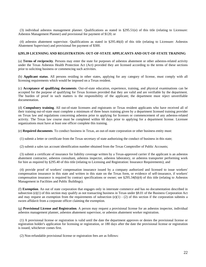(3) individual asbestos management planner. Qualifications as stated in §295.51(e) of this title (relating to Licensure: Asbestos Management Planner) and provisional fee payment of \$120; or

 (4) asbestos abatement supervisor. Qualifications as stated in §295.46(d) of this title (relating to Licensure: Asbestos Abatement Supervisor) and provisional fee payment of \$300.

#### **§295.39 LICENSING AND REGISTRATION: OUT-OF-STATE APPLICANTS AND OUT-OF-STATE TRAINING**

(a) **Terms of reciprocity**. Persons may enter the state for purposes of asbestos abatement or other asbestos-related activity under the Texas Asbestos Health Protection Act (Act) provided they are licensed according to the terms of these sections prior to soliciting business or commencing such activities.

(b) **Applicant status**. All persons residing in other states, applying for any category of license, must comply with all licensing requirements which would be imposed on a Texas resident.

(c) **Acceptance of qualifying documents**. Out-of-state education, experience, training, and physical examinations can be accepted for the purpose of qualifying for Texas licenses provided that they are valid and are verifiable by the department. The burden of proof in such matters is the responsibility of the applicant; the department must reject unverifiable documentation.

(d) **Compulsory training**. All out-of-state licensees and registrants or Texas resident applicants who have received all of their training out-of-state must complete a minimum of three hours training given by a department licensed training provider on Texas law and regulations concerning asbestos prior to applying for licenses or commencement of any asbestos-related activity. The Texas law course must be completed within 60 days prior to applying for a department license. Licensee organizations must have at least one officer complete this training.

(e) **Required documents**. To conduct business in Texas, an out-of-state corporation or other business entity must:

(1) submit a letter or certificate from the Texas secretary of state authorizing the conduct of business in this state;

(2) submit a sales tax account identification number obtained from the Texas Comptroller of Public Accounts;

 (3) submit a certificate of insurance for liability coverage written by a Texas-approved carrier if the applicant is an asbestos abatement contractor, asbestos consultant, asbestos inspector, asbestos laboratory, or asbestos transporter performing work for hire as required by §295.40 of this title (relating to Licensing and Registration: Insurance Requirements); and

 (4) provide proof of workers' compensation insurance issued by a company authorized and licensed to issue workers' compensation insurance in this state and written in this state on the Texas form, or evidence of self-insurance, if workers' compensation insurance is required by contract specifications or owner; see §295.34(b)(4) of this title (relating to Asbestos Management in Facilities and Public Buildings).

(f) **Exemption**. An out of state corporation that engages only in interstate commerce and has no documentation described in subsection (e)(1) of this section may qualify as not transacting business in Texas under §8.01 of the Business Corporation Act and may request an exemption from the requirements of subsection (e)(1) - (2) of this section if the corporation submits a sworn affidavit from a corporate officer claiming the exemption.

(g) **Provisional License and Registration**. A person may request a provisional license for an asbestos inspector, individual asbestos management planner, asbestos abatement supervisor, or asbestos abatement worker registration.

 (1) A provisional license or registration is valid until the date the department approves or denies the provisional license or registration holder's application for licensing or registration, or 180 days after the date the provisional license or registration is issued, whichever comes first.

(2) Non-refundable provisional license or registration fees are as follows: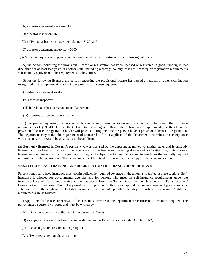(A) asbestos abatement worker--\$30;

- (B) asbestos inspector--\$60;
- (C) individual asbestos management planner--\$120; and
- (D) asbestos abatement supervisor--\$300.

(3) A person may receive a provisional license issued by the department if the following criteria are met:

 (A) the person requesting the provisional license or registration has been licensed or registered in good standing in that discipline for at least two years in another state, including a foreign country, that has licensing or registration requirements substantially equivalent to the requirements of these rules;

 (B) for the following licenses, the person requesting the provisional license has passed a national or other examination recognized by the department relating to the provisional license requested:

- (i) asbestos abatement worker;
- (ii) asbestos inspector;
- (iii) individual asbestos management planner; and
- (iv) asbestos abatement supervisor; and

 (C) the person requesting the provisional license or registration is sponsored by a company that meets the insurance requirements of §295.40 of this title (related to Licensing and Registration: Insurance Requirements), with whom the provisional license or registration holder will practice during the time the person holds a provisional license or registration. The department may waive the requirement of sponsorship for an applicant if the department determines that compliance with that subsection would be a hardship to the applicant.

(h) **Formerly licensed in Texas**. A person who was licensed by the department, moved to another state, and is currently licensed and has been in practice in the other state for the two years preceding the date of application may obtain a new license without reexamination. The person must pay to the department a fee that is equal to two times the normally required renewal fee for the license term. The person must meet the standards prescribed in the applicable licensing section.

#### **§295.40 LICENSING, TRAINING AND REGISTRATION: INSURANCE REQUIREMENTS**

Persons required to have insurance must obtain policies for required coverage in the amounts specified in these sections. Selfinsurance is allowed for governmental agencies and for persons who meet the self-insurance requirements under the insurance laws of Texas and receive written approval from the Texas Department of Insurance or Texas Workers' Compensation Commission. Proof of approval by the appropriate authority as required for non-governmental persons must be submitted with the application. Liability insurance shall include pollution liability for asbestos exposure. Additional requirements are as follows:

 (1) Applicants for licenses or renewal of licenses must provide to the department the certificate of insurance required. The policy must be currently in force and must be written by:

- (A) an insurance company authorized to do business in Texas;
- (B) an eligible Texas surplus lines insurer as defined in the Texas Insurance Code, Article 1.14-2;
- (C) a Texas registered risk retention group; or
- (D) a Texas registered purchasing group.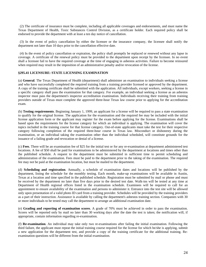(2) The certificate of insurance must be complete, including all applicable coverages and endorsements, and must name the Texas Department of Health, Toxic Substances Control Division, as a certificate holder. Each required policy shall be endorsed to provide the department with at least a ten day notice of cancellation.

 (3) In the event of policy cancellation by either the licensee or the insurance company, the licensee shall notify the department not later than 10 days prior to the cancellation effective date.

 (4) In the event of policy cancellation or expiration, the policy shall promptly be replaced or renewed without any lapse in coverage. A certificate of the renewal policy must be provided to the department upon receipt by the licensee. In no event shall a licensee fail to have the required coverage at the time of engaging in asbestos activities. Failure to become reinsured when required may result in the imposition of an administrative penalty and/or revocation of the license.

#### **§295.41 LICENSURE: STATE LICENSING EXAMINATION**

(a) **General**. The Texas Department of Health (department) shall administer an examination to individuals seeking a license and who have successfully completed the required training from a training provider licensed or approved by the department. A copy of the training certificate shall be submitted with the application. All individuals, except workers, seeking a license in a specific category shall pass the examination for that category. For example, an individual seeking a license as an asbestos inspector must pass the department's inspector accreditation examination. Individuals receiving their training from training providers outside of Texas must complete the approved three-hour Texas law course prior to applying for the accreditation exam.

(b) **Testing requirements**. Beginning January 1, 1999, an applicant for a license will be required to pass a state examination to qualify for the original license. The application for the examination and the required fee may be included with the initial license application form or the applicant may register for the exam before applying for the license. Examinations shall be based upon the requirements for the license category for which an individual is applying. The examination will cover the topics included in the training course for that license category. Out-of-state applicants must take the test for their respective category following completion of the required three-hour course in Texas law. Misconduct or dishonesty during the examination, or an individual taking the examination other than the individual scheduled, will constitute grounds for the issuance of a failing grade and revocation or denial of a license.

(c) **Fees**. There will be an examination fee of \$25 for the initial test or for any re-examination at department administered test locations. A fee of \$50 shall be paid for examinations to be administered by the department at locations and times other than the published schedule. A request to the department must be submitted in sufficient time to permit scheduling and administration of the examination. Fees must be paid to the department prior to the taking of the examination. The required fee may not be paid at the examination location, but must be mailed to the department.

(d) **Scheduling and registration**. Annually, a schedule of examination dates and locations will be published by the department, listing the schedule for the monthly testing. Each month, make-up examinations will be available in Austin, Texas at a location and time specified in the published schedule. Registration must be submitted by mail or phone and must be received by the department no later than five days prior to the desired test date. Walk-ins will be tested at any time at Department of Health regional offices listed in the examination schedule. Examinees will be required to call for an appointment to ensure availability of the examination and persons to administer it. Entrance into the test site will be allowed only upon presentation of a valid photo ID card from a training provider. Schedules will be provided by the training providers as a part of their instruction. Assistance is available by calling the department's asbestos training section. Companies with 30 or more individuals to be tested may call the department to arrange an additional examination date.

(e) **Grading and reporting of examination scores**. A grade of 70% must be achieved in order to pass the examination. Scores will be reported only by mail no later than 30 working days after the date the test is taken; the notification will, if appropriate, contain information regarding re-examination.

(f) **Re-examination**. An individual may take only two re-examinations after failing the initial examination. Following the third failure, the applicant must repeat the initial training course required for the license for which he/she is applying, submit a new application for the department test, and provide a copy of the training certificate for the additional training. Reexamination questions will be different from the initial examination.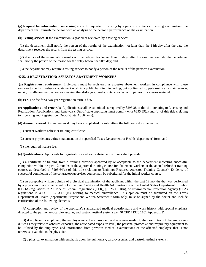(g) **Request for information concerning exam**. If requested in writing by a person who fails a licensing examination, the department shall furnish the person with an analysis of the person's performance on the examination.

(h) **Testing service**. If the examination is graded or reviewed by a testing service:

 (1) the department shall notify the person of the results of the examination not later than the 14th day after the date the department receives the results from the testing service;

 (2) if notice of the examination results will be delayed for longer than 90 days after the examination date, the department shall notify the person of the reason for the delay before the 90th day; and

(3) the department may require a testing service to notify a person of the results of the person's examination.

#### **§295.42 REGISTRATION: ASBESTOS ABATEMENT WORKERS**

 (a) **Registration requirement**. Individuals must be registered as asbestos abatement workers in compliance with these sections to perform asbestos abatement work in a public building, including, but not limited to, performing any maintenance, repair, installation, renovation, or cleaning that dislodges, breaks, cuts, abrades, or impinges on asbestos material.

(b) **Fee**. The fee for a two-year registration term is \$65.

(c) **Applications and renewals**. Applications shall be submitted as required by §295.38 of this title (relating to Licensing and Registration: Applications and Renewals). Out-of-state applicants must comply with §295.39(a) and (d) of this title (relating to Licensing and Registration: Out-of-State Applicants).

(d) **Annual renewal**. Annual renewal may be accomplished by submitting the following documentation:

- (1) current worker's refresher training certificate;
- (2) current physician's written statement on the specified Texas Department of Health (department) form; and
- (3) the required license fee.

(e) **Qualifications**. Applicants for registration as asbestos abatement workers shall provide:

 (1) a certificate of training from a training provider approved by or acceptable to the department indicating successful completion within the past 12 months of the approved training course for abatement workers or the annual refresher training course, as described in §295.64(d) of this title (relating to Training: Required Asbestos Training Courses). Evidence of successful completion of the contractor/supervisor course may be substituted for the initial worker course.

 (2) an acceptable written opinion of a physical examination of the applicant within the past 12 months that was performed by a physician in accordance with Occupational Safety and Health Administration of the United States Department of Labor (OSHA) regulations in 29 Code of Federal Regulations (CFR), §1926.1101(m), or Environmental Protection Agency (EPA) regulations in 40 CFR, §763.121(m), relating to medical surveillance. This opinion must be submitted on the Texas Department of Health (department) "Physicians Written Statement" form only, must be signed by the doctor and include certification of the following elements:

 (A) completion and review of the applicant's standardized medical questionnaire and work history with special emphasis directed to the pulmonary, cardiovascular, and gastrointestinal systems per 40 CFR §1926.1101 Appendix D;

 (B) if applicant is employed, the employer must have provided, and a review made of, the description of the employee's duties as they relate to asbestos exposure, the anticipated exposure level, the personal protective and respiratory equipment to be utilized by the employee, and information from previous medical examinations of the affected employee that is not otherwise available to the physician;

(C) a physical examination with emphasis upon the pulmonary, cardiovascular, and gastrointestinal systems;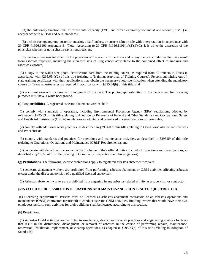(D) the pulmonary function tests of forced vital capacity (FVC) and forced expiratory volume at one second (FEV 1) in accordance with NIOSH and ATS standards;

 (E) a chest roentgenogram, posterior-anterior, 14x17 inches, or current film on file with interpretation in accordance with 29 CFR §1926.1101 Appendix E. (Note: According to 29 CFR §1926.1101(m)(2)(ii)(C), it is up to the discretion of the physician whether or not a chest x-ray is required); and

 (F) the employee was informed by the physician of the results of the exam and of any medical conditions that may result from asbestos exposure, including the increased risk of lung cancer attributable to the combined effect of smoking and asbestos exposure;

 (3) a copy of the wallet-size photo-identification card from the training course, as required from all trainers in Texas in accordance with §295.65(f)(2) of this title (relating to Training: Approval of Training Courses). Persons submitting out-ofstate training certificates with their applications may obtain the necessary photo-identification when attending the mandatory course on Texas asbestos rules, as required in accordance with §295.64(h) of this title; and

 (4) a current one-inch by one-inch photograph of the face. The photograph submitted to the department for licensing purposes must have a white background.

(f) **Responsibilities**. A registered asbestos abatement worker shall:

 (1) comply with standards of operation, including Environmental Protection Agency (EPA) regulations, adopted by reference in §295.33 of this title (relating to Adoption by Reference of Federal and Other Standards) and Occupational Safety and Health Administration (OSHA) regulations as adopted and referenced in certain sections of these rules;

 (2) comply with additional work practices, as described in §295.60 of this title (relating to Operations: Abatement Practices and Procedures);

 (3) comply with standards and practices for operations and maintenance activities, as described in §295.59 of this title (relating to Operations: Operations and Maintenance (O&M) Requirements); and

 (4) cooperate with department personnel in the discharge of their official duties to conduct inspections and investigations, as described in §295.68 of this title (relating to Compliance: Inspections and Investigations).

(g) **Prohibitions**. The following specific prohibitions apply to registered asbestos abatement workers.

 (1) Asbestos abatement workers are prohibited from performing asbestos abatement or O&M activities affecting asbestos except under the direct supervision of a qualified licensed supervisor.

(2) Asbestos abatement workers are prohibited from engaging in any asbestos-related activity as a supervisor or contractor.

#### **§295.43 LICENSURE: ASBESTOS OPERATIONS AND MAINTENANCE CONTRACTOR (RESTRICTED)**

 (a) **Licensing requirement**. Persons must be licensed as asbestos abatement contractors or as asbestos operations and maintenance (O&M) contractors (restricted) to conduct asbestos O&M activities. Building owners that would have their own employees perform such activities for their buildings shall be licensed according to this section.

(b) Restrictions.

 (1) Asbestos O&M activities are restricted to small-scale, short-duration work practices and engineering controls for tasks that result in the disturbance, dislodgment, or removal of asbestos in the course of performing repairs, maintenance, renovation, installation, replacement, or cleanup operations, as adopted in §295.33(a) of this title (relating to Adoption of Standards).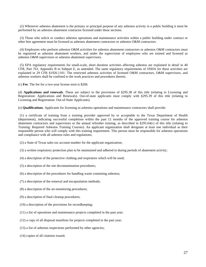(2) Whenever asbestos abatement is the primary or principal purpose of any asbestos activity in a public building it must be performed by an asbestos abatement contractor licensed under these sections.

 (3) Those who solicit or conduct asbestos operations and maintenance activities within a public building under contract or other hire agreement must be licensed as asbestos abatement contractors or asbestos O&M contractors.

 (4) Employees who perform asbestos O&M activities for asbestos abatement contractors or asbestos O&M contractors must be registered as asbestos abatement workers, and under the supervision of employees who are trained and licensed as asbestos O&M supervisors or asbestos abatement supervisors.

 (5) EPA regulatory requirements for small-scale, short duration activities affecting asbestos are explained in detail in 40 CFR, Part 763, Appendix B to Subpart E, as amended. The same regulatory requirements of OSHA for these activities are explained in 29 CFR §1926.1101. The restricted asbestos activities of licensed O&M contractors, O&M supervisors, and asbestos workers shall be confined to the work practices and procedures therein.

(c) **Fee**. The fee for a two-year license term is \$260.

(d) **Applications and renewals**. These are subject to the provisions of §295.38 of this title (relating to Licensing and Registration: Applications and Renewals). Out-of-state applicants must comply with §295.39 of this title (relating to Licensing and Registration: Out-of-State Applicants).

(e) **Qualifications**. Applicants for licensing as asbestos operations and maintenance contractors shall provide:

 (1) a certificate of training from a training provider approved by or acceptable to the Texas Department of Health (department), indicating successful completion within the past 12 months of the approved training course for asbestos abatement contractors and supervisors or the annual refresher training, as described in §295.64(c) of this title (relating to Training: Required Asbestos Training Courses). An applicant organization shall designate at least one individual as their responsible person who will comply with this training requirement. This person must be responsible for asbestos operations and compliance with all asbestos rules and regulations;

- (2) a State of Texas sales tax account number for the applicant organization;
- (3) a written respiratory protection plan to be maintained and adhered to during periods of abatement activity;
- (4) a description of the protective clothing and respirators which will be used;
- (5) a description of the site decontamination procedures;
- (6) a description of the procedures for handling waste containing asbestos;
- (7) a description of the removal and encapsulation methods;
- (8) a description of the air-monitoring procedures;
- (9) a description of final cleanup procedures;
- (10) a description of the provisions for recordkeeping;
- (11) a list of operations and maintenance projects completed in the past year;
- (12) a copy of all disposal manifests for projects completed in the past year;
- (13) a list of asbestos inspections performed by other agencies;
- (14) copies of all citations issued;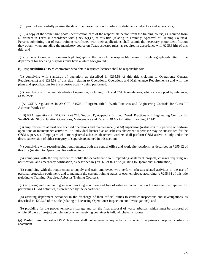(15) proof of successfully passing the department examination for asbestos abatement contractors and supervisors;

 (16) a copy of the wallet-size photo-identification card of the responsible person from the training course, as required from all trainers in Texas in accordance with §295.65(f)(2) of this title (relating to Training: Approval of Training Courses). Persons submitting out-of-state training certificates with their applications shall submit the necessary photo-identification they obtain when attending the mandatory course on Texas asbestos rules, as required in accordance with §295.64(h) of this title; and

 (17) a current one-inch by one-inch photograph of the face of the responsible person. The photograph submitted to the department for licensing purposes must have a white background.

(f) **Responsibilities**. O&M contractors who obtain restricted licenses shall be responsible for:

 (1) complying with standards of operation, as described in §295.58 of this title (relating to Operations: General Requirements) and §295.59 of this title (relating to Operations: Operations and Maintenance Requirements) and with the plans and specifications for the asbestos activity being performed;

 (2) complying with federal standards of operation, including EPA and OSHA regulations, which are adopted by reference, as follows:

 (A) OSHA regulations in 29 CFR, §1926.1101(g)(9), titled "Work Practices and Engineering Controls for Class III Asbestos Work"; or

 (B) EPA regulations in 40 CFR, Part 763, Subpart E, Appendix B, titled "Work Practices and Engineering Controls for Small-Scale, Short-Duration Operations, Maintenance and Repair (O&M) Activities Involving ACM";

 (3) employment of at least one licensed operations and maintenance (O&M) supervisor (restricted) to supervise or perform operations or maintenance activities. An individual licensed as an asbestos abatement supervisor may be substituted for the O&M supervisor. Employees who are registered asbestos abatement workers shall perform O&M activities only under the direct supervision of either category of supervisors named in this section;

 (4) complying with recordkeeping requirements, both the central office and work site locations, as described in §295.62 of this title (relating to Operations: Recordkeeping);

 (5) complying with the requirement to notify the department about impending abatement projects, changes requiring renotification, and emergency notification, as described in §295.61 of this title (relating to Operations: Notification);

 (6) complying with the requirement to supply and train employees who perform asbestos-related activities in the use of personal protection equipment, and to maintain the current training status of each employee according to §295.64 of this title (relating to Training: Required Asbestos Training Courses);

 (7) acquiring and maintaining in good working condition and free of asbestos contamination the necessary equipment for performing O&M activities, as prescribed by the department;

 (8) assisting department personnel in the discharge of their official duties to conduct inspections and investigations, as described in §295.68 of this title (relating to Licensing Operations: Inspection and Investigations); and

 (9) providing for the proper temporary storage and for the final disposal of waste asbestos, which must be disposed of within 30 days of project completion or when receiving container is full, whichever is sooner.

(g) **Prohibitions.** Asbestos O&M licensees shall not engage in any activity for which the primary purpose is asbestos abatement.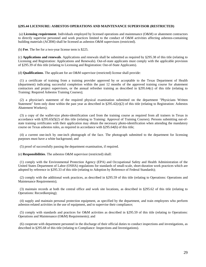#### **§295.44 LICENSURE: ASBESTOS OPERATIONS AND MAINTENANCE SUPERVISOR (RESTRICTED)**

 (a) **Licensing requirement**. Individuals employed by licensed operations and maintenance (O&M) or abatement contractors to directly supervise personnel and work practices limited to the conduct of O&M activities affecting asbestos-containing building materials (ACBM) shall be licensed as asbestos O&M supervisors (restricted).

(b) **Fee**. The fee for a two-year license term is \$225.

(c) **Applications and renewals**. Applications and renewals shall be submitted as required by §295.38 of this title (relating to Licensing and Registration: Applications and Renewals). Out-of-state applicants must comply with the applicable provision of §295.39 of this title (relating to Licensing and Registration: Out-of-State Applicants).

(d) **Qualifications**. The applicant for an O&M supervisor (restricted) license shall provide:

 (1) a certificate of training from a training provider approved by or acceptable to the Texas Department of Health (department) indicating successful completion within the past 12 months of the approved training course for abatement contractors and project supervisors, or the annual refresher training as described in §295.64(c) of this title (relating to Training: Required Asbestos Training Courses);

 (2) a physician's statement of the required physical examination submitted on the department "Physicians Written Statement" form only done within the past year as described in  $\S295.42(e)(2)$  of this title (relating to Registration: Asbestos Abatement Workers);

 (3) a copy of the wallet-size photo-identification card from the training course as required from all trainers in Texas in accordance with §295.65(f)(2) of this title (relating to Training: Approval of Training Courses). Persons submitting out-ofstate training certificates with their application may obtain the necessary photo-identification when attending the mandatory course on Texas asbestos rules, as required in accordance with §295.64(h) of this title;

 (4) a current one-inch by one-inch photograph of the face. The photograph submitted to the department for licensing purposes must have a white background; and

(5) proof of successfully passing the department examination, if required.

(e) **Responsibilities**. The asbestos O&M supervisor (restricted) shall:

 (1) comply with the Environmental Protection Agency (EPA) and Occupational Safety and Health Administration of the United States Department of Labor (OSHA) regulations for standards of small-scale, short-duration work practices which are adopted by reference in §295.33 of this title (relating to Adoption by Reference of Federal Standards);

 (2) comply with the additional work practices, as described in §295.59 of this title (relating to Operations: Operations and Maintenance Requirements);

 (3) maintain records at both the central office and work site locations, as described in §295.62 of this title (relating to Operations: Recordkeeping);

 (4) supply and maintain personal protection equipment, as specified by the department, and train employees who perform asbestos-related activities in the use of equipment, and to supervise their compliance;

 (5) comply with standards and practices for O&M activities as described in §295.59 of this title (relating to Operations: Operations and Maintenance (O&M) Requirements); and

 (6) cooperate with department personnel in the discharge of their official duties to conduct inspections and investigations, as described in §295.68 of this title (relating to Compliance: Inspections and Investigations).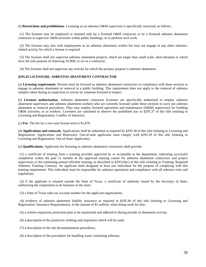#### (f) **Restrictions and prohibitions**. Licensing as an asbestos O&M supervisor is specifically restricted, as follows.

 (1) The licensee may be employed or retained only by a licensed O&M contractor or by a licensed asbestos abatement contractor to supervise O&M activities within public buildings, or to perform such work.

 (2) The licensee may also seek employment as an asbestos abatement worker but may not engage in any other asbestosrelated activity for which a license is required.

 (3) The licensee shall not supervise asbestos abatement projects, which are larger than small scale, short duration or which have the sole purpose of removing ACBM, or act as a contractor.

(4) The licensee shall not supervise any activity for which the primary purpose is asbestos abatement.

#### **§295.45 LICENSURE: ASBESTOS ABATEMENT CONTRACTOR**

(a) **Licensing requirement**. Persons must be licensed as asbestos abatement contractors in compliance with these sections to engage in asbestos abatement or removal in a public building. This requirement does not apply to the removal of asbestos samples taken during an inspection or survey by someone licensed to inspect.

(b) **Licensee authorization**. Asbestos abatement contractor licensees are specifically authorized to employ asbestos abatement supervisors and asbestos abatement workers who are currently licensed under these sections to carry out asbestos abatement or removal procedures. They may employ licensed operations and maintenance (O&M) supervisors for building O&M activities, or as workers. Licensees are cautioned to observe the prohibited acts in §295.37 of this title (relating to Licensing and Registration: Conflict of Interests).

(c) **Fee**. The fee for a two-year license term is \$1,070.

(d) **Applications and renewals**. Applications shall be submitted as required by §295.38 of this title (relating to Licensing and Registration: Applications and Renewals). Out-of-state applicants must comply with §295.39 of this title (relating to Licensing and Registration: Out-of-State Applicants).

(e) **Qualifications**. Applicants for licensing as asbestos abatement contractors shall provide:

 (1) a certificate of training from a training provider approved by or acceptable to the department, indicating successful completion within the past 12 months of the approved training course for asbestos abatement contractors and project supervisors or the continuing annual refresher training, as described in §295.64(c) of this title (relating to Training: Required Asbestos Training Courses). An applicant shall designate at least one individual for the purpose of complying with this training requirement. This individual must be responsible for asbestos operations and compliance with all asbestos rules and regulations;

 (2) if the applicant is situated outside the State of Texas, a certificate of authority issued by the Secretary of State, authorizing the corporation to do business in the state;

(3) a State of Texas sales tax account number for the applicant organization;

 (4) evidence of asbestos abatement liability insurance as required in §295.40 of this title (relating to Licensing and Registration: Insurance Requirements), in the amount of \$1 million, when doing work for hire;

(5) a written respiratory protection plan to be maintained and adhered to during periods of abatement activity;

- (6) a description of the protective clothing and respirators which will be used;
- (7) a description of the site decontamination procedures;
- (8) a description of the procedures for handling waste containing asbestos;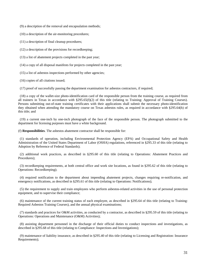(9) a description of the removal and encapsulation methods;

(10) a description of the air-monitoring procedures;

(11) a description of final cleanup procedures;

(12) a description of the provisions for recordkeeping;

(13) a list of abatement projects completed in the past year;

(14) a copy of all disposal manifests for projects completed in the past year;

(15) a list of asbestos inspections performed by other agencies;

(16) copies of all citations issued;

(17) proof of successfully passing the department examination for asbestos contractors, if required;

 (18) a copy of the wallet-size photo-identification card of the responsible person from the training course, as required from all trainers in Texas in accordance with §295.65(f)(2) of this title (relating to Training: Approval of Training Courses). Persons submitting out-of-state training certificates with their applications shall submit the necessary photo-identification they obtained when attending the mandatory course on Texas asbestos rules, as required in accordance with §295.64(h) of this title; and

 (19) a current one-inch by one-inch photograph of the face of the responsible person. The photograph submitted to the department for licensing purposes must have a white background.

(f) **Responsibilities**. The asbestos abatement contractor shall be responsible for:

 (1) standards of operation, including Environmental Protection Agency (EPA) and Occupational Safety and Health Administration of the United States Department of Labor (OSHA) regulations, referenced in §295.33 of this title (relating to Adoption by Reference of Federal Standards);

 (2) additional work practices, as described in §295.60 of this title (relating to Operations: Abatement Practices and Procedures);

 (3) recordkeeping requirements, at both central office and work site locations, as found in §295.62 of this title (relating to Operations: Recordkeeping);

 (4) required notification to the department about impending abatement projects, changes requiring re-notification, and emergency notifications, as described in §295.61 of this title (relating to Operations: Notifications);

 (5) the requirement to supply and train employees who perform asbestos-related activities in the use of personal protection equipment, and to supervise their compliance;

 (6) maintenance of the current training status of each employee, as described in §295.64 of this title (relating to Training: Required Asbestos Training Courses), and the annual physical examinations;

 (7) standards and practices for O&M activities, as conducted by a contractor, as described in §295.59 of this title (relating to Operations: Operations and Maintenance (O&M) Activities);

 (8) assisting department personnel in the discharge of their official duties to conduct inspections and investigations, as described in §295.68 of this title (relating to Compliance: Inspections and Investigations);

 (9) maintenance of liability insurance, as described in §295.40 of this title (relating to Licensing and Registration: Insurance Requirements);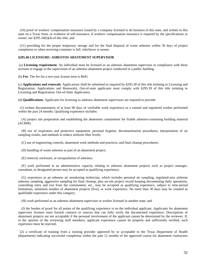(10) proof of workers' compensation insurance issued by a company licensed to do business in this state, and written in this state on a Texas form, or evidence of self-insurance, if workers' compensation insurance is required by the specifications or owner; see §295.34(b)(4) of this title; and

 (11) providing for the proper temporary storage and for the final disposal of waste asbestos within 30 days of project completion or when receiving container is full, whichever is sooner.

#### **§295.46 LICENSURE: ASBESTOS ABATEMENT SUPERVISOR**

 (a) **Licensing requirement**. An individual must be licensed as an asbestos abatement supervisor in compliance with these sections to engage in the supervision of an asbestos abatement project conducted in a public building.

(b) **Fee**. The fee for a two-year license term is \$645.

(c) **Applications and renewals**. Applications shall be submitted as required by §295.38 of this title (relating to Licensing and Registration: Applications and Renewals). Out-of-state applicants must comply with §295.39 of this title (relating to Licensing and Registration: Out-of-State Applicants).

(d) **Qualifications**. Applicants for licensing as asbestos abatement supervisors are required to provide:

 (1) written documentation of at least 90 days of verifiable work experience as a trained and registered worker performed within the past 24 months. Qualifying experience includes:

 (A) project site preparation and establishing the abatement containment for friable asbestos-containing building material (ACBM);

 (B) use of respirators and protective equipment, personal hygiene, decontamination procedures, interpretation of air sampling results, and methods to reduce airborne fiber levels;

(C) use of engineering controls, abatement work methods and practices, and final cleanup procedures;

(D) handling of waste asbestos as part of an abatement project;

(E) removal, enclosure, or encapsulation of asbestos;

 (F) work performed in an administrative capacity relating to asbestos abatement projects such as project manager, consultant, or designated person may be accepted as qualifying experience;

 (G) experience as an asbestos air monitoring technician, which includes personal air sampling, regulated-area airborne asbestos sampling, aggressive sampling for final cleanup, plus on-site project record keeping documenting daily operations, controlling entry and exit from the containment, etc., may be accepted as qualifying experience, subject to time-period limitations, minimum number of abatement projects (five), or work experience. No more than 30 days may be counted as qualifiable experience under this category;

(H) work performed as an asbestos abatement supervisor or worker licensed in another state; and

 (I) the burden of proof for all points of the qualifying experience is on the individual applicant. Applicants for abatement supervisor licenses must furnish contacts or sources that can fully verify the documented experience. Descriptions of abatement projects are not acceptable if the personal involvement of the applicant cannot be determined by the reviewer. If, in the opinion of the reviewing staff members, applicant experience cannot be properly and sufficiently verified, such experience must be rejected;

 (2) a certificate of training from a training provider approved by or acceptable to the Texas Department of Health (department) indicating successful completion within the past 12 months of the approved course for abatement contractors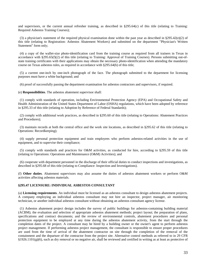and supervisors, or the current annual refresher training, as described in §295.64(c) of this title (relating to Training: Required Asbestos Training Courses);

 (3) a physician's statement of the required physical examination done within the past year as described in §295.42(e)(2) of this title (relating to Registration: Asbestos Abatement Workers) and submitted on the department "Physician's Written Statement" form only;

 (4) a copy of the wallet-size photo-identification card from the training course as required from all trainers in Texas in accordance with §295.65(f)(2) of this title (relating to Training: Approval of Training Courses). Persons submitting out-ofstate training certificates with their applications may obtain the necessary photo-identification when attending the mandatory course on Texas asbestos rules, as required in accordance with §295.64(h) of this title;

 (5) a current one-inch by one-inch photograph of the face. The photograph submitted to the department for licensing purposes must have a white background; and

(6) proof of successfully passing the department examination for asbestos contractors and supervisors, if required.

(e) **Responsibilities**. The asbestos abatement supervisor shall:

 (1) comply with standards of operation, including Environmental Protection Agency (EPA) and Occupational Safety and Health Administration of the United States Department of Labor (OSHA) regulations, which have been adopted by reference in §295.33 of this title (relating to Adoption by Reference of Federal Standards);

 (2) comply with additional work practices, as described in §295.60 of this title (relating to Operations: Abatement Practices and Procedures);

 (3) maintain records at both the central office and the work site locations, as described in §295.62 of this title (relating to Operations: Recordkeeping);

 (4) supply personal protection equipment and train employees who perform asbestos-related activities in the use of equipment, and to supervise their compliance;

 (5) comply with standards and practices for O&M activities, as conducted for hire, according to §295.59 of this title (relating to Operations: Operations and Maintenance (O&M) Activities); and

 (6) cooperate with department personnel in the discharge of their official duties to conduct inspections and investigations, as described in §295.68 of this title (relating to Compliance: Inspection and Investigations).

(f) **Other duties**. Abatement supervisors may also assume the duties of asbestos abatement workers or perform O&M activities affecting asbestos materials.

#### **§295.47 LICENSURE: INDIVIDUAL ASBESTOS CONSULTANT**

(a) **Licensing requirements**. An individual must be licensed as an asbestos consultant to design asbestos abatement projects. A company employing an individual asbestos consultant may not hire an inspector, project manager, air monitoring technician, or another individual asbestos consultant without obtaining an asbestos consultant agency license.

 (1) Asbestos abatement project design includes the survey of public buildings for asbestos-containing building material (ACBM); the evaluation and selection of appropriate asbestos abatement methods; project layout; the preparation of plans, specifications and contract documents; and the review of environmental controls, abatement procedures and personal protection equipment to be employed at any time during the asbestos abatement activity, from the start through the completion dates of the project. A consultant may be hired by a building owner or the owner's agent to perform asbestos project management. If performing asbestos project management, the consultant is responsible to ensure proper procedures are used from the time of arrival of the abatement contractor on site through the completion of the removal of the containment and the departure of the contractor from the project site. Alternative control methods as referred to in 29 CFR  $§1926.1101(g)(6)$ , such as dry removal or no negative air, shall be reviewed and certified in writing as at least as protective of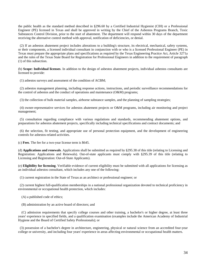the public health as the standard method described in §296.60 by a Certified Industrial Hygienist (CIH) or a Professional Engineer (PE) licensed in Texas and shall be approved in writing by the Chief of the Asbestos Programs Branch, Toxic Substances Control Division, prior to the start of abatement. The department will respond within 30 days of the department receiving the alternative control method with approval, notification of deficiencies, or denial.

 (2) If an asbestos abatement project includes alterations to a building's structure, its electrical, mechanical, safety systems, or their components, a licensed individual consultant in conjunction with or who is a licensed Professional Engineer (PE) in Texas must prepare the appropriate plans and specifications as required by the Texas Engineering Practice Act, Article 3271a and the rules of the Texas State Board for Registration for Professional Engineers in addition to the requirement of paragraph (1) of this subsection.

(b) **Scope: Individual licenses**. In addition to the design of asbestos abatement projects, individual asbestos consultants are licensed to provide:

(1) asbestos surveys and assessment of the condition of ACBM;

 (2) asbestos management planning, including response actions, instructions, and periodic surveillance recommendations for the control of asbestos and the conduct of operations and maintenance (O&M) programs;

(3) the collection of bulk material samples, airborne substance samples, and the planning of sampling strategies;

 (4) owner-representative services for asbestos abatement projects or O&M programs, including air monitoring and project management;

 (5) consultation regarding compliance with various regulations and standards, recommending abatement options, and preparations for asbestos abatement projects, specifically including technical specifications and contract documents; and

 (6) the selection, fit testing, and appropriate use of personal protection equipment, and the development of engineering controls for asbestos-related activities.

(c) **Fees**. The fee for a two-year license term is \$645.

(d) **Applications and renewals**. Applications shall be submitted as required by §295.38 of this title (relating to Licensing and Registration: Applications and Renewals). Out-of-state applicants must comply with §295.39 of this title (relating to Licensing and Registration: Out-of-State Applicants).

(e) **Eligibility for licensing**. Verifiable evidence of current eligibility must be submitted with all applications for licensing as an individual asbestos consultant, which includes any one of the following:

(1) current registration in the State of Texas as an architect or professional engineer; or

 (2) current highest full-qualification memberships in a national professional organization devoted to technical proficiency in environmental or occupational health protection, which includes:

(A) a published code of ethics;

(B) administration by an active board of directors; and

 (C) admission requirements that specify college courses and other training, a bachelor's or higher degree, at least three years' experience in specified fields, and a qualification examination (examples include the American Academy of Industrial Hygiene and the Board of Certified Safety Professionals); or

 (3) possession of a bachelor's degree in architecture, engineering, physical or natural science from an accredited four-year college or university, and including four years' experience in areas affecting environmental or occupational health matters.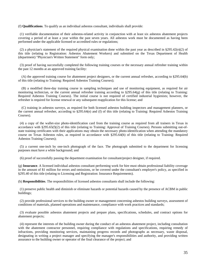(f) **Qualifications**. To qualify as an individual asbestos consultant, individuals shall provide:

 (1) verifiable documentation of their asbestos-related activity in conjunction with at least six asbestos abatement projects covering a period of at least a year within the past seven years. All asbestos work must be documented as having been performed under the applicable licensed or accredited rules or regulations;

(2) a physician's statement of the required physical examination done within the past year as described in  $\S 295.42(e)(2)$  of this title (relating to Registration: Asbestos Abatement Workers) and submitted on the Texas Department of Health (department) "Physician's Written Statement" form only;

 (3) proof of having successfully completed the following training courses or the necessary annual refresher training within the past 12 months at an approved training facility:

 (A) the approved training course for abatement project designers, or the current annual refresher, according to §295.64(b) of this title (relating to Training: Required Asbestos Training Courses);

 (B) a modified three-day training course in sampling techniques and use of monitoring equipment, as required for air monitoring technician, or the current annual refresher training according to  $\S295.64(g)$  of this title (relating to Training: Required Asbestos Training Courses). The initial course is not required of certified industrial hygienists; however, the refresher is required for license renewal or any subsequent reapplication for this license; and

 (C) training in asbestos surveys, as required for both licensed asbestos building inspectors and management planners, or the current annual refresher, according to §295.64(e) and (f) of this title (relating to Training: Required Asbestos Training Courses).

 (4) a copy of the wallet-size photo-identification card from the training course as required from all trainers in Texas in accordance with §295.65(f)(2) of this title (relating to Training: Approval of Training Courses). Persons submitting out-ofstate training certificates with their applications may obtain the necessary photo-identification when attending the mandatory course on Texas Asbestos rules, as required in accordance with §295.64(h) of this title (relating to Training: Required Asbestos Training Courses);

 (5) a current one-inch by one-inch photograph of the face. The photograph submitted to the department for licensing purposes must have a white background; and

(6) proof of successfully passing the department examination for consultant/project designer, if required.

(g) **Insurance**. A licensed individual asbestos consultant performing work for hire must obtain professional liability coverage in the amount of \$1 million for errors and omissions, or be covered under the consultant's employer's policy, as specified in §295.40 of this title (relating to Licensing and Registration: Insurance Requirements).

(h) **Responsibilities**. The responsibilities of licensed asbestos consultants shall include the following:

 (1) preserve public health and diminish or eliminate hazards or potential hazards caused by the presence of ACBM in public buildings;

 (2) provide professional services to the building owner or management concerning asbestos building surveys, assessment of conditions of materials, planned operations and maintenance, compliance with work practices and standards;

 (3) evaluate possible asbestos abatement projects and prepare plans, specifications, schedules, and contract options for abatement projects;

 (4) represent the interests of the building owner during the conduct of an asbestos abatement project, including consultation with the abatement contractor personnel, requiring compliance with regulations and specifications, requiring remedy of infractions, providing monitoring services, maintaining progress records and photographs as necessary, waste disposal, designating in writing a project manager and specifying the manager's responsibilities and authority, and providing written assurance to the building owner or operator of the final clearance of the project; and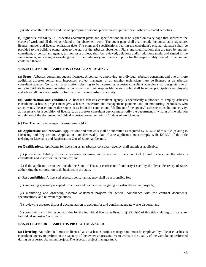(5) advise on the selection and use of appropriate personal protective equipment for all asbestos-related activities.

(i) **Signature authority**. All asbestos abatement plans and specifications must be signed on every page that addresses the scope of work and all drawings related to the abatement work. The cover page shall also include the consultant's signature, license number and license expiration date. The plans and specifications bearing the consultant's original signature shall be provided to the building owner prior to the start of the asbestos abatement. Plans and specifications that are used by another consultant, or consultant agency, to monitor a project, shall be reviewed, deletions and/or additions made, and signed in the same manner, indicating acknowledgment of their adequacy and the assumption for the responsibility related to the content contained therein.

# **§295.48 LICENSURE: ASBESTOS CONSULTANT AGENCY**

(a) **Scope**: Asbestos consultant agency licenses. A company, employing an individual asbestos consultant and one or more additional asbestos consultants, inspectors, project managers, or air monitor technicians must be licensed as an asbestos consultant agency. Consultant organizations desiring to be licensed as asbestos consultant agencies shall designate one or more individuals licensed as asbestos consultants as their responsible persons, who shall be either principals or employees, and who shall have responsibility for the organization's asbestos activity.

(b) **Authorization and conditions**. A licensed asbestos consultant agency is specifically authorized to employ asbestos consultants, asbestos project managers, asbestos inspectors and management planners, and air monitoring technicians who are currently licensed under these rules to assist in the conduct and fulfillment of the agency's asbestos consultation activity, as necessary. As a condition of licensure, an asbestos consultant agency must notify the department in writing of the addition or deletion of the designated individual asbestos consultant within 10 days of any changes.

(c) **Fee**. The fee for a two-year license term is \$430.

(d) **Applications and renewals**. Applications and renewals shall be submitted as required by §295.38 of this title (relating to Licensing and Registration: Applications and Renewals). Out-of-state applicants must comply with §295.39 of this title (relating to Licensing and Registration: Out-of-State Applicants).

(e) **Qualifications**. Applicants for licensing as an asbestos consultant agency shall submit as applicable:

 (1) professional liability insurance coverage for errors and omissions in the amount of \$1 million to cover the asbestos consultants and inspectors in its employ; and

 (2) if the applicant is situated outside the State of Texas, a certificate of authority issued by the Texas Secretary of State, authorizing the corporation to do business in the state.

(f) **Responsibilities**. A licensed asbestos consultant agency shall be responsible for:

(1) employing generally accepted principles and practices in designing asbestos abatement projects;

 (2) monitoring and observing asbestos abatement projects for general compliance with the contract documents, specifications, and relevant regulations;

(3) reviewing asbestos disposal documentation to account for and confirm adequate waste disposal; and

 (4) complying with the responsibilities for the individual license as listed in §295.47(h) of this title (relating to Licensure: Individual Asbestos Consultant).

# **§295.49 LICENSURE: ASBESTOS PROJECT MANAGER**

(a) **Licensing**. An individual must be licensed as an asbestos project manager and must be employed by a licensed asbestos consultant agency to perform in the capacity of the owner's representative to evaluate the quality of the work being performed during an asbestos abatement project. The asbestos project manager may: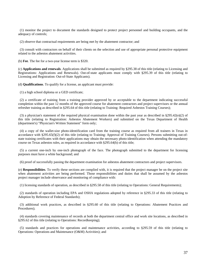(1) monitor the project to document the standards designed to protect project personnel and building occupants, and the adequacy of controls;

(2) observe that contractual requirements are being met by the abatement contractor; and

 (3) consult with contractors on behalf of their clients on the selection and use of appropriate personal protective equipment related to the asbestos abatement activities.

(b) **Fee**. The fee for a two-year license term is \$320.

(c) **Applications and renewals**. Applications shall be submitted as required by §295.38 of this title (relating to Licensing and Registrations: Applications and Renewals). Out-of-state applicants must comply with §295.39 of this title (relating to Licensing and Registration: Out-of-State Applicants).

(d) **Qualifications**. To qualify for a license, an applicant must provide:

(1) a high school diploma or a GED certificate;

 (2) a certificate of training from a training provider approved by or acceptable to the department indicating successful completion within the past 12 months of the approved course for abatement contractors and project supervisors or the annual refresher training as described in §295.64 of this title (relating to Training: Required Asbestos Training Courses);

(3) a physician's statement of the required physical examination done within the past year as described in  $\S 295.42(e)(2)$  of this title (relating to Registration: Asbestos Abatement Workers) and submitted on the Texas Department of Health (department's) "Physician's Written Statement" form only;

 (4) a copy of the wallet-size photo-identification card from the training course as required from all trainers in Texas in accordance with §295.65(f)(2) of this title (relating to Training: Approval of Training Courses). Persons submitting out-ofstate training certificates with their applications may obtain the necessary photo-identification when attending the mandatory course on Texas asbestos rules, as required in accordance with §295.64(h) of this title;

 (5) a current one-inch by one-inch photograph of the face. The photograph submitted to the department for licensing purposes must have a white background; and

(6) proof of successfully passing the department examination for asbestos abatement contractors and project supervisors.

(e) **Responsibilities**. To verify these sections are complied with, it is required that the project manager be on the project site when abatement activities are being performed. Those responsibilities and duties that shall be assumed by the asbestos project manager include observance and monitoring of compliance with:

(1) licensing standards of operation, as described in §295.58 of this title (relating to Operations: General Requirements);

 (2) standards of operation including EPA and OSHA regulations adopted by reference in §295.33 of this title (relating to Adoption by Reference of Federal Standards);

 (3) additional work practices, as described in §295.60 of this title (relating to Operations: Abatement Practices and Procedures);

 (4) standards covering maintenance of records at both the department central office and work site locations, as described in §295.62 of this title (relating to Operations: Recordkeeping);

 (5) standards and practices for operations and maintenance activities, according to §295.59 of this title (relating to Operations: Operations and Maintenance (O&M) Activities); and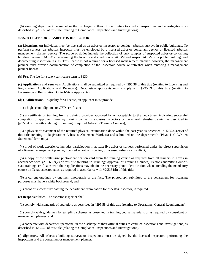(6) assisting department personnel in the discharge of their official duties to conduct inspections and investigations, as described in §295.68 of this title (relating to Compliance: Inspections and Investigations).

### **§295.50 LICENSURE: ASBESTOS INSPECTOR**

(a) **Licensing**. An individual must be licensed as an asbestos inspector to conduct asbestos surveys in public buildings. To perform surveys, an asbestos inspector must be employed by a licensed asbestos consultant agency or licensed asbestos management planner agency. The scope of duties include the collection of bulk samples of suspected asbestos-containing building material (ACBM); determining the location and condition of ACBM and suspect ACBM in a public building; and documenting inspection results. This license is not required for a licensed management planner; however, the management planner must provide documentation of completion of the inspectors course or refresher when renewing a management planner license.

(b) **Fee**. The fee for a two-year license term is \$130.

(c) **Applications and renewals**. Applications shall be submitted as required by §295.38 of this title (relating to Licensing and Registration: Applications and Renewals). Out-of-state applicants must comply with §295.39 of this title (relating to Licensing and Registration: Out-of-State Applicants).

(d) **Qualifications**. To qualify for a license, an applicant must provide:

(1) a high school diploma or GED certificate;

 (2) a certificate of training from a training provider approved by or acceptable to the department indicating successful completion of approved three-day training course for asbestos inspectors or the annual refresher training as described in §295.64 of this title (relating to Training: Required Asbestos Training Courses);

 (3) a physician's statement of the required physical examination done within the past year as described in §295.42(e)(2) of this title (relating to Registration: Asbestos Abatement Workers) and submitted on the department's "Physician's Written Statement" form only;

 (4) proof of work experience includes participation in at least five asbestos surveys performed under the direct supervision of a licensed management planner, licensed asbestos inspector, or licensed asbestos consultant;

 (5) a copy of the wallet-size photo-identification card from the training course as required from all trainers in Texas in accordance with §295.65(f)(2) of this title (relating to Training: Approval of Training Courses). Persons submitting out-ofstate training certificates with their applications may obtain the necessary photo-identification when attending the mandatory course on Texas asbestos rules, as required in accordance with §295.64(h) of this title;

 (6) a current one-inch by one-inch photograph of the face. The photograph submitted to the department for licensing purposes must have a white background; and

(7) proof of successfully passing the department examination for asbestos inspector, if required.

(e) **Responsibilities**. The asbestos inspector shall:

(1) comply with standards of operation, as described in §295.58 of this title (relating to Operations: General Requirements);

 (2) comply with guidelines for sampling schemes as presented in training course materials, or as required by consultant or management planner; and

 (3) cooperate with department personnel in the discharge of their official duties to conduct inspections and investigations, as described in §295.68 of this title (relating to Compliance: Inspections and Investigations).

(f) **Signature**. All asbestos building surveys or inspections must be signed by the licensed inspectors performing the inspections and the consultant or management planner.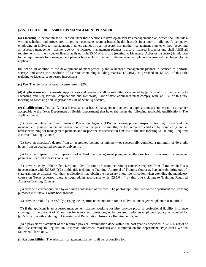### **§295.51 LICENSURE: ASBESTOS MANAGEMENT PLANNER**

(a) **Licensing**. A person must be licensed under these sections to develop an asbestos management plan, which shall include a written schedule and procedures to protect occupants from asbestos health hazards in a public building. A company, employing an individual management planner, cannot hire an inspector nor another management planner without becoming an asbestos management planner agency. A licensed management planner is also a licensed inspector and shall fulfill all requirements for the inspector license as listed in §295.50 of this title (relating to Licensure: Asbestos Inspector) in addition to the requirements for a management planner license. Only the fee for the management planner license will be charged to the applicant.

(b) **Scope**. In addition to the development of management plans, a licensed management planner is licensed to perform surveys and assess the condition of asbestos-containing building material (ACBM), as provided in §295.50 of this title (relating to Licensure: Asbestos Inspectors).

(c) **Fee**. The fee for a two-year license term is \$260.

(d) **Applications and renewals**. Applications and renewals shall be submitted as required by §295.38 of this title (relating to Licensing and Registration: Applications and Renewals). Out-of-state applicants must comply with §295.39 of this title (relating to Licensing and Registration: Out-of-State Applicants).

(e) **Qualifications**. To qualify for a license as an asbestos management planner, an applicant must demonstrate in a manner acceptable to the Texas Department of Health (department) that he or she meets the following applicable qualifications. The applicant must:

 (1) have completed an Environmental Protection Agency (EPA) or state-approved inspector training course and the management planner course of instruction within the past 12 months, or has remained certified by completing annual refresher training for management planners and inspectors, as specified in §295.64 of this title (relating to Training: Required Asbestos Training Courses);

 (2) have an associate's degree from an accredited college or university or successfully complete a minimum of 60 credit hours from an accredited college or university;

 (3) have participated in the preparation of at least five management plans, under the direction of a licensed management planner or licensed asbestos consultant;

 (4) provide a copy of the wallet-size photo-identification card from the training course as required from all trainers in Texas in accordance with §295.65(f)(2) of this title (relating to Training: Approval of Training Courses). Persons submitting out-ofstate training certificates with their applications may obtain the necessary photo-identification when attending the mandatory course on Texas asbestos rules, as required, in accordance with §295.64(h) of this title (relating to Training; Required Asbestos Training Courses);

 (5) provide a current one-inch by one-inch photograph of the face. The photograph submitted to the department for licensing purposes must have a white background;

(6) provide proof of successfully passing the department examination for an individual management planner, if required;

 (7) if the applicant is an asbestos management planner working for hire, provide proof of professional liability insurance coverage in the amount of \$1 million for errors and omissions, or be covered under an employer's policy as required by §295.40 of this title (relating to Licensing and Registration: Insurance Requirements); and

(8) a physician's statement of the required physical examination done within the past year as described in  $\S 295.42(e)(2)$  of this title (relating to Registration: Asbestos Abatement Workers) and submitted on the department "Physician's Written Statement" form only.

(f) **Responsibilities**. The asbestos management planner shall be responsible for: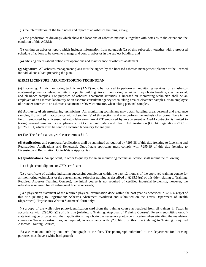(1) the interpretation of the field notes and report of an asbestos building survey;

 (2) the production of drawings which show the locations of asbestos materials, together with notes as to the extent and the condition of this ACBM;

 (3) writing an asbestos report which includes information from paragraph (2) of this subsection together with a proposed schedule of actions to be taken to manage and control asbestos in the subject building; and

(4) advising clients about options for operations and maintenance or asbestos abatement.

(g) **Signature**. All asbestos management plans must be signed by the licensed asbestos management planner or the licensed individual consultant preparing the plan.

### **§295.52 LICENSURE: AIR MONITORING TECHNICIAN**

(a) **Licensing**. An air monitoring technician (AMT) must be licensed to perform air monitoring services for an asbestos abatement project or related activity in a public building. An air monitoring technician may obtain baseline, area, personal, and clearance samples. For purposes of asbestos abatement activities, a licensed air monitoring technician shall be an employee of an asbestos laboratory or an asbestos consultant agency when taking area or clearance samples, or an employee of or under contract to an asbestos abatement or O&M contractor, when taking personal samples.

(b) **Authority of air monitoring technicians**. Air monitoring technicians may obtain baseline, area, personal and clearance samples, if qualified in accordance with subsection (e) of this section, and may perform the analysis of airborne fibers in the field if employed by a licensed asbestos laboratory. An AMT employed by an abatement or O&M contractor is limited to taking personal samples for compliance with Occupational Safety and Health Administration (OSHA) regulations 29 CFR §1926.1101, which must be sent to a licensed laboratory for analysis.

(c) **Fee**. The fee for a two-year license term is \$110.

(d) **Applications and renewals**. Applications shall be submitted as required by §295.38 of this title (relating to Licensing and Registration: Applications and Renewals). Out-of-state applicants must comply with §295.39 of this title (relating to Licensing and Registration: Out-of-State Applicants).

(e) **Qualifications**. An applicant, in order to qualify for an air monitoring technician license, shall submit the following:

(1) a high school diploma or GED certificate;

 (2) a certificate of training indicating successful completion within the past 12 months of the approved training course for air monitoring technicians or the current annual refresher training as described in  $\S295.64(g)$  of this title (relating to Training: Required Asbestos Training Courses), the initial course is not required of certified industrial hygienists; however, the refresher is required for all subsequent license renewals;

(3) a physician's statement of the required physical examination done within the past year as described in  $\S 295.42(e)(2)$  of this title (relating to Registration: Asbestos Abatement Workers) and submitted on the Texas Department of Health (department) "Physician's Written Statement" form only;

 (4) a copy of the wallet-size photo-identification card from the training course as required from all trainers in Texas in accordance with §295.65(f)(2) of this title (relating to Training: Approval of Training Courses). Persons submitting out-ofstate training certificates with their applications may obtain the necessary photo-identification when attending the mandatory course on Texas asbestos rules, as required, in accordance with §295.64(h) of this title (relating to Training: Required Asbestos Training Courses);

 (5) a current one-inch by one-inch photograph of the face. The photograph submitted to the department for licensing purposes must have a white background;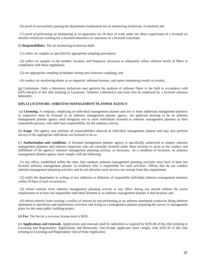(6) proof of successfully passing the department examination for air monitoring technician, if required; and

 (7) proof of performing air monitoring as an apprentice for 30 days of work under the direct supervision of a licensed air monitor technician working for a licensed laboratory or contractor or a licensed consultant.

(f) **Responsibilities**. The air monitoring technician shall:

(1) collect air samples as specified by appropriate sampling procedures;

 (2) collect air samples in the number, location, and frequency necessary to adequately reflect airborne levels of fibers in compliance with these regulations;

(3) use appropriate sampling techniques during area clearance sampling; and

(4) conduct air monitoring duties in an impartial, unbiased manner, and report monitoring results accurately.

(g) Limitations. Only a laboratory technician may perform the analysis of airborne fibers in the field in accordance with §295.54(e)(3) of this title (relating to Licensure: Asbestos Laboratory) and must also be employed by a licensed asbestos laboratory.

# **§295.53 LICENSURE: ASBESTOS MANAGEMENT PLANNER AGENCY**

 (a) **Licensing**. A company, employing an individual management planner and one or more additional management planners or inspectors must be licensed as an asbestos management planner agency. An applicant desiring to be an asbestos management planner agency shall designate one or more individuals licensed as asbestos management planners as their responsible persons, who shall have responsibility for the asbestos activity.

(b) **Scope**. The agency may perform all responsibilities allowed an individual management planner and may also perform surveys if the appropriate individuals are licensed to do so.

(c) **Authorization and conditions**. A licensed management planner agency is specifically authorized to employ asbestos management planners and asbestos inspectors who are currently licensed under these sections to assist in the conduct and fulfillment of the agency's asbestos management planning activity, as necessary. As a condition of licensure, an asbestos management planner agency must comply with the following:

 (1) any office, established within the state, that conducts asbestos management planning activities must have at least one licensed asbestos management planner in residence who is responsible for such activities. Offices that do not conduct asbestos management planning activities and do not advertise such services are exempt from this requirement;

 (2) notify the department in writing of any additions or deletions of responsible individual asbestos management planners within 10 days of such occurrences;

 (3) refrain entirely from asbestos management planning activity at any office during any period without the active employment of at least one responsible individual licensed as an asbestos management planner at that location; and

 (4) refrain entirely from creating a conflict of interest by not performing as an asbestos abatement contractor doing asbestos abatement or operations and maintenance activities and acting as a management planner preparing the survey or management plans for the same public building project.

(d) **Fee**. The fee for a two-year license term is \$430.

(e) **Applications and renewals**. Applications and renewals shall be submitted as required by §295.38 of this title (relating to Licensing and Registration: Applications and Renewals). Out-of-state applicants must comply with §295.39 of this title (relating to Licensing and Registration: Out-of-State Applicants).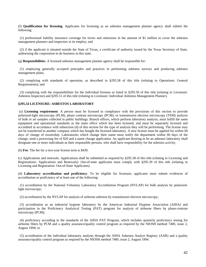(f) **Qualification for licensing**. Applicants for licensing as an asbestos management planner agency shall submit the following:

 (1) professional liability insurance coverage for errors and omissions in the amount of \$1 million to cover the asbestos management planners and inspectors in its employ; and

 (2) if the applicant is situated outside the State of Texas, a certificate of authority issued by the Texas Secretary of State, authorizing the corporation to do business in this state.

(g) **Responsibilities**. A licensed asbestos management planner agency shall be responsible for:

 (1) employing generally accepted principles and practices in performing asbestos surveys and producing asbestos management plans;

 (2) complying with standards of operation, as described in §295.58 of this title (relating to Operations: General Requirements); and

 (3) complying with the responsibilities for the individual licenses as listed in §295.50 of this title (relating to Licensure: Asbestos Inspector) and §295.51 of this title (relating to Licensure: Individual Asbestos Management Planner).

### **§295.54 LICENSURE: ASBESTOS LABORATORY**

 (a) **Licensing requirement**. A person must be licensed in compliance with the provisions of this section to provide polarized-light microscopy (PLM), phase contrast microscopy (PCM), or transmission electron microscopy (TEM) analysis of bulk or air samples collected in public buildings. Branch offices, which perform laboratory analysis, must fulfill the same equipment and operational standards as the main office which has been licensed, and must be separately licensed and accredited in accordance with subsection (d) of this section for the type of analysis they will be performing. The license may not be transferred to another company which has bought the licensed laboratory. A new license must be applied for within 60 days of change of ownership. Laboratories which change their name must notify the department within 60 days of the change, send a processing fee of \$20 and a name change application. An applicant desiring to be an asbestos laboratory shall designate one or more individuals as their responsible persons, who shall have responsibility for the asbestos activity.

(b) **Fee**. The fee for a two-year license term is \$430.

(c) Applications and renewals. Applications shall be submitted as required by §295.38 of this title (relating to Licensing and Registrations: Applications and Renewals). Out-of-state applicants must comply with §295.39 of this title (relating to Licensing and Registration: Out-of-State Applicants).

(d) **Laboratory accreditation and proficiency**. To be eligible for licensure, applicants must submit evidences of accreditation or proficiency of at least one of the following:

 (1) accreditation by the National Voluntary Laboratory Accreditation Program (NVLAP) for bulk analysis by polarizedlight microscopy;

(2) accreditation by the NVLAP for analysis of airborne asbestos by transmission electron microscopy;

 (3) accreditation as an industrial hygiene laboratory by the American Industrial Hygiene Association (AIHA) and participation in the Proficiency Analytical Testing (PAT) program for analysis of airborne fibers by phase-contrast microscopy (PCM);

 (4) proficiency according to the standards of the AIHA PAT Program, which includes quarterly proficiency testing for airborne fibers by PCM and a quality assurance/quality control program as required by the NIOSH method 7400, issue 2, August 1994; or

 (5) accreditation of the individual laboratory analysts through the AIHA Asbestos Analyst Registry (AAR) and a quality assurance/quality control program as required by the NIOSH method 7400, issue 2, August 1994.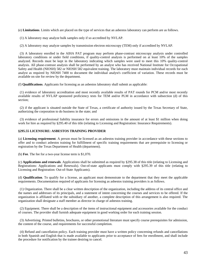(e) **Limitations**. Limits which are placed on the type of services that an asbestos laboratory can perform are as follows.

(1) A laboratory may analyze bulk samples only if so accredited by NVLAP.

(2) A laboratory may analyze samples by transmission electron microscopy (TEM) only if accredited by NVLAP.

 (3) A laboratory enrolled in the AIHA PAT program may perform phase-contrast microscopy analysis under controlled laboratory conditions or under field conditions, if quality-control analysis is performed on at least 10% of the samples analyzed. Records must be kept in the laboratory indicating which samples were used to meet this 10% quality-control analysis. All phase-contrast analysis shall be performed by an analyst who has received National Institute for Occupational Safety and Health (NIOSH) 582 or NIOSH 582 equivalent training. The laboratory must maintain individual records for each analyst as required by NIOSH 7400 to document the individual analyst's coefficient of variation. These records must be available on site for review by the department.

(f) **Qualifications**. Applicants for licensing as an asbestos laboratory shall submit as applicable:

 (1) evidence of laboratory accreditation and most recently available results of PAT rounds for PCM and/or most recently available results of NVLAP sponsored proficiency tests for TEM and/or PLM in accordance with subsection (d) of this section;

 (2) if the applicant is situated outside the State of Texas, a certificate of authority issued by the Texas Secretary of State, authorizing the corporation to do business in the state; and

 (3) evidence of professional liability insurance for errors and omissions in the amount of at least \$1 million when doing work for hire as required by §295.40 of this title (relating to Licensing and Registration: Insurance Requirements).

#### **§295.55 LICENSURE: ASBESTOS TRAINING PROVIDER**

(a) **Licensing requirement**. A person must be licensed as an asbestos training provider in accordance with these sections to offer and to conduct asbestos training for fulfillment of specific training requirements that are prerequisite to licensing or registration by the Texas Department of Health (department).

(b) **Fee**. The fee for a two-year license term is \$1,070.

(c) **Applications and renewals**. Applications shall be submitted as required by §295.38 of this title (relating to Licensing and Registrations: Applications and Renewals). Out-of-state applicants must comply with §295.39 of this title (relating to Licensing and Registration: Out-of-State Applicants).

(d) **Qualification**. To qualify for a license, an applicant must demonstrate to the department that they meet the applicable requirements. Documentation required of applicants for licensing as asbestos training providers is as follows.

 (1) Organization. There shall be a clear written description of the organization, including the address of its central office and the names and addresses of its principals, and a statement of intent concerning the courses and services to be offered. If the organization is affiliated with or the subsidiary of another, a complete description of this arrangement is also required. The organization shall designate a staff member as director in charge of asbestos training.

 (2) Equipment. There shall be a description of the items of instructional equipment and accessories available for the conduct of courses. The provider shall furnish adequate equipment in good working order for each training session.

 (3) Advertising. Printed bulletins, brochures, or other promotional literature must specify course prerequisites for admission, the content of the course, and requirements for successful completion.

 (4) Refund and cancellation policy. Each training provider must have a written policy concerning refunds and cancellations in both Spanish and English that is made available to applicants prior to acceptance of fees for enrollment, and shall include the procedure for notification by the trainee desiring to cancel.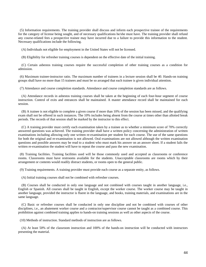(5) Information requirements. The training provider shall discuss and inform each prospective trainee of the requirements for the category of license being sought, and of necessary qualifications he/she must have. The training provider shall refund any course-related fees a prospective trainee may have incurred due to a failure to provide this information to the student. Necessary qualifications include the following.

(A) Individuals not eligible for employment in the United States will not be licensed.

(B) Eligibility for refresher training courses is dependent on the effective date of the initial training.

 (C) Certain asbestos training courses require the successful completion of other training courses as a condition for admission.

 (6) Maximum trainee-instructor ratio. The maximum number of trainees in a lecture session shall be 40. Hands-on training groups shall have no more than 15 trainees and must be so arranged that each trainee is given individual attention.

(7) Attendance and course completion standards. Attendance and course completion standards are as follows.

 (A) Attendance records in asbestos training courses shall be taken at the beginning of each four-hour segment of course instruction. Control of exits and entrances shall be maintained. A master attendance record shall be maintained for each session.

 (B) A trainee is not eligible to complete a given course if more than 10% of the session has been missed, and the qualifying exam shall not be offered in such instances. The 10% includes being absent from the course at times other than allotted break periods. The records of that session shall be marked by the instructor to this effect.

 (C) A training provider must certify each examination taken by a trainee as to whether a minimum score of 70% correctly answered questions was achieved. The training provider shall have a written policy concerning the administration of written examinations including allowing only one written re-examination per student for each course. The use of the same questions for both the original and re-examination is not allowed. Oral examinations are not allowed although the written examination questions and possible answers may be read to a student who must mark his answer on an answer sheet. If a student fails the written re-examination the student will have to repeat the course and pass the new examination.

 (8) Training facilities. Training facilities used will be those commonly used and accepted as classrooms or conference rooms. Classrooms must have restrooms available for the students. Unacceptable classrooms are rooms which by their arrangement or contents would readily distract students, or rooms open to the general public.

(9) Training requirements. A training provider must provide each course as a separate entity, as follows.

(A) Initial training courses shall not be combined with refresher courses.

 (B) Courses shall be conducted in only one language and not combined with courses taught in another language, i.e., English or Spanish. All courses shall be taught in English, except the worker course. The worker course may be taught in another language, provided the instructor is fluent in the language, and books, training materials, and examinations are in the same language.

 (C) Basic or refresher courses shall be conducted in only one discipline and not be combined with courses of other disciplines, i.e., an abatement worker course and a contractor/supervisor course cannot be taught as a combined course. This prohibition against combined training applies to hands-on training sessions as well as other aspects of the course.

(10) Methods of instruction. Standard methods of instruction are as follows.

 (A) At least 50% of the classroom instruction and 100% of the hands-on instruction will be conducted with instructors presenting the material.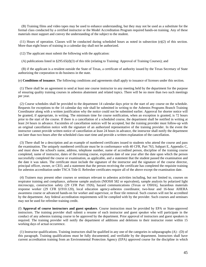(B) Training films and video tapes may be used to enhance understanding, but they may not be used as a substitute for the formal class conducted by a certified instructor or the Model Accreditation Program required hands-on training. Any of these materials must support and convey the understanding of the subject to the student.

 $(11)$  Hours of operation. Classes will be conducted during scheduled hours as noted in subsection  $(e)(2)$  of this section. More than eight hours of training in a calendar day shall not be authorized.

(12) The applicant must submit the following with the application:

(A) publications listed in §295.65(d)(3) of this title (relating to Training: Approval of Training Courses); and

 (B) if the applicant is a resident outside the State of Texas, a certificate of authority issued by the Texas Secretary of State authorizing the corporation to do business in the state.

(e) **Conditions of issuance**. The following conditions and agreements shall apply to issuance of licenses under this section.

 (1) There shall be an agreement to send at least one course instructor to any meeting held by the department for the purpose of ensuring quality training courses in asbestos abatement and related topics. There will be no more than two such meetings per year.

 (2) Course schedules shall be provided to the department 14 calendar days prior to the start of any course on the schedule. Requests for exceptions to the 14 calendar day rule shall be submitted in writing to the Asbestos Programs Branch Training Coordinator along with a written justification why the notice could not be submitted earlier. Approval for shorter notice will be granted, if appropriate, in writing. The minimum time for course notification, when an exception is granted, is 72 hours prior to the start of the course. If there is a cancellation of a scheduled course, the department shall be notified in writing at least 24 hours in advance. Facsimiles of cancellation notices will be accepted, but the training provider must follow-up with an original cancellation notice with the signature of an authorized representative of the training provider. In the event the instructor cannot provide written notice of cancellation at least 24 hours in advance, the instructor shall notify the department not later than two hours after the scheduled class start time and provide a written explanation of the cancellation.

 (3) There shall be a description and an example of numbered certificates issued to students who attend the course and pass the examination. The uniquely numbered certificate must be in conformance with 40 CFR, Part 763, Subpart E, Appendix C, and must show the school's name, address, telephone number, name of accredited person, discipline of the training course completed, name of instructor, dates of the training course, expiration date of one year after the date upon which the person successfully completed the course or examination, as applicable, and a statement that the student passed the examination and the date it was taken. The certificate must include the signature of the instructor and the signature of the course director, principal officer, owner, or CEO, and a statement that the person receiving the certificate has completed the requisite training for asbestos accreditation under TSCA Title II. Refresher certificates require all of the above except the examination date.

 (4) Trainers may present other courses or seminars relevant to asbestos activities including, but not limited to, courses on respirator training and compliance, airborne sample analysis (NIOSH 582 or equivalent), sample analysis by polarized light microscopy, construction safety (29 CFR Part 1926), hazard communications (Texas or OSHA), hazardous materials response worker (29 CFR §1910.120), local education agency-asbestos coordinator, two-hour and 16-hour AHERA awareness course or advanced hands-on for worker and supervisor, or floor tile removal. Such courses will not be accredited by the department. Any federal accreditation requirements will be complied with by the provider. Such courses and seminars may not be used for refresher training credit.

(f) **Approval of course instructors and guest speakers**. Course instruction must be provided by EPA or State-approved instructors. The training provider shall submit a resume of each instructor and guest speaker who will participate in the conduct of any asbestos training course to be approved by the department. Prior approval of instructors and guest speakers is required. The training provider will notify the department of additions and deletions to their instructor roster within 15 working days of actual occurrence.

 (1) Instructor qualifications. Training instructors shall be qualified in any one of the categories in subparagraphs (A) - (D) of this paragraph. Training qualifications must be fully documented, and verifiable by the department. Instructors shall have current accreditation training from an Environmental Protection Agency (EPA) approved course for the discipline in which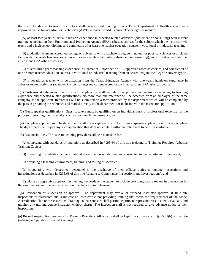the instructor desires to teach. Instructors shall have current training from a Texas Department of Health (department) approved course for Air Monitor Technician (AMT) to teach the AMT course. The categories include:

 (A) at least two years of actual hands-on experience in asbestos-related activities (abatement or consulting) with current training accreditation from Environmental Protection Agency (EPA) asbestos courses for the subject which the instructor will teach, and a high school diploma and completion of at least one teacher education course in vocational or industrial teaching;

 (B) graduation from an accredited college or university with a bachelor's degree in natural or physical sciences or a related field, with one year's hands-on experience in asbestos-related activities (abatement or consulting), and current accreditation in at least one EPA asbestos course;

 (C) at least three years teaching experience in Hazmat or HazWoper or EPA approved asbestos courses, and completion of one or more teacher education courses in vocational or industrial teaching from an accredited junior college or university; or

 (D) a vocational teacher with certification from the Texas Education Agency with one year's hands-on experience in asbestos related activities (abatement or consulting) and current accreditation in at least one EPA asbestos course.

 (2) Professional references. Each instructor application shall include three professional references attesting to teaching experience and asbestos-related qualifications. No more than one reference will be accepted from an employee of the same company as the applicant. References will be submitted on a form provided by the department which will be completed by the person providing the reference and mailed directly to the department for inclusion with the instructor application.

 (3) Guest speaker qualifications. Guest speakers must be qualified on an individual basis of professional expertise for the purpose of teaching their specialty, such as law, medicine, insurance, etc.

 (4) Complete applications. The department shall not accept any instructor or guest speaker application until it is complete. The department shall reject any such application that does not contain sufficient references to be fully verifiable.

(5) Responsibilities. The asbestos training provider shall be responsible for:

 (A) complying with standards of operation, as described in §295.64 of this title (relating to Training: Required Asbestos Training Courses);

(B) presenting to students all course material as outlined in syllabus and as represented to the department for approval;

(C) providing a teaching environment, training, and testing as specified;

 (D) cooperating with department personnel in the discharge of their official duties to conduct inspections and investigations as described in §295.68 of this title (relating to Compliance: Inspections and Investigations); and

 (E) taking an aggressive approach in meeting the needs of the student to include providing course review in preparation for the examination and specialized attention to enhance comprehension.

 (6) Revocation or suspension of approval. The department may revoke or suspend instructor approval if field site inspections or classroom audits indicate an instructor is not providing training that meets the requirements of the Model Accreditation Plan or these sections. Training course sponsors shall permit department representatives to attend, evaluate, and monitor any training course instructor without charge. The inspection staff is not required to give advance notice of their inspections.

(g) Record keeping Requirements for Training Providers. All records shall be kept in accordance with §295.62(b) of this title (relating to Operations: Record keeping).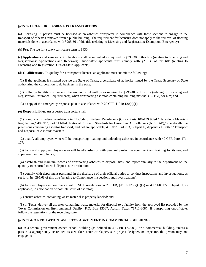### **§295.56 LICENSURE: ASBESTOS TRANSPORTERS**

(a) **Licensing**. A person must be licensed as an asbestos transporter in compliance with these sections to engage in the transport of asbestos removed from a public building. The requirement for licensure does not apply to the removal of flooring materials done in accordance with §295.36 of this title (relating to Licensing and Registration: Exemption; Emergency).

(b) **Fee**. The fee for a two-year license term is \$430.

(c) **Applications and renewals**. Applications shall be submitted as required by §295.38 of this title (relating to Licensing and Registrations: Applications and Renewals). Out-of-state applicants must comply with §295.39 of this title (relating to Licensing and Registration: Out-of-State Applicants).

(d) **Qualifications**. To qualify for a transporter license, an applicant must submit the following:

 (1) if the applicant is situated outside the State of Texas, a certificate of authority issued by the Texas Secretary of State authorizing the corporation to do business in the state;

 (2) pollution liability insurance in the amount of \$1 million as required by §295.40 of this title (relating to Licensing and Registration: Insurance Requirements), when transporting asbestos-containing building material (ACBM) for hire; and

(3) a copy of the emergency response plan in accordance with 29 CFR §1910.120(q)(1).

(e) **Responsibilities**. An asbestos transporter shall:

 (1) comply with federal regulations in 49 Code of Federal Regulations (CFR), Parts 100-199 titled "Hazardous Materials Regulations," 40 CFR, Part 61 titled "National Emission Standards for Hazardous Air Pollutants (NESHAP)," specifically the provisions concerning asbestos transport, and, where applicable, 40 CFR, Part 763, Subpart E, Appendix D, titled "Transport and Disposal of Asbestos Waste";

 (2) qualify all employees who will be transporting, loading and unloading asbestos, in accordance with 49 CFR Parts 171- 177;

 (3) train and supply employees who will handle asbestos with personal protective equipment and training for its use, and supervise their compliance;

 (4) establish and maintain records of transporting asbestos to disposal sites, and report annually to the department on the quantity transported to each disposal site destination;

 (5) comply with department personnel in the discharge of their official duties to conduct inspections and investigations, as set forth in §295.68 of this title (relating to Compliance: Inspections and Investigations);

(6) train employees in compliance with OSHA regulations in 29 CFR,  $\S1910.120(a)(1)(v)$  or 49 CFR 172 Subpart H, as applicable, in anticipation of possible spills of asbestos;

(7) ensure asbestos-containing waste material is properly labeled; and

 (8) in Texas, deliver all asbestos-containing waste material for disposal to a facility from the approved list provided by the Texas Commission on Environmental Quality, P.O. Box 13087, Austin, Texas 78711-3087. If transporting out-of-state, follow the regulations of the receiving state.

# **§295.57 ACCREDITATION: ASBESTOS ABATEMENT IN COMMERCIAL BUILDINGS**

(a) In a federal government owned school building (as defined in 40 CFR §763.83), or a commercial building, unless a person is appropriately accredited as a worker, contractor/supervisor, project designer, or inspector, the person may not engage in: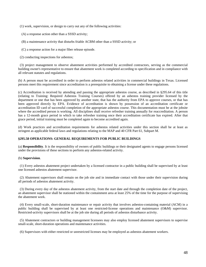(1) work, supervision, or design to carry out any of the following activities:

(A) a response action other than a SSSD activity;

(B) a maintenance activity that disturbs friable ACBM other than a SSSD activity; or

(C) a response action for a major fiber release episode.

(2) conducting inspections for asbestos;

 (3) project management to observe abatement activities performed by accredited contractors, serving as the commercial building owner's representative to ensure that abatement work is completed according to specification and in compliance with all relevant statutes and regulations.

(b) A person must be accredited in order to perform asbestos related activities in commercial buildings in Texas. Licensed persons meet this requirement since accreditation is a prerequisite to obtaining a license under these regulations.

(c) Accreditation is received by attending and passing the appropriate asbestos course, as described in §295.64 of this title (relating to Training: Required Asbestos Training Courses) offered by an asbestos training provider licensed by the department or one that has been approved by another state, that has the authority from EPA to approve courses, or that has been approved directly by EPA. Evidence of accreditation is shown by possession of an accreditation certificate or accreditation ID card of successful completion of the appropriate asbestos course. This documentation must be at the jobsite where the accredited person is working. All disciplines shall receive refresher training annually for reaccreditation. A person has a 12-month grace period in which to take refresher training once their accreditation certificate has expired. After that grace period, initial training must be completed again to become accredited again.

(d) Work practices and accreditation requirements for asbestos related activities under this section shall be at least as stringent as applicable federal laws and regulations relating to the MAP and 40 CFR Part 61, Subpart M.

# **§295.58 OPERATIONS: GENERAL REQUIREMENTS FOR PUBLIC BUILDINGS**

(a) **Responsibility**. It is the responsibility of owners of public buildings or their designated agents to engage persons licensed under the provisions of these sections to perform any asbestos-related activity.

#### (b) **Supervision**.

 (1) Every asbestos abatement project undertaken by a licensed contractor in a public building shall be supervised by at least one licensed asbestos abatement supervisor.

 (2) Abatement supervisors shall remain on the job site and in immediate contact with those under their supervision during all periods of asbestos abatement activity.

 (3) During every day of the asbestos abatement activity, from the start date and through the completion date of the project, an abatement supervisor shall be stationed within the containment area at least 25% of the time for the purpose of supervising the abatement work.

 (4) Every small-scale, short-duration maintenance or repair activity that involves asbestos-containing material (ACM) in a public building shall be supervised by at least one restricted-license operations and maintenance (O&M) supervisor. Restricted-activity supervisors shall be at the job site during all periods of asbestos disturbance activity.

 (5) Abatement contractors or building management licensees may also employ licensed abatement supervisors to supervise small-scale, short-duration operations and maintenance activities.

(6) Supervisors with either restricted or unrestricted licenses may be employed as asbestos abatement workers.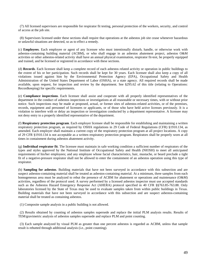(7) All licensed supervisors are responsible for respirator fit testing, personal protection of the workers, security, and control of access at the job site.

 (8) Supervisors licensed under these sections shall require that operations at the asbestos job site cease whenever hazardous or unlawful situations are detected, so as to effect a remedy.

(c) **Employees**. Each employee or agent of any licensee who must intentionally disturb, handle, or otherwise work with asbestos-containing building material (ACBM), or who shall engage in an asbestos abatement project, asbestos O&M activities or other asbestos-related activity shall have an annual physical examination, respirator fit-test, be properly equipped and trained, and be licensed or registered in accordance with these sections.

(d) **Records**. Each licensee shall keep a complete record of each asbestos related activity or operation in public buildings to the extent of his or her participation. Such records shall be kept for 30 years. Each licensee shall also keep a copy of all violations issued against him by the Environmental Protection Agency (EPA), Occupational Safety and Health Administration of the United States Department of Labor (OSHA), or a state agency. All required records shall be made available, upon request, for inspection and review by the department. See §295.62 of this title (relating to Operations: Recordkeeping) for specific requirements.

(e) **Compliance inspections**. Each licensee shall assist and cooperate with all properly identified representatives of the department in the conduct of asbestos inspections or investigations at all reasonable or necessary times, with or without prior notice. Such inspections may be made at proposed, actual, or former sites of asbestos-related activities, or of the premises, records, equipment and personnel of licensees or applicants, or of those who have held active licenses previously. It is a violation to interfere with or delay an inspection or investigation conducted by a department representative. A licensee may not deny entry to a properly identified representative of the department.

(f) **Respiratory protection program**. Each employer licensee shall be responsible for establishing and maintaining a written respiratory protection program, as required by OSHA regulations in 29 Code of Federal Regulations (CFR) §1910.134, as amended. Each employer shall maintain a current copy of the respiratory protection program at all project locations. A copy of 29 CFR §1910.134 is not acceptable as a written respiratory protection program. Respirators shall be properly worn at all times in containment during asbestos abatement activity.

(g) **Individual respirator fit**. The licensee must maintain in safe working condition a sufficient number of respirators of the types and styles approved by the National Institute of Occupational Safety and Health (NIOSH) to meet all anticipated requirements of his/her employees; and any employee whose facial characteristics, hair, mustache, or beard preclude a tight fit of a negative-pressure respirator shall not be allowed to enter the containment of an asbestos operation using this type of respirator.

(h) **Sampling for asbestos**. Building materials that have not been surveyed in accordance with this subsection and are suspect asbestos-containing material shall be treated as asbestos-containing material. At a minimum, three samples from each homogeneous area must be analyzed to rebut the presence of ACBM for abatement or operations and maintenance (O&M) activities, regardless of the protocol used. A survey performed by a licensed asbestos inspector must use accepted standards such as the Asbestos Hazard Emergency Response Act (AHERA) protocol specified in 40 CFR §§763.85-763.88. Only laboratories licensed by the State of Texas may be used to evaluate samples taken from within public buildings in Texas. Building materials that have not been surveyed in accordance with this subsection and are suspect asbestos-containing material shall be treated as containing asbestos.

(1) Composite sample analysis in a public building is not allowed.

 (2) Results obtained by counting of asbestos samples supersede and replace the initial PLM analysis results. Results of TEM/gravimetric analysis of asbestos samples supersede and replace PLM and point counting.

 (3) Each sample analyzed by visual PLM as greater than one percent asbestos is regarded as ACBM, unless that sample result is rebutted through additional analysis (i.e., point counting).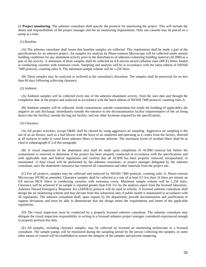(i) **Project monitoring**. The asbestos consultant shall specify the protocol for monitoring the project. This will include the duties and responsibilities of the project manager and the air monitoring requirements. Only one cassette may be placed on a pump at a time.

#### (1) Baseline.

 (A) The asbestos consultant shall insure that baseline samples are collected. This requirement shall be made a part of the specifications for an asbestos project. Air samples for analysis by Phase-contrast Microscopy will be collected under normal building conditions for any abatement activity prior to the disturbances of asbestos-containing building material (ACBM) as a part of the activity. A minimum of three samples shall be collected on 0.8 micron mixed cellulose ester (MCE) filters loaded in conducting cassettes with extension cowls. Sampling and analysis will be in accordance with the latest edition of NIOSH 7400 protocol, counting rules A. The minimum sample volume will be 1,250 liters.

 (B) These samples may be analyzed or archived at the consultant's discretion. The samples shall be preserved for no less than 60 days following achieving clearance.

#### (2) Ambient.

 (A) Ambient samples will be collected every day of the asbestos abatement activity, from the start date and through the completion date of the project and analyzed in accordance with the latest edition of NIOSH 7400 protocol, counting rules A.

 (B) Ambient samples will be collected: inside containment; outside containment but inside the building (if applicable); the negative air unit discharge; immediately outside the entrance to the decontamination facility (representative of the air being drawn into the facility); outside the bag out facility; and any other locations required by the specifications.

#### (3) Clearance.

 (A) All project activities, except O&M, shall be cleared by using aggressive air sampling. Aggressive air sampling is the use of an air blower, such as a leaf blower with the force of air unaltered and operating as it comes from the factory, directed at all surfaces in order to cause loose asbestos fibers to become airborne. The maximum levels of residual fibers shall be as cited in subparagraph (C) of this paragraph.

 (B) A visual inspection of the abatement area shall be made upon completion of ACBM removal but before the containment is removed to determine if the project has been properly conducted in accordance with the specifications and with applicable state and federal regulations and confirm that all ACBM has been properly removed, encapsulated, or maintained. A final visual will be performed by the asbestos consultant, or project manager delegated by the asbestos consultant, once the abatement contractor has removed all containment and other materials from the project site.

 (C) For all projects, samples may be collected and analyzed by NIOSH 7400 protocol, counting rules A, Phase-contrast Microscopy (PCM) as amended. Clearance samples shall be collected at a rate of at least 0.5 less than 16 liters per minute on 0.8 micron MCE filters in conducting cassettes with extension cowls. Minimum sample volume will be 1,250 liters. Clearance will be achieved if no sample is reported greater than 0.01 f/cc by the analysis report from the licensed laboratory. Asbestos Hazard Emergency Response Act (AHERA) protocol will be used in schools. A licensed asbestos consultant shall design the air monitoring scheme and may deviate from this subsection only if public health is maintained in accordance with all regulations. The asbestos consultant shall, upon request by the department, provide documentation and justification to support deviations and must be able to demonstrate that the design meets the requirements and intent of the applicable regulations.

 (D) The visual inspection must be conducted by a properly licensed asbestos consultant. The asbestos consultant may delegate the visual inspection responsibility in writing to a licensed asbestos project manager considered experienced enough to properly perform this duty.

 (E) All samples, including clearance samples, may be collected by licensed air monitoring technicians or a licensed consultant. The sample pumps will be monitored during the sampling period by the person collecting the samples, or some other means of control will be established to ensure the integrity of the samples and prevent tampering.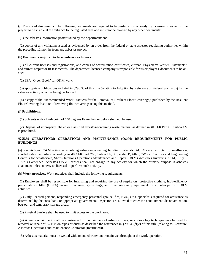(j) **Posting of documents**. The following documents are required to be posted conspicuously by licensees involved in the project to be visible at the entrance to the regulated area and must not be covered by any other documents:

(1) the asbestos information poster issued by the department; and

 (2) copies of any violations issued as evidenced by an order from the federal or state asbestos-regulating authorities within the preceding 12 months from any asbestos project.

#### (k) **Documents required to be on-site are as follows**:

 (1) all current licenses and registrations, and copies of accreditation certificates, current "Physician's Written Statements", and current respirator fit-test records. The department licensed company is responsible for its employees' documents to be onsite;

(2) EPA "Green Book" for O&M work;

 (3) appropriate publications as listed in §295.33 of this title (relating to Adoption by Reference of Federal Standards) for the asbestos activity which is being performed;

 (4) a copy of the "Recommended Work Practices for the Removal of Resilient Floor Coverings," published by the Resilient Floor Covering Institute, if removing floor coverings using this method.

#### (l) **Prohibitions**.

(1) Solvents with a flash point of 140 degrees Fahrenheit or below shall not be used.

 (2) Disposal of improperly labeled or classified asbestos-containing waste material as defined in 40 CFR Part 61, Subpart M is prohibited.

# **§295.59 OPERATIONS: OPERATIONS AND MAINTENANCE (O&M) REQUIREMENTS FOR PUBLIC BUILDINGS**

(a) **Restrictions**. O&M activities involving asbestos-containing building materials (ACBM) are restricted to small-scale, short-duration activities, according to 40 CFR Part 763, Subpart E, Appendix B, titled, "Work Practices and Engineering Controls for Small-Scale, Short-Durations Operations Maintenance and Repair (O&M) Activities Involving ACM," July 1, 1997, as amended. Asbestos O&M licensees shall not engage in any activity for which the primary purpose is asbestos abatement unless otherwise licensed to perform such activity.

(b) **Work practices**. Work practices shall include the following requirements.

 (1) Employers shall be responsible for furnishing and requiring the use of respirators, protective clothing, high-efficiency particulate air filter (HEPA) vacuum machines, glove bags, and other necessary equipment for all who perform O&M activities.

 (2) Only licensed persons, responding emergency personnel (police, fire, EMS, etc.), specialists required for assistance as determined by the consultant, or appropriate governmental inspectors are allowed to enter the containment, decontamination, bag-out, and temporary storage areas.

(3) Physical barriers shall be used to limit access to the work area.

 (4) A mini-containment shall be constructed for containment of asbestos fibers, or a glove bag technique may be used for removal or repair of ACBM on pipes or ducts as described the references in §295.43(f)(2) of this title (relating to Licensure: Asbestos Operations and Maintenance Contractor (Restricted)).

(5) Asbestos material must be wetted with amended water and remain wet throughout the work operation.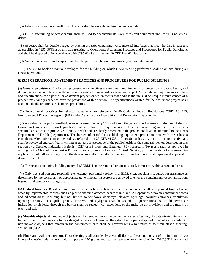(6) Asbestos exposed as a result of spot repairs shall be suitably enclosed or encapsulated.

 (7) HEPA vacuuming or wet cleaning shall be used to decontaminate work areas and equipment until there is no visible debris.

 (8) Asbestos shall be double bagged by placing asbestos-containing waste material into bags that meet the dart impact test as specified in §295.60(j)(1) of this title (relating to Operations: Abatement Practices and Procedures for Public Buildings), and shall be disposed of in accordance with §295.60 of this title and 40 CFR Part 61, Subpart M.

(9) Air clearance and visual inspections shall be performed before removing any mini-containment.

 (10) The O&M book or manual developed for the building on which O&M is being performed shall be on site during all O&M operations.

### **§295.60 OPERATIONS: ABATEMENT PRACTICES AND PROCEDURES FOR PUBLIC BUILDINGS**

(a) **General provisions**. The following general work practices are minimum requirements for protection of public health, and do not constitute complete or sufficient specifications for an asbestos abatement project. More detailed requirements in plans and specifications for a particular abatement project, or requirements that address the unusual or unique circumstances of a project, may take precedence over the provisions of this section. The specifications written for the abatement project shall also include the required air clearance procedures.

 (1) Federal work practices for asbestos abatement are referenced in 40 Code of Federal Regulations (CFR) §61.145, Environmental Protection Agency (EPA) titled "Standard for Demolition and Renovation," as amended.

 (2) An asbestos project consultant, who is licensed under §295.47 of this title (relating to Licensure: Individual Asbestos Consultant), may specify work practices that vary from the requirements of this section as long as the work practices specified are at least as protective of public health and are clearly described in the project notification submitted to the Texas Department of Health (department). The burden of proof for establishing equivalent protection rests with the asbestos consultant. Alternative control methods as referred to in 29 CFR  $\S 1926.1101(g)(6)$ , such as dry removal or no negative air, shall be reviewed and certified in writing as at least as protective of the public health as the standard method described in this section by a Certified Industrial Hygienist (CIH) or a Professional Engineer (PE) licensed in Texas and shall be approved in writing by the Chief of the Asbestos Programs Branch, Toxic Substances Control Division, prior to the start of abatement. An applicant should allow 30 days from the date of submitting an alternative control method until final department approval or denial is issued.

(3) If asbestos-containing building material (ACBM) is to be removed or encapsulated, it must be within a regulated area.

 (4) Only licensed persons, responding emergency personnel (police, fire, EMS, etc.), specialists required for assistance as determined by the consultant, or appropriate governmental inspectors are allowed to enter the containment, decontamination, bag-out, and temporary storage areas.

(b) **Critical barriers**. Regulated areas within which asbestos abatement is to be conducted shall be separated from adjacent areas by impermeable barriers such as plastic sheeting attached securely in place. All openings between containment areas and adjacent areas, including but not limited to windows, doorways, elevator openings, corridor entrances, ventilation openings, drains, ducts, grills, grates, diffusers, and skylights, shall be sealed. All penetrations that could permit air infiltration or air leaks through the barrier shall be sealed, with exceptions of the make-up air provisions and the means of entry and exit.

(c) **Movable objects**. All movable objects shall be removed from the containment area. Cleaning of contaminated items shall be performed if the items are to be salvaged or reused. Otherwise, they shall be properly disposed of as asbestos waste. All non-movable objects that remain in the containment area shall be covered with a minimum of four-mil plastic sheeting, secured in place.

(d) **Floor and wall preparation**. Floor sheeting shall completely cover all floor surfaces and consist of a minimum of two layers of sheeting with at least a dart impact of 270 grams and tear resistance of machine direction (M.D.) 512 grams and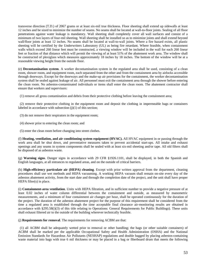transverse direction (T.D.) of 2067 grams or at least six-mil true thickness. Floor sheeting shall extend up sidewalls at least 12 inches and be sized to minimize the number of seams. No seams shall be located at wall-to-floor joints. Sealing of all floor penetrations against water leakage is mandatory. Wall sheeting shall completely cover all wall surfaces and consist of a minimum of two layers of four-mil sheeting. Wall sheeting shall be installed so as to minimize joints and shall extend beyond wall/floor joints at least 12 inches. No seams shall be located at wall-to-wall joints. Where a fire hazard exists, all plastic sheeting will be certified by the Underwriters Laboratory (UL) as being fire retardant. Where feasible, when containment walls which exceed 260 linear feet must be constructed, a viewing window will be included in the wall for each 260 linear feet or fraction of that distance which will permit the viewing of at least 51% of the abatement work area. The window shall be constructed of plexiglass which measures approximately 18 inches by 18 inches. The bottom of the window will be at a reasonable viewing height from the outside floor.

(e) **Decontamination system**. A worker decontamination system in the regulated area shall be used, consisting of a clean room, shower room, and equipment room, each separated from the other and from the containment area by airlocks accessible through doorways. Except for the doorways and the make-up air provisions for the containment, the worker decontamination system shall be sealed against leakage of air. All personnel must exit the containment area through the shower before entering the clean room. No asbestos-contaminated individuals or items shall enter the clean room. The abatement contractor shall ensure that workers and supervisors:

(1) remove all gross contamination and debris from their protective clothing before leaving the containment area;

 (2) remove their protective clothing in the equipment room and deposit the clothing in impermeable bags or containers labeled in accordance with subsection  $(i)(1)$  of this section;

- (3) do not remove their respirators in the equipment room;
- (4) shower prior to entering the clean room; and
- (5) enter the clean room before changing into street clothes.

(f) **Heating, ventilation, and air conditioning system equipment (HVAC).** All HVAC equipment in or passing through the work area shall be shut down, and preventative measures taken to prevent accidental start-ups. All intake and exhaust openings and any seams in system components shall be sealed with at least six-mil sheeting and/or tape. All old filters shall be disposed of as asbestos waste.

(g) **Warning signs**. Danger signs in accordance with 29 CFR §1926.1101, shall be displayed, in both the Spanish and English languages, at all entrances to regulated areas, and on the outside of critical barriers.

(h) **High-efficiency particulate air (HEPA) cleaning**. Except with prior written approval from the department, cleaning procedures shall use wet methods and HEPA vacuuming. A working HEPA vacuum shall remain on-site every day of the asbestos abatement activity, from the start date and through the completion date of the project, and the unit shall have proper HEPA filter(s) in place.

(i) **Containment-area ventilation**. Units with HEPA filtration, and in sufficient number to provide a negative pressure of at least 0.02 inches of water column differential between the containment and outside, as measured by manometric measurements, and a minimum of four containment air changes per hour, shall be operated continuously for the duration of the project. The duration of the asbestos abatement project for the purpose of this requirement shall be considered from the time a regulated area is established through the time acceptable final clearance air-monitoring results are obtained in accordance with §295.58(i)(3) of this title relating to Operations: General Requirements for Public Buildings). These units shall exhaust filtered air to the outside of the building wherever technically feasible.

(j) **Requirements for removal**. The requirements for removing ACBM are that:

 (1) all ACBM shall be adequately wetted prior to removal or other handling; the bags (or other suitable containers) of ACBM shall be marked per the applicable Occupational Safety and Health Administration (OSHA) and the National Emission Standards for Hazardous Air Pollutants (NESHAP) regulations and double bagged by placing asbestos-containing waste material into bags with true 6 mil thickness or may be placed in a bag or fiberboard drum that meets the following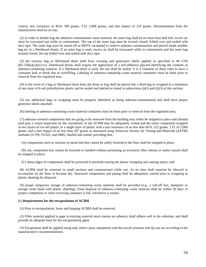criteria: tear resistance of M.D. 300 grams, T.D. 2,068 grams, and dart impact of 216 grams. Documentation from the manufacturer shall be on site;

 (2) in order to double bag the asbestos-contaminated waste material, the inner bag shall be no more than half full, excess air must be evacuated out while in containment. The top of the inner bag must be twisted closed, folded over and sealed with duct tape. The inner bag must be rinsed off or HEPA vacuumed to remove asbestos contamination and placed inside another bag (or in a fiberboard drum). If an outer bag is used, excess air shall be evacuated while in containment and the outer bag twisted closed, the top folded over and sealed with duct tape;

 (3) the exterior bag or fiberboard drum shall have warning and generators labels applied as specified in 40 CFR  $§61.150(a)(1)(iv)-(v)$ . Fiberboard drums shall require the application of a self-adhesive placard identifying the contents as asbestos-containing material. If a fiberboard drum is used, the top shall be sealed. It is a violation of these rules to have a container leak or break due to overfilling. Labeling of asbestos-containing waste material containers must be done prior to removal from the regulated area;

 (4) in the event of a bag or fiberboard drum leak, the drum or bag shall be placed into a third bag or wrapped in a minimum of one layer of 6-mil polyethylene plastic and be sealed and labeled as stated in subsections  $(j)(2)$  and  $(j)(3)$  of this section;

 (5) any additional bags or wrapping must be properly identified as being asbestos-contaminated and shall have proper generator labels attached;

(6) labeling of asbestos-containing waste material containers must be done prior to removal from the regulated area;

 (7) asbestos-covered components that are going to be removed from the building may either be stripped in place and cleaned (and pass a visual inspection by the consultant), or the ACBM may be adequately wetted and the entire component wrapped in two layers of six-mil plastic or a single layer of plastic with a tear resistance of no less than M.D. 512 grams, T.D. of 2,068 grams, and a dart impact of no less than 297 grams as measured using American Society for Testing and Materials (ASTM) methods D1709, D1922, and D882, labeled and sealed, providing that:

(A) components such as sections of metal lath that cannot be safely lowered to the floor shall be stripped in place;

 (B) any component that cannot be lowered or handled without presenting an excessive fiber release or safety hazard shall be stripped in place;

(C) sharp edges of components shall be protected to preclude tearing the plastic wrapping and causing injury; and

 (8) ACBM shall be removed in small sections and containerized while wet. At no time shall material be allowed to accumulate on the floor or become dry. Structural components and piping shall be adequately wetted prior to wrapping in plastic sheeting for disposal;

 (9) proper temporary storage of asbestos-containing waste material shall be provided (e.g., a roll-off box, dumpster or storage room lined with plastic sheeting). Final disposal of asbestos-containing waste material shall be within 30 days of project completion or when receiving container is full, whichever is sooner.

#### (k) **Requirements for the encapsulation of ACBM**.

(1) Prior to encapsulation, loose and hanging ACBM shall be removed.

 (2) Filler material applied to gaps in existing material must contain no asbestos, shall adhere well to the substrate, and shall provide an adequate base for the encapsulating agent.

 (3) Encapsulant shall be applied using only airless spray equipment with the nozzle pressure and tip size set according to the manufacturer's recommendations.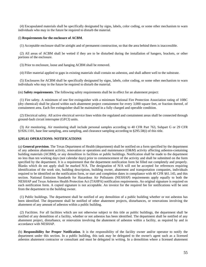(4) Encapsulated materials shall be specifically designated by signs, labels, color coding, or some other mechanism to warn individuals who may in the future be required to disturb the material.

#### (l) **Requirements for the enclosure of ACBM**.

(1) Acceptable enclosure shall be airtight and of permanent construction, so that the area behind them is inaccessible.

 (2) All areas of ACBM shall be wetted if they are to be disturbed during the installation of hangers, brackets, or other portions of the enclosure.

(3) Prior to enclosure, loose and hanging ACBM shall be removed.

(4) Filler material applied to gaps in existing materials shall contain no asbestos, and shall adhere well to the substrate.

 (5) Enclosures for ACBM shall be specifically designated by signs, labels, color coding, or some other mechanism to warn individuals who may in the future be required to disturb the material.

(m) **Safety requirements**. The following safety requirements shall be in effect for an abatement project:

 (1) Fire safety. A minimum of one fire extinguisher with a minimum National Fire Protection Association rating of 10BC (dry chemical) shall be placed within each abatement project containment for every 3,000 square feet, or fraction thereof, of containment area. Each fire extinguisher shall be maintained in a fully charged and operable condition.

 (2) Electrical safety. All active electrical service lines within the regulated and containment areas shall be connected through ground-fault circuit interrupter (GFCI) units.

 (3) Air monitoring. Air monitoring shall include personal samples according to 40 CFR Part 763, Subpart G or 29 CFR §1926.1101, base line sampling, area sampling, and clearance sampling according to §295.58(i) of this title.

### **§295.61 OPERATIONS: NOTIFICATIONS**

(a) **General provision**. The Texas Department of Health (department) shall be notified on a form specified by the department of any asbestos abatement activity, renovation or operations and maintenance (O&M) activity affecting asbestos-containing building materials (ACBM), or any demolition in facilities or public buildings. Notification shall be made to the department no less than ten working days (not calendar days) prior to commencement of the activity and shall be submitted on the form specified by the department. It is a requirement that the department notification form be filled out completely and properly. Blanks which do not apply shall be marked N/A. The designation of N/A will not be accepted for references requiring identification of the work site, building description, building owner, abatement and transportation companies, individuals required to be identified on the notification form, or start and completion dates in compliance with 40 CFR §61.145, and this section. National Emission Standards for Hazardous Air Pollutants (NESHAP) requirements apply equally to both the NESHAP and Texas Asbestos Health Protection Act (TAHPA) notification requirements. An original signature is required on each notification form. A copied signature is not acceptable. An invoice for the required fee for notifications will be sent from the department to the building owner.

 (1) Public buildings. The department shall be notified of any demolition of a public building whether or not asbestos has been identified. The department shall be notified of other abatement projects, disturbances, or renovations involving the abatement of any amount of asbestos within a public building.

 (2) Facilities. For all facilities which are not otherwise subject to this title as public buildings, the department shall be notified of any demolition of a facility, whether or not asbestos has been identified. The department shall be notified of any abatement project, disturbance, or renovation involving the abatement of asbestos within a facility, as required by and in accordance with NESHAP.

(b) **Responsibility for Proper Notification**. It is the responsibility of the facility owner and/or operator to notify the department under this section. In a public building, this task may be delegated to the owner's agent such as a licensed asbestos abatement contractor or consultant and must be delegated in writing. In a demolition where a licensed abatement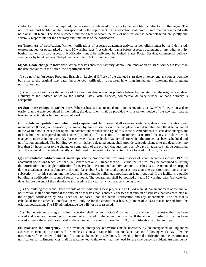contractor or consultant is not required, the task may be delegated in writing to the demolition contractor or other agent. The notification must be filed on the form specified by the department. The notification shall have all information completed with no blocks left blank. The facility owner, and the agent to whom the task of notification has been delegated, are jointly and severally responsible for the accuracy and timeliness of the notification.

(c) **Timeliness of notification**. Written notifications of asbestos abatement activity or demolition must be hand delivered, express mailed, or postmarked at least 10 working days (not calendar days) before asbestos abatement or any other activity begins that will disturb asbestos. Notifications must be delivered by United States Postal Service, commercial delivery service, or by hand delivery. Telephone facsimile (FAX) is not permitted.

(d) **Start-date change to later date**. When asbestos abatement activity, demolition, renovation or O&M will begin later than the date contained in the notice, the department shall:

 (1) be notified (Asbestos Programs Branch or Regional Office) of the changed start date by telephone as soon as possible but prior to the original start date. An amended notification is required in writing immediately following the foregoing notification; and

 (2) be provided with a written notice of the new start date as soon as possible before, but no later than the original start date. Delivery of the updated notice by the United States Postal Service, commercial delivery service, or hand delivery is acceptable.

(e) **Start-date change to earlier date**. When asbestos abatement, demolition, renovation, or O&M will begin on a date earlier than the date contained in the notice, the department shall be provided with a written notice of the new start date at least ten working days before the start of work.

(f) **Start-date/stop-date (completion date) requirement**. In no event shall asbestos abatement, demolition, operations and maintenance (O&M), or renovation, as covered by this section, begin or be completed on a date other than the date contained in the written notice except for operation covered under subsection (g) of this section. Amendments to start date changes are to be submitted as required in subsections (d) and (e) of this section. An amendment is required for any stop dates which change by more than one work day for each week (seven calendar day period) for which the project has been scheduled and notification submitted. The building owner, or his/her delegated agent, shall provide schedule changes to the department no less than 24 hours prior to the change or completion of the project. Changes less than 10 days in advance shall be confirmed with the regional office telephonically and followed up in writing to the central office located in Austin, Texas.

(g) **Consolidated notifications of small operations**. Notifications involving a series of small, separate asbestos O&M or abatement operations (each less than 160 square feet or 260 linear feet or 35 cubic feet in size) may be combined by listing the information on a single notification form. Predict the combined additive amount of asbestos to be removed or stripped during a calendar year of January 1 through December 31. If the total amount is less than one asbestos reporting unit per subsection (j) of this section, and the facility is not a public building, a notification is not required. If the facility is a public building, a notification is required for any amount. The department shall be notified at least 10 working days (not calendar days) before the end of the calendar year preceding the year for which notice is being given.

 (1) The building owner shall keep records of the individual O&M projects in an O&M manual. An amendment of the annual notification shall be submitted if the amount of asbestos that is abated surpasses that amount of asbestos that was predicted in the original notification by 20%. Fees will be based upon the annual notification and any amendments. The fee that is calculated for the amended notification will only be for the amount of asbestos (number of ARUs) that increased from the original notification. The \$55 administrative fee will not be reassessed.

 (2) The department during a routine inspection shall review the O&M manual for the amount of asbestos that has been abated and compare the amount to the amount estimated on the annual notification. If the amount of asbestos that has been abated exceeds the amount estimated in the annual notification by more than 20%, the notification will be improper.

(h) **Provision for emergency**. In the event of emergency renovations made necessary by an unexpected or unplanned asbestos incident, notification will be made as soon as practicable, but not later than the following work day after the occurrence of the incident. Initial notification can be made by telephone, followed by formal notification on the department's notification form. Emergencies shall be documented to the extent that the need for the emergency is evident. An emergency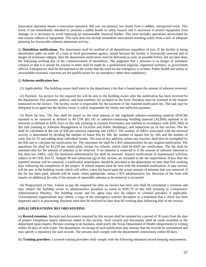renovation operation means a renovation operation that was not planned, but results from a sudden, unexpected event. This event, if not immediately attended to, presents a public health or safety hazard, and is necessary to protect equipment from damage, or is necessary to avoid imposing an unreasonable financial burden. This term includes operations necessitated by non-routine failures of equipment. This term does not include immediate renovations resulting solely from a lack of adequate planning for foreseeable asbestos abatement activity.

(i) **Demolition notifications**. The department shall be notified of all demolitions regardless of size. If the facility is being demolished under an order of a state or local government agency, issued because the facility is structurally unsound and in danger of imminent collapse, then the department notification must be delivered as early as possible before, but not later than, the following working day of the commencement of demolition. The judgment that a structure is in danger of imminent collapse or that it is unsafe for anyone to enter shall be made by a professional engineer, registered architect, or government official. Emergencies shall be documented to the extent that the need for the emergency is evident. Public health and safety or unavoidable economic concerns are the qualifications for an emergency rather than expediency.

### (j) **Asbestos notification fees**.

(1) Applicability. The building owner shall remit to the department a fee that is based upon the amount of asbestos removed.

 (2) Payment. An invoice for the required fee will be sent to the building owner after the notification has been received by the department. Fee amounts, address, and fund numbers are included on the form. Payment must be remitted in the manner instructed on the invoice. The facility owner is responsible for the payment of the required notification fee. The task may be delegated to an agent but the facility owner is solely responsible for timely and sufficient payment.

 (3) Basis for fees. The fees shall be based on the total amount of the regulated asbestos-containing material (RACM) reported to be removed as defined in 40 CFR §61.141 or asbestos-containing building material (ACBM) reported to be removed as defined in §295.31(c) of this title (relating to General Provisions) and notified in accordance with §295.34(f) of this title (relating to Asbestos Management in Facilities and Public Buildings), and subsection (a) of this section. The fee shall be calculated at the rate of \$30 per asbestos reporting unit (ARU). The number of ARUs associated with the removal activity is determined by dividing the number of linear feet by 260, the number of square feet by 160, and the number of cubic feet by 35 and adding these individual results. The sum of this addition, minus any fraction, shall then be multiplied by the \$30 rate to calculate the notification fee. The minimum fee shall be a \$55 administration fee per original notification. The maximum fee shall be \$3,210 per notification, except for schools, which shall be \$320 per notification. The fee shall be assessed only for the amount of asbestos to be removed. If no asbestos is removed or if the amount of asbestos removed is less than two ARUs, only the minimum administrative fee shall be assessed. Annual notifications of maintenance activities subject to 40 CFR, Part 61, Subpart M and subsection  $(g)$  of this section, are included in the fee requirement. If less than the reported amount will be removed, a notification amendment should be provided to the department no later than five working days following the completion of the project. A refund request must be sent with the amended notification. A new invoice will be sent to the building owner which will reflect a new fee based upon the actual amount of asbestos that was removed. If the fee has been paid, refunds will be made, when appropriate, minus a \$55 administrative fee. Revision of the form will require an additional fee only if the amount of reportable asbestos to be removed is increased.

 (4) Nonpayment of fees. Failure to pay the required fee after an invoice has been sent shall be considered a violation and may subject the building owner to administrative penalties as listed in §295.70 of this title (relating to Compliance: Administrative Penalty). The building owner and his agent may also be subject to criminal penalties if applicable. Governmental organizations may submit a copy of the interagency transfer document or a statement that a check has been requested and is in processing. Payment must then be received no later than 60 working days following date of the invoice.

# **§295.62 OPERATIONS: RECORD KEEPING**

(a) **Record retention**. Records and documents required by this section shall be retained for a period of 30 years from the date of project completion unless otherwise stated in this section. Such records and documents shall be made available to the department upon request. Persons ceasing to do business, shall notify the Texas Department of Health (department) in writing within 30 days of such event. The department, on receipt of such notification may instruct that the records be surrendered and may specify a repository for such records. The persons shall comply with the department's instructions within 60 days.

(b) **Training providers**. Licensed training providers shall comply with the following minimum record-keeping requirements.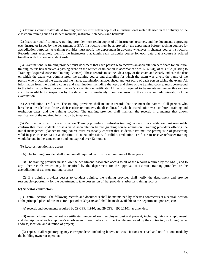(1) Training course materials. A training provider must retain copies of all instructional materials used in the delivery of the classroom training such as student manuals, instructor notebooks and handouts.

 (2) Instructor qualifications. A training provider must retain copies of all instructors' resumes, and the documents approving each instructor issued by the department or EPA. Instructors must be approved by the department before teaching courses for accreditation purposes. A training provider must notify the department in advance whenever it changes course instructors. Records must accurately identify the instructors that taught each particular course for each date that a course is offered together with the course student roster.

 (3) Examinations. A training provider must document that each person who receives an accreditation certificate for an initial training course has achieved a passing score on the written examination in accordance with §295.64(j) of this title (relating to Training: Required Asbestos Training Courses). These records must include a copy of the exam and clearly indicate the date on which the exam was administered, the training course and discipline for which the exam was given, the name of the person who proctored the exam, and the name, examination answer sheet, and test score of each person taking the exam. All information from the training course and examination, including the topic and dates of the training course, must correspond to the information listed on each person's accreditation certificate. All records required to be maintained under this section shall be available for inspection by the department immediately upon conclusion of the course and administration of the examination.

 (4) Accreditation certificates. The training providers shall maintain records that document the names of all persons who have been awarded certificates, their certificate numbers, the disciplines for which accreditation was conferred, training and expiration dates, and the training location. The training provider shall maintain the records in a manner that allows verification of the required information by telephone.

 (5) Verification of certificate information. Training providers of refresher training courses for accreditation must reasonably confirm that their students possess valid accreditation before granting course admission. Training providers offering the initial management planner training course must reasonably confirm that students have met the prerequisite of possessing valid inspector accreditation at the time of course admission. A valid accreditation certificate to receive refresher training would be one in the same course and not expired over 12 months.

(6) Records retention and access.

(A) The training provider shall maintain all required records for a minimum of three years.

 (B) The training provider must allow the department reasonable access to all of the records required by the MAP, and to any other records which may be required by the department for the approval of asbestos training providers or the accreditation of asbestos training courses.

 (C) If a training provider ceases to conduct training, the training provider shall notify the department and provide reasonable opportunity for the department to take possession of that provider's asbestos training records.

### (c) **Asbestos contractors**.

 (1) Central location. The following records and documents shall be maintained by asbestos contractors at a central location at the principal place of business for a period of 30 years and shall be made available to the department upon request:

(A) records and documents required by 29 CFR §1910, and 29 CFR §1926.1101, as amended;

 (B) name, address, and asbestos certificate number of each employee, past and present, including dates of employment, and description of each employee's involvement in each asbestos project while employed by the contractor, including name, address, location, and duration of project;

 (C) copies of all regulatory agency correspondence including letters, notices, citations received and notifications made by the building owner or operator;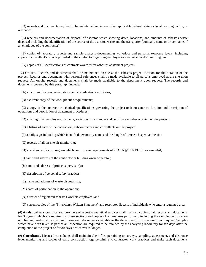(D) records and documents required to be maintained under any other applicable federal, state, or local law, regulation, or ordinance;

 (E) receipts and documentation of disposal of asbestos waste showing dates, locations, and amounts of asbestos waste disposed including the identification of the source of the asbestos waste and the transporter (company name or driver name, if an employee of the contractor);

 (F) copies of laboratory reports and sample analysis documenting workplace and personal exposure levels, including copies of consultant's reports provided to the contractor regarding employee or clearance level monitoring; and

(G) copies of all specifications of contracts awarded for asbestos abatement projects.

 (2) On site. Records and documents shall be maintained on-site at the asbestos project location for the duration of the project. Records and documents with personal references shall be made available to all persons employed at the site upon request. All on-site records and documents shall be made available to the department upon request. The records and documents covered by this paragraph include:

(A) all current licenses, registrations and accreditation certificates;

(B) a current copy of the work practice requirements;

 (C) a copy of the contract or technical specifications governing the project or if no contract, location and description of operations and description of abatement procedures;

(D) a listing of all employees, by name, social security number and certificate number working on the project;

- (E) a listing of each of the contractors, subcontractors and consultants on the project;
- (F) a daily sign-in/out log which identified persons by name and the length of time each spent at the site;

(G) records of all on-site air monitoring;

- (H) a written respirator program which conforms to requirements of 29 CFR §1910.134(b), as amended;
- (I) name and address of the contractor or building owner-operator;
- (J) name and address of project supervisor(s);
- (K) description of personal safety practices;
- (L) name and address of waste disposal site;
- (M) dates of participation in the operation;
- (N) a roster of registered asbestos workers employed; and
- (O) current copies of the "Physician's Written Statement" and respirator fit-tests of individuals who enter a regulated area.

(d) **Analytical services**. Licensed providers of asbestos analytical services shall maintain copies of all records and documents for 30 years, which are required by these sections and copies of all analyses performed, including the sample identification number and analytical results, and make such documents available to the department for inspection upon request. Samples which have been taken as part of an inspection are required to be retained by the analyzing laboratory for ten days after the completion of the project or for 30 days, whichever is longer.

(e) **Consultants**. Licensed consultants shall maintain client files pertaining to surveys, sampling, assessment, and clearance level monitoring and copies of daily construction logs pertaining to contractor work practices and make such documents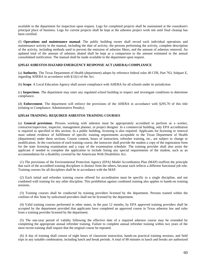available to the department for inspection upon request. Logs for completed projects shall be maintained at the consultant's principal place of business. Logs for current projects shall be kept at the asbestos project work site until final cleanup has been certified.

(f) **Operations and maintenance manual**. The public building owner shall record each individual operations and maintenance activity in the manual, including the date of activity, the persons performing the activity, complete description of the activity, including methods used to prevent the emission of asbestos fibers, and the amount of asbestos removed. An updated total of the amount of asbestos abated shall be kept as a comparison to the amount estimated in the annual consolidated notification. The manual shall be made available to the department upon request.

### **§295.63 ASBESTOS HAZARD EMERGENCY RESPONSE ACT (AHERA) COMPLIANCE**

(a) **Authority**. The Texas Department of Health (department) adopts by reference federal rules 40 CFR, Part 763, Subpart E, regarding AHERA in accordance with §12(c) of the Act.

(b) **Scope**. A Local Education Agency shall assure compliance with AHERA for all schools under its jurisdiction.

(c) **Inspections**. The department may enter any regulated school building to inspect and investigate conditions to determine compliance.

(d) **Enforcement**. The department will enforce the provisions of the AHERA in accordance with §295.70 of this title (relating to Compliance: Administrative Penalty).

### **§295.64 TRAINING: REQUIRED ASBESTOS TRAINING COURSES**

(a) **General provisions**. Persons working with asbestos must be appropriately accredited to perform as a worker, contractor/supervisor, inspector, management planner, or project designer. In a commercial building, only EPA accreditation is required as specified in this section. In a public building, licensing is also required. Applicants for licensing or renewal must submit evidence of fulfillment of specific training requirements acceptable to the Texas Department of Health (department) under these sections. Course content, hours of instruction, refresher training, etc., are subject to change or modification. At the conclusion of each training course, the instructor shall provide the student a copy of the registration form for the state licensing examination and a copy of the examination schedule. The training provider shall also assist the applicant if needed to complete the application to include listing any special requirements of the student, such as an accommodation for a disability covered by the Americans With Disabilities Act.

 (1) The provisions of the Environmental Protection Agency (EPA) Model Accreditation Plan (MAP) reaffirm the principle that each of the accredited training disciplines is distinct from the others, because each reflects a different functional job role. Training courses for all disciplines shall be in accordance with the MAP.

 (2) Each initial and refresher training course offered for accreditation must be specific to a single discipline, and not combined with training for any other discipline. This prohibition against combined training also applies to hands-on training sessions.

 (3) Training courses shall be conducted by training providers licensed by the department. Persons trained within the confines of this State by unlicensed providers shall not be licensed by the department.

 (4) Valid training courses performed in other states, in the past 12 months, by EPA approved training providers shall be accepted by the department provided that applicants have completed an approved course in Texas asbestos law and rules from a training provider licensed by the department.

 (5) The one-year period of validity following the effective date of a required asbestos course may be extended by completing the appropriate annual refresher training. Failure to complete annual refresher training within two years of the most recent training shall require that the original course be repeated.

 (6) A day of training shall consist of eight hours of classroom instruction, hands-on practical training sessions, and field trips in any suitable combination, including lunch and break periods. A total of 80 minutes in lunch and breaks are authorized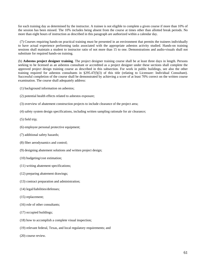for each training day as determined by the instructor. A trainee is not eligible to complete a given course if more than 10% of the session has been missed. The 10% includes being absent from the course at times other than allotted break periods. No more than eight hours of instruction as described in this paragraph are authorized within a calendar day.

 (7) Courses requiring hands-on practical training must be presented in an environment that permits the trainees individually to have actual experience performing tasks associated with the appropriate asbestos activity studied. Hands-on training sessions shall maintain a student to instructor ratio of not more than 15 to one. Demonstrations and audio-visuals shall not substitute for required hands-on training.

(b) **Asbestos project designer training**. The project designer training course shall be at least three days in length. Persons seeking to be licensed as an asbestos consultant or accredited as a project designer under these sections shall complete the approved project design training course as described in this subsection. For work in public buildings, see also the other training required for asbestos consultants in §295.47(f)(3) of this title (relating to Licensure: Individual Consultant). Successful completion of the course shall be demonstrated by achieving a score of at least 70% correct on the written course examination. The course shall adequately address:

- (1) background information on asbestos;
- (2) potential health effects related to asbestos exposure;
- (3) overview of abatement construction projects to include clearance of the project area;
- (4) safety system design specifications, including written sampling rationale for air clearance;
- (5) field trip;
- (6) employee personal protective equipment;
- (7) additional safety hazards;
- (8) fiber aerodynamics and control;
- (9) designing abatement solutions and written project design;
- (10) budgeting/cost estimation;
- (11) writing abatement specifications;
- (12) preparing abatement drawings;
- (13) contract preparation and administration;
- (14) legal/liabilities/defenses;
- (15) replacement;
- (16) role of other consultants;
- (17) occupied buildings;
- (18) how to accomplish a complete visual inspection;
- (19) relevant federal, Texas, and local regulatory requirements; and
- (20) course review.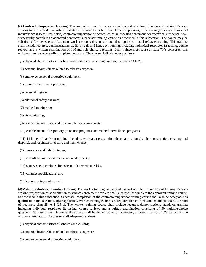(c) **Contractor/supervisor training**. The contractor/supervisor course shall consist of at least five days of training. Persons seeking to be licensed as an asbestos abatement contractor, asbestos abatement supervisor, project manager, or operations and maintenance (O&M) (restricted) contractor/supervisor or accredited as an asbestos abatement contractor or supervisor, shall successfully complete an approved contractor/supervisor training course as described in this subsection. The course may be substituted for the asbestos abatement worker course; this substitution also applies to annual refresher training. This training shall include lectures, demonstrations, audio-visuals and hands-on training, including individual respirator fit testing, course review, and a written examination of 100 multiple-choice questions. Each trainee must score at least 70% correct on this written exam to successfully complete the course. The course shall adequately address:

(1) physical characteristics of asbestos and asbestos-containing building material (ACBM);

(2) potential health effects related to asbestos exposure;

(3) employee personal protective equipment;

(4) state-of-the-art work practices;

(5) personal hygiene;

(6) additional safety hazards;

(7) medical monitoring;

(8) air monitoring;

(9) relevant federal, state, and local regulatory requirements;

(10) establishment of respiratory protection programs and medical surveillance programs;

 (11) 14 hours of hands-on training, including work area preparation, decontamination chamber construction, cleaning and disposal, and respirator fit testing and maintenance;

(12) insurance and liability issues;

(13) recordkeeping for asbestos abatement projects;

- (14) supervisory techniques for asbestos abatement activities;
- (15) contract specifications; and
- (16) course review and manual.

(d) **Asbestos abatement worker training**. The worker training course shall consist of at least four days of training. Persons seeking registration or accreditation as asbestos abatement workers shall successfully complete the approved training course, as described in this subsection. Successful completion of the contractor/supervisor training course shall also be acceptable as qualification for asbestos worker applicants. Worker training courses are required to have a classroom student-instructor ratio of not more than 25 to 1 (25:1). The worker training course shall include lectures, demonstrations, hands-on training including individual respirator fit testing, course review, and a written examination consisting of 50 multiple-choice questions. Successful completion of the course shall be demonstrated by achieving a score of at least 70% correct on the written examination. The course shall adequately address:

- (1) physical characteristics of asbestos and ACBM;
- (2) potential health effects related to asbestos exposure;
- (3) employee personal protective equipment;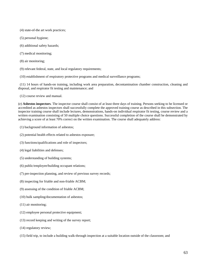- (4) state-of-the art work practices;
- (5) personal hygiene;
- (6) additional safety hazards;
- (7) medical monitoring;
- (8) air monitoring;
- (9) relevant federal, state, and local regulatory requirements;
- (10) establishment of respiratory protective programs and medical surveillance programs;

 (11) 14 hours of hands-on training, including work area preparation, decontamination chamber construction, cleaning and disposal, and respirator fit testing and maintenance; and

(12) course review and manual.

(e) **Asbestos inspectors**. The inspector course shall consist of at least three days of training. Persons seeking to be licensed or accredited as asbestos inspectors shall successfully complete the approved training course as described in this subsection. The inspector training course shall include lectures, demonstrations, hands-on individual respirator fit testing, course review and a written examination consisting of 50 multiple choice questions. Successful completion of the course shall be demonstrated by achieving a score of at least 70% correct on the written examination. The course shall adequately address:

- (1) background information of asbestos;
- (2) potential health effects related to asbestos exposure;
- (3) functions/qualifications and role of inspectors;
- (4) legal liabilities and defenses;
- (5) understanding of building systems;
- (6) public/employee/building occupant relations;
- (7) pre-inspection planning, and review of previous survey records;
- (8) inspecting for friable and non-friable ACBM;
- (9) assessing of the condition of friable ACBM;
- (10) bulk sampling/documentation of asbestos;
- (11) air monitoring;
- (12) employee personal protective equipment;
- (13) record keeping and writing of the survey report;
- (14) regulatory review;
- (15) field trip, to include a building walk-through inspection at a suitable location outside of the classroom; and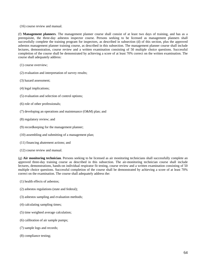(16) course review and manual.

(f) **Management planners**. The management planner course shall consist of at least two days of training, and has as a prerequisite, the three-day asbestos inspector course. Persons seeking to be licensed as management planners shall successfully complete the training program for inspectors, as described in subsection (d) of this section, plus the approved asbestos management planner training course, as described in this subsection. The management planner course shall include lectures, demonstration, course review and a written examination consisting of 50 multiple choice questions. Successful completion of the course shall be demonstrated by achieving a score of at least 70% correct on the written examination. The course shall adequately address:

- (1) course overview;
- (2) evaluation and interpretation of survey results;
- (3) hazard assessment;
- (4) legal implications;
- (5) evaluation and selection of control options;
- (6) role of other professionals;
- (7) developing an operations and maintenance (O&M) plan; and
- (8) regulatory review; and
- (9) recordkeeping for the management planner;
- (10) assembling and submitting of a management plan;
- (11) financing abatement actions; and
- (12) course review and manual.

(g) **Air monitoring technician**. Persons seeking to be licensed as air monitoring technicians shall successfully complete an approved three-day training course as described in this subsection. The air-monitoring technician course shall include lectures, demonstrations, hands-on individual respirator fit testing, course review and a written examination consisting of 50 multiple choice questions. Successful completion of the course shall be demonstrated by achieving a score of at least 70% correct on the examination. The course shall adequately address the:

- (1) health effects of asbestos;
- (2) asbestos regulations (state and federal);
- (3) asbestos sampling and evaluation methods;
- (4) calculating sampling times;
- (5) time weighted average calculation;
- (6) calibration of air sample pumps;
- (7) sample logs and records;
- (8) compliance testing;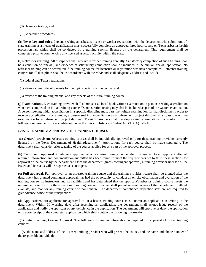(9) clearance testing; and

(10) clearance procedures.

(h) **Texas law and rules**. Persons seeking an asbestos license or worker registration with the department who submit out-ofstate training as a means of qualification must successfully complete an approved three-hour course on Texas asbestos health protection law which shall be conducted by a training sponsor licensed by the department. This requirement shall be completed prior to commencing any licensed asbestos activity within the state.

(i) **Refresher training**. All disciplines shall receive refresher training annually. Satisfactory completion of such training shall be a condition of renewal, and evidence of satisfactory completion shall be included in the annual renewal application. No refresher training can be accredited if the training course for licensure or registration was never completed. Refresher training courses for all disciplines shall be in accordance with the MAP and shall adequately address and include:

(1) federal and Texas regulations;

(2) state-of-the-art developments for the topic specialty of the course; and

(3) review of the training manual and key aspects of the initial training course.

(j) **Examinations**. Each training provider shall administer a closed book written examination to persons seeking accreditation who have completed an initial training course. Demonstration testing may also be included as part of the written examination. A person seeking initial accreditation in a specific discipline must pass the written examination for that discipline in order to receive accreditation. For example, a person seeking accreditation as an abatement project designer must pass the written examination for an abatement project designer. Training providers shall develop written examinations that conform to the following requirements for accreditation under the Toxic Substances Control Act (TSCA) Title II.

# **§295.65 TRAINING: APPROVAL OF TRAINING COURSES**

 (a) **General provision**. Asbestos training courses shall be individually approved only for those training providers currently licensed by the Texas Department of Health (department). Applications for each course shall be made separately. The department shall consider prior teaching of the course applied for as a part of the approval process.

(b) **Contingent approval**. Contingent approval of an asbestos training course shall be granted to an applicant after all required information and documentation submitted has been found to meet the requirements set forth in these sections for approval of the course by the department. Once the department grants contingent approval, a training provider license will be issued and its status will be regarded as contingent.

(c) **Full approval**. Full approval of an asbestos training course and the training provider license shall be granted after the department has granted contingent approval, has had the opportunity to conduct an on-site observation and evaluation of the training course, its instructors and its facilities, and has determined that the applicant's asbestos training course meets the requirements set forth in these sections. Training course providers shall permit representatives of the department to attend, evaluate, and monitor any training course without charge. The department compliance inspection staff are not required to give advance notice of their inspections.

(d) **Applications**. An applicant for approval of an asbestos training course must submit an application in writing to the department. Within 30 working days after receiving an application, the department shall acknowledge receipt of the application and notify the applicant of any deficiency in the application. The department will approve or deny the application only upon receipt of the completed application which shall contain the following information:

 (1) Initial Training Course Approval. The following minimum information is required for approval of initial training courses:

 (A) the name and address of the licensed training provider who will present the course, and the name and phone number of the responsible individual;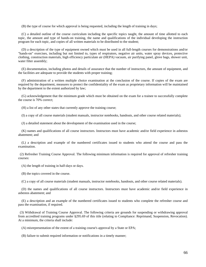(B) the type of course for which approval is being requested, including the length of training in days;

 (C) a detailed outline of the course curriculum including the specific topics taught, the amount of time allotted to each topic, the amount and type of hands-on training, the name and qualifications of the individual developing the instruction program for each topic, and copies of all written materials to be distributed to the student;

 (D) a description of the type of equipment owned which must be used in all full-length courses for demonstrations and/or "hands-on" exercises, including but not limited to, types of respirators, negative air units, water spray devices, protective clothing, construction materials, high efficiency particulate air (HEPA) vacuum, air purifying panel, glove bags, shower unit, water filter assembly;

 (E) documentation, including photos and details of assurance that the number of instructors, the amount of equipment, and the facilities are adequate to provide the students with proper training;

 (F) administration of a written multiple choice examination at the conclusion of the course. If copies of the exam are required by the department, measures to protect the confidentiality of the exam as proprietary information will be maintained by the department to the extent authorized by law;

 (G) acknowledgement that the minimum grade which must be obtained on the exam for a trainee to successfully complete the course is 70% correct;

(H) a list of any other states that currently approve the training course;

(I) a copy of all course materials (student manuals, instructor notebooks, handouts, and other course related materials);

(J) a detailed statement about the development of the examination used in the course;

 (K) names and qualifications of all course instructors. Instructors must have academic and/or field experience in asbestos abatement; and

 (L) a description and example of the numbered certificates issued to students who attend the course and pass the examination.

 (2) Refresher Training Course Approval. The following minimum information is required for approval of refresher training courses:

(A) the length of training in half-days or days.

(B) the topics covered in the course.

(C) a copy of all course materials (student manuals, instructor notebooks, handouts, and other course related materials).

 (D) the names and qualifications of all course instructors. Instructors must have academic and/or field experience in asbestos abatement; and

 (E) a description and an example of the numbered certificates issued to students who complete the refresher course and pass the examination, if required.

 (3) Withdrawal of Training Course Approval. The following criteria are grounds for suspending or withdrawing approval from accredited training programs under §295.69 of this title (relating to Compliance: Reprimand, Suspension, Revocation). At a minimum, the criteria shall include:

(A) misrepresentation of the extent of a training course's approval by a State or EPA;

(B) failure to submit required information or notifications in a timely manner;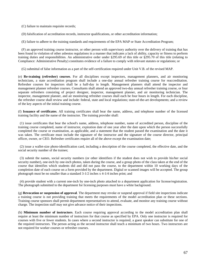(C) failure to maintain requisite records;

(D) falsification of accreditation records, instructor qualifications, or other accreditation information;

(E) failure to adhere to the training standards and requirements of the EPA MAP or State Accreditation Program;

 (F) an approved training course instructor, or other person with supervisory authority over the delivery of training that has been found in violation of other asbestos regulations in a manner that indicates a lack of ability, capacity or fitness to perform training duties and responsibilities. An administrative order under §295.69 of this title or §295.70 of this title (relating to Compliance: Administrative Penalty) constitutes evidence of a failure to comply with relevant statutes or regulations; or

(G) submittal of false information as a part of the self-certification required under Unit V.B. of the revised MAP.

(e) **Re-training (refresher) courses**. For all disciplines except inspectors, management planners, and air monitoring technicians, a state accreditation program shall include a one-day annual refresher training course for reaccreditation. Refresher courses for inspectors shall be a half-day in length. Management planners shall attend the inspector and management planner refresher courses. Consultants shall attend an approved two-day annual refresher training course, or four separate refreshers consisting of project designer, inspector, management planner, and air monitoring technician. The inspector, management planner, and air monitoring refresher courses shall each be four hours in length. For each discipline, the refresher course shall review and include: federal, state and local regulations; state-of-the-art developments; and a review of the key aspects of the initial training course.

(f) **Issuance of certificates**. All training certificates shall bear the name, address, and telephone number of the licensed training facility and the name of the instructor. The training provider shall:

 (1) issue certificates that bear the school's name, address, telephone number, name of accredited person, discipline of the training course completed, name of instructor, expiration date of one year after the date upon which the person successfully completed the course or examination, as applicable, and a statement that the student passed the examination and the date it was taken. The certificate must include the signature of the instructor and the signature of the course director, principal officer, owner, or CEO. Refresher certificates require all of the above except the examination date;

 (2) issue a wallet-size photo-identification card, including a description of the course completed, the effective date, and the social security number of the trainee;

 (3) submit the names, social security numbers (or other identifiers if the student does not wish to provide his/her social security number), one-inch by one-inch photos, taken during the course, and a group photo of the class taken at the end of the course that identifies which students did and did not pass the course, to the department within 10 working days of the completion date of each course on a form provided by the department. Digital or scanned images will be accepted. The group photograph must be no smaller than a standard 3-1/2 inches x 4-1/4 inches print; and

 (4) provide student with a current one-inch by one-inch photo attached to a department application for license/registration. The photograph submitted to the department for licensing purposes must have a white background.

(g) **Revocation or suspension of approval**. The department may revoke or suspend approval if field site inspections indicate a training course is not providing training that meets the requirements of the model accreditation plan or these sections. Training course sponsors shall permit department representatives to attend, evaluate, and monitor any training course without charge. The inspection staff may not give advance notice of their inspections.

(h) **Minimum number of instructors**. Each course requiring approval according to the model accreditation plan shall require at least the minimum number of instructors for that course as specified by EPA. Only one instructor is required for courses with five or fewer students. In cases where a second instructor is required, a guest speaker can substitute for one of the required instructors. The person acting as the second instructor shall teach a minimum of two hours. Two instructors are not required for worker courses or refresher courses.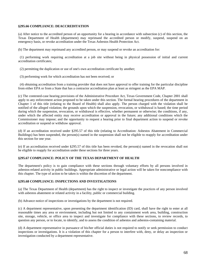# **§295.66 COMPLIANCE: DEACCREDITATION**

(a) After notice to the accredited person of an opportunity for a hearing in accordance with subsection (c) of this section, the Texas Department of Health (department) may reprimand the accredited person or modify, suspend, suspend on an emergency basis, or revoke accreditation under the Texas Asbestos Health Protection Act.

(b) The department may reprimand any accredited person, or may suspend or revoke an accreditation for:

 (1) performing work requiring accreditation at a job site without being in physical possession of initial and current accreditation certificates;

(2) permitting the duplication or use of one's own accreditation certificate by another;

(3) performing work for which accreditation has not been received; or

 (4) obtaining accreditation from a training provider that does not have approval to offer training for the particular discipline from either EPA or from a State that has a contractor accreditation plan at least as stringent as the EPA MAP.

(c) The contested-case hearing provisions of the Administrative Procedure Act, Texas Government Code, Chapter 2001 shall apply to any enforcement action proposed to be taken under this section. The formal hearing procedures of the department in Chapter 1 of this title (relating to the Board of Health) shall also apply. The person charged with the violation shall be notified of the alleged violation; the grounds upon which the suspension, revocation, or withdrawal is based; the time period during which the suspension, revocation, or withdrawal is effective, whether permanent or otherwise; the conditions, if any, under which the affected entity may receive accreditation or approval in the future; any additional conditions which the Commissioner may impose; and the opportunity to request a hearing prior to final department action to suspend or revoke accreditation or suspend or withdraw approval.

(d) If an accreditation received under §295.57 of this title (relating to Accreditation: Asbestos Abatement in Commercial Buildings) has been suspended, the person(s) named in the suspension shall not be eligible to reapply for accreditation under this section for one year.

(e) If an accreditation received under §295.57 of this title has been revoked, the person(s) named in the revocation shall not be eligible to reapply for accreditation under these sections for three years.

# **§295.67 COMPLIANCE: POLICY OF THE TEXAS DEPARTMENT OF HEALTH**

The department's policy is to gain compliance with these sections through voluntary efforts by all persons involved in asbestos-related activity in public buildings. Appropriate administrative or legal action will be taken for noncompliance with this chapter. The type of action to be taken is within the discretion of the department.

# **§295.68 COMPLIANCE: INSPECTIONS AND INVESTIGATIONS**

(a) The Texas Department of Health (department) has the right to inspect or investigate the practices of any person involved with asbestos abatement or related activity in a facility, public or commercial building.

(b) Advance notice of inspections or investigations by the department is not required.

(c) A department representative, upon presenting the department identification (ID) card, shall have the right to enter at all reasonable times any area or environment, including but not limited to any containment work area, building, construction site, storage, vehicle, or office area to inspect and investigate for compliance with these sections, to review records, to question any person, or to locate, to identify, and to assess the condition of asbestos and asbestos-containing material.

(d) A department representative in pursuance of his/her official duties is not required to notify or seek permission to conduct inspections or investigations. It is a violation of this chapter for a person to interfere with, deny, or delay an inspection or investigation conducted by a department representative.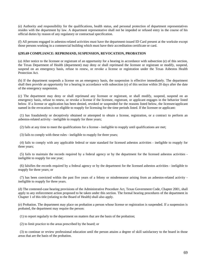(e) Authority and responsibility for the qualifications, health status, and personal protection of department representatives resides with the department by law. A department representative shall not be impeded or refused entry in the course of his official duties by reason of any regulatory or contractual specification.

(f) All persons engaged in asbestos-related activities must have the department-issued ID Card present at the worksite except those persons working in a commercial building which must have their accreditation certificate or card.

# **§295.69 COMPLIANCE: REPRIMAND, SUSPENSION, REVOCATION, PROBATION**

(a) After notice to the licensee or registrant of an opportunity for a hearing in accordance with subsection (e) of this section, the Texas Department of Health (department) may deny or shall reprimand the licensee or registrant or modify, suspend, suspend on an emergency basis, refuse to renew, or revoke a license or registration under the Texas Asbestos Health Protection Act.

(b) If the department suspends a license on an emergency basis, the suspension is effective immediately. The department shall then provide an opportunity for a hearing in accordance with subsection (e) of this section within 20 days after the date of the emergency suspension.

(c) The department may deny or shall reprimand any licensee or registrant, or shall modify, suspend, suspend on an emergency basis, refuse to renew, or revoke a license if the licensee, registrant, or applicant engages in the behavior listed below. If a license or application has been denied, revoked or suspended for the reasons listed below, the licensee/applicant named in the revocation is not eligible to reapply for licensing for the time periods listed. If the licensee or applicant:

 (1) has fraudulently or deceptively obtained or attempted to obtain a license, registration, or a contract to perform an asbestos-related activity - ineligible to reapply for three years;

(2) fails at any time to meet the qualifications for a license - ineligible to reapply until qualifications are met;

(3) fails to comply with these rules - ineligible to reapply for three years;

 (4) fails to comply with any applicable federal or state standard for licensed asbestos activities - ineligible to reapply for three years;

 (5) fails to maintain the records required by a federal agency or by the department for the licensed asbestos activities ineligible to reapply for one year;

 (6) falsifies the records required by a federal agency or by the department for the licensed asbestos activities - ineligible to reapply for three years; or

 (7) has been convicted within the past five years of a felony or misdemeanor arising from an asbestos-related activity ineligible to reapply for three years.

(d) The contested-case hearing provisions of the Administrative Procedure Act, Texas Government Code, Chapter 2001, shall apply to any enforcement action proposed to be taken under this section. The formal hearing procedures of the department in Chapter 1 of this title (relating to the Board of Health) shall also apply.

(e) Probation. The department may place on probation a person whose license or registration is suspended. If a suspension is probated, the department may require the person:

(1) to report regularly to the department on matters that are the basis of the probation;

(2) to limit practice to the areas prescribed by the board; or

 (3) to continue or review professional education until the person attains a degree of skill satisfactory to the board in those areas that are the basis of the probation.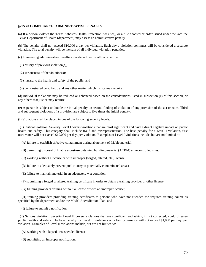# **§295.70 COMPLIANCE: ADMINISTRATIVE PENALTY**

(a) If a person violates the Texas Asbestos Health Protection Act (Act), or a rule adopted or order issued under the Act, the Texas Department of Health (department) may assess an administrative penalty.

(b) The penalty shall not exceed \$10,000 a day per violation. Each day a violation continues will be considered a separate violation. The total penalty will be the sum of all individual violation penalties.

(c) In assessing administrative penalties, the department shall consider the:

(1) history of previous violation(s);

(2) seriousness of the violation(s);

(3) hazard to the health and safety of the public; and

(4) demonstrated good faith, and any other matter which justice may require.

(d) Individual violations may be reduced or enhanced based on the considerations listed in subsection (c) of this section, or any others that justice may require.

(e) A person is subject to double the initial penalty on second finding of violation of any provision of the act or rules. Third and subsequent violations of a provision are subject to five times the initial penalty.

(f) Violations shall be placed in one of the following severity levels.

 (1) Critical violation. Severity Level I covers violations that are most significant and have a direct negative impact on public health and safety. This category shall include fraud and misrepresentation. The base penalty for a Level I violation, first occurrence will not exceed \$10,000 per day, per violation. Examples of Level I violations include, but are not limited to:

(A) failure to establish effective containment during abatement of friable material;

(B) permitting disposal of friable asbestos-containing building material (ACBM) at uncontrolled sites;

(C) working without a license or with improper (forged, altered, etc.) license;

(D) failure to adequately prevent public entry to potentially contaminated areas;

(E) failure to maintain material in an adequately wet condition;

(F) submitting a forged or altered training certificate in order to obtain a training provider or other license;

(G) training providers training without a license or with an improper license;

 (H) training providers providing training certificates to persons who have not attended the required training course as specified by the department and/or the Model Accreditation Plan; and

(I) failure to submit a notification.

 (2) Serious violation. Severity Level II covers violations that are significant and which, if not corrected, could threaten public health and safety. The base penalty for Level II violations on a first occurrence will not exceed \$1,000 per day, per violation. Examples of Level II violations include, but are not limited to:

(A) working with a lapsed or suspended license;

(B) submitting an improper notification;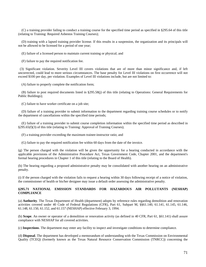(C) a training provider failing to conduct a training course for the specified time period as specified in §295.64 of this title (relating to Training: Required Asbestos Training Courses);

 (D) training with a lapsed training provider license. If this results in a suspension, the organization and its principals will not be allowed to be licensed for a period of one year;

(E) failure of a licensed person to maintain current training or physical; and

(F) failure to pay the required notification fee.

 (3) Significant violation. Severity Level III covers violations that are of more than minor significance and, if left uncorrected, could lead to more serious circumstances. The base penalty for Level III violations on first occurrence will not exceed \$100 per day, per violation. Examples of Level III violations include, but are not limited to:

(A) failure to properly complete the notification form;

 (B) failure to post required documents listed in §295.58(j) of this title (relating to Operations: General Requirements for Public Buildings);

(C) failure to have worker certificate on a job site;

 (D) failure of a training provider to submit information to the department regarding training course schedules or to notify the department of cancellations within the specified time periods;

 (E) failure of a training provider to submit course completion information within the specified time period as described in §295.65(f)(3) of this title (relating to Training: Approval of Training Courses);

(F) a training provider exceeding the maximum trainee-instructor ratio; and

(G) failure to pay the required notification fee within 60 days from the date of the invoice.

(g) The person charged with the violation will be given the opportunity for a hearing conducted in accordance with the applicable provisions of the Administrative Procedure Act, Texas Government Code, Chapter 2001, and the department's formal hearing procedures in Chapter 1 of this title (relating to the Board of Health).

(h) The hearing regarding a proposed administrative penalty may be consolidated with another hearing on an administrative penalty.

(i) If the person charged with the violation fails to request a hearing within 30 days following receipt of a notice of violation, the commissioner of health or his/her designee may issue a default order assessing the administrative penalty.

# **§295.71 NATIONAL EMISSION STANDARDS FOR HAZARDOUS AIR POLLUTANTS (NESHAP) COMPLIANCE**

(a) **Authority**. The Texas Department of Health (department) adopts by reference rules regarding demolition and renovation activities covered under 40 Code of Federal Regulations (CFR), Part 61, Subpart M, §§61.140, 61.141, 61.145, 61.146, 61.148, 61.150, 61.152, and 61.157 (NESHAP) effective February 3, 1994.

(b) **Scope**. An owner or operator of a demolition or renovation activity (as defined in 40 CFR, Part 61, §61.141) shall assure compliance with NESHAP for all covered activities.

(c) **Inspections**. The department may enter any facility to inspect and investigate conditions to determine compliance.

(d) **Disposal**. The department has developed a memorandum of understanding with the Texas Commission on Environmental Quality (TCEQ) (formerly known as the Texas Natural Resource Conservation Commission (TNRCC)) concerning the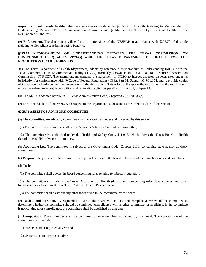inspection of solid waste facilities that receive asbestos waste under §295.72 of this title (relating to Memorandum of Understanding Between Texas Commission on Environmental Quality and the Texas Department of Health for the Regulation of Asbestos).

(e) **Enforcement**. The department will enforce the provisions of the NESHAP in accordance with §295.70 of this title (relating to Compliance: Administrative Penalty).

## **§295.72 MEMORANDUM OF UNDERSTANDING BETWEEN THE TEXAS COMMISSION ON ENVIRONMENTAL QUALITY (TCEQ) AND THE TEXAS DEPARTMENT OF HEALTH FOR THE REGULATION OF THE ASBESTOS**

 (a) The Texas Department of Health (department) adopts by reference a memorandum of understanding (MOU) with the Texas Commission on Environmental Quality (TCEQ) (formerly known as the Texas Natural Resource Conservation Commission (TNRCC)). The memorandum contains the agreement of TCEQ to inspect asbestos disposal sites under its jurisdiction for conformance with 40 Code of Federal Regulations (CFR), Part 61, Subpart M, §61.154, and to provide copies of inspection and enforcement documentation to the department. This effort will support the department in the regulation of emissions related to asbestos demolition and renovation activities per 40 CFR, Part 61, Subpart M.

(b) The MOU is adopted by rule in 30 Texas Administrative Code, Chapter 330, §330.733(a).

(c) The effective date of the MOU, with respect to the department, is the same as the effective date of this section.

## **§295.73 ASBESTOS ADVISORY COMMITTEE**

(a) **The committee**. An advisory committee shall be appointed under and governed by this section.

(1) The name of the committee shall be the Asbestos Advisory Committee (committee).

 (2) The committee is established under the Health and Safety Code, §11.016, which allows the Texas Board of Health (board) to establish advisory committees.

(b) **Applicable law**. The committee is subject to the Government Code, Chapter 2110, concerning state agency advisory committees.

(c) **Purpose**. The purpose of the committee is to provide advice to the board in the area of asbestos licensing and compliance.

(d) **Tasks**.

(1) The committee shall advise the board concerning rules relating to asbestos regulation.

 (2) The committee shall advise the Texas Department of Health (department) concerning rules, fees, courses, and other topics necessary to administer the Texas Asbestos Health Protection Act.

(3) The committee shall carry out any other tasks given to the committee by the board.

(e) **Review and duration**. By September 1, 2007, the board will initiate and complete a review of the committee to determine whether the committee should be continued, consolidated with another committee, or abolished. If the committee is not continued or consolidated, the committee shall be abolished on that date.

(f) **Composition**. The committee shall be composed of nine members appointed by the board. The composition of the committee shall include:

- (1) three consumer representatives; and
- (2) six nonconsumer representatives.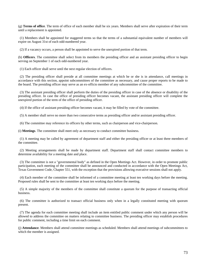(g) **Terms of office**. The term of office of each member shall be six years. Members shall serve after expiration of their term until a replacement is appointed.

 (1) Members shall be appointed for staggered terms so that the terms of a substantial equivalent number of members will expire on August 31st of each odd-numbered year.

(2) If a vacancy occurs, a person shall be appointed to serve the unexpired portion of that term.

(h) **Officers**. The committee shall select from its members the presiding officer and an assistant presiding officer to begin serving on September 1 of each odd-numbered year.

(1) Each officer shall serve until the next regular election of officers.

 (2) The presiding officer shall preside at all committee meetings at which he or she is in attendance, call meetings in accordance with this section, appoint subcommittees of the committee as necessary, and cause proper reports to be made to the board. The presiding officer may serve as an ex-officio member of any subcommittee of the committee.

 (3) The assistant presiding officer shall perform the duties of the presiding officer in case of the absence or disability of the presiding officer. In case the office of presiding officer becomes vacant, the assistant presiding officer will complete the unexpired portion of the term of the office of presiding officer.

(4) If the office of assistant presiding officer becomes vacant, it may be filled by vote of the committee.

(5) A member shall serve no more than two consecutive terms as presiding officer and/or assistant presiding officer.

(6) The committee may reference its officers by other terms, such as chairperson and vice-chairperson.

(i) **Meetings**. The committee shall meet only as necessary to conduct committee business.

 (1) A meeting may be called by agreement of department staff and either the presiding officer or at least three members of the committee.

 (2) Meeting arrangements shall be made by department staff. Department staff shall contact committee members to determine availability for a meeting date and place.

 (3) The committee is not a "governmental body" as defined in the Open Meetings Act. However, in order to promote public participation, each meeting of the committee shall be announced and conducted in accordance with the Open Meetings Act, Texas Government Code, Chapter 551, with the exception that the provisions allowing executive sessions shall not apply.

 (4) Each member of the committee shall be informed of a committee meeting at least ten working days before the meeting. Proposed rules shall be sent to the committee at least ten working days before the meeting.

 (5) A simple majority of the members of the committee shall constitute a quorum for the purpose of transacting official business.

 (6) The committee is authorized to transact official business only when in a legally constituted meeting with quorum present.

 (7) The agenda for each committee meeting shall include an item entitled public comment under which any person will be allowed to address the committee on matters relating to committee business. The presiding officer may establish procedures for public comment, including a time limit on each comment.

(j) **Attendance**. Members shall attend committee meetings as scheduled. Members shall attend meetings of subcommittees to which the member is assigned.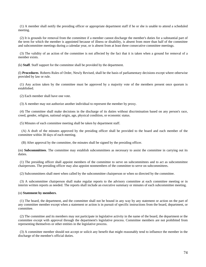(1) A member shall notify the presiding officer or appropriate department staff if he or she is unable to attend a scheduled meeting.

 (2) It is grounds for removal from the committee if a member cannot discharge the member's duties for a substantial part of the term for which the member is appointed because of illness or disability, is absent from more than half of the committee and subcommittee meetings during a calendar year, or is absent from at least three consecutive committee meetings.

 (3) The validity of an action of the committee is not affected by the fact that it is taken when a ground for removal of a member exists.

(k) **Staff**. Staff support for the committee shall be provided by the department.

(l) **Procedures**. Roberts Rules of Order, Newly Revised, shall be the basis of parliamentary decisions except where otherwise provided by law or rule.

 (1) Any action taken by the committee must be approved by a majority vote of the members present once quorum is established.

(2) Each member shall have one vote.

(3) A member may not authorize another individual to represent the member by proxy.

 (4) The committee shall make decisions in the discharge of its duties without discrimination based on any person's race, creed, gender, religion, national origin, age, physical condition, or economic status.

(5) Minutes of each committee meeting shall be taken by department staff.

 (A) A draft of the minutes approved by the presiding officer shall be provided to the board and each member of the committee within 30 days of each meeting.

(B) After approval by the committee, the minutes shall be signed by the presiding officer.

(m) **Subcommittees**. The committee may establish subcommittees as necessary to assist the committee in carrying out its duties.

 (1) The presiding officer shall appoint members of the committee to serve on subcommittees and to act as subcommittee chairpersons. The presiding officer may also appoint nonmembers of the committee to serve on subcommittees.

(2) Subcommittees shall meet when called by the subcommittee chairperson or when so directed by the committee.

 (3) A subcommittee chairperson shall make regular reports to the advisory committee at each committee meeting or in interim written reports as needed. The reports shall include an executive summary or minutes of each subcommittee meeting.

### (n) **Statement by members**.

 (1) The board, the department, and the committee shall not be bound in any way by any statement or action on the part of any committee member except when a statement or action is in pursuit of specific instructions from the board, department, or committee.

 (2) The committee and its members may not participate in legislative activity in the name of the board, the department or the committee except with approval through the department's legislative process. Committee members are not prohibited from representing themselves or other entities in the legislative process.

 (3) A committee member should not accept or solicit any benefit that might reasonably tend to influence the member in the discharge of the member's official duties.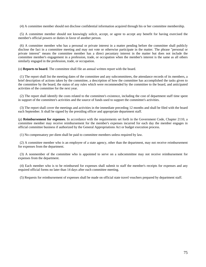(4) A committee member should not disclose confidential information acquired through his or her committee membership.

 (5) A committee member should not knowingly solicit, accept, or agree to accept any benefit for having exercised the member's official powers or duties in favor of another person.

 (6) A committee member who has a personal or private interest in a matter pending before the committee shall publicly disclose the fact in a committee meeting and may not vote or otherwise participate in the matter. The phrase "personal or private interest" means the committee member has a direct pecuniary interest in the matter but does not include the committee member's engagement in a profession, trade, or occupation when the member's interest is the same as all others similarly engaged in the profession, trade, or occupation.

(o) **Reports to board**. The committee shall file an annual written report with the board.

 (1) The report shall list the meeting dates of the committee and any subcommittees, the attendance records of its members, a brief description of actions taken by the committee, a description of how the committee has accomplished the tasks given to the committee by the board, the status of any rules which were recommended by the committee to the board, and anticipated activities of the committee for the next year.

 (2) The report shall identify the costs related to the committee's existence, including the cost of department staff time spent in support of the committee's activities and the source of funds used to support the committee's activities.

 (3) The report shall cover the meetings and activities in the immediate preceding 12 months and shall be filed with the board each September. It shall be signed by the presiding officer and appropriate department staff.

(p) **Reimbursement for expenses**. In accordance with the requirements set forth in the Government Code, Chapter 2110, a committee member may receive reimbursement for the member's expenses incurred for each day the member engages in official committee business if authorized by the General Appropriations Act or budget execution process.

(1) No compensatory per diem shall be paid to committee members unless required by law.

 (2) A committee member who is an employee of a state agency, other than the department, may not receive reimbursement for expenses from the department.

 (3) A nonmember of the committee who is appointed to serve on a subcommittee may not receive reimbursement for expenses from the department.

 (4) Each member who is to be reimbursed for expenses shall submit to staff the member's receipts for expenses and any required official forms no later than 14 days after each committee meeting.

(5) Requests for reimbursement of expenses shall be made on official state travel vouchers prepared by department staff.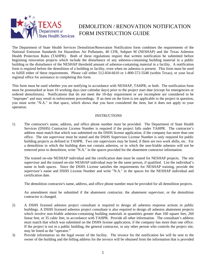

## DEMOLITION / RENOVATION NOTIFICATION FORM INSTRUCTION GUIDE

The Department of State Health Services Demolition/Renovation Notification form combines the requirements of the National Emission Standards for Hazardous Air Pollutants, 40 CFR, Subpart M (NESHAP) and the Texas Asbestos Health Protection Rules (TAHPR). Both of these regulations require that written notification be submitted before beginning renovation projects which include the disturbance of any asbestos-containing building material in a public building or the disturbance of the NESHAP threshold amount of asbestos-containing material in a facility. A notification form is required before the demolition of a building or facility, even when no asbestos is present. This form must be used to fulfill either of these requirements. Please call either 512-834-6610 or 1-800-572-5548 (within Texas), or your local regional office for assistance in completing this form.

This form must be used whether you are notifying in accordance with NESHAP, TAHPR, or both. The notification form must be postmarked at least 10 working days (not calendar days) prior to the project start date (except for emergencies or ordered demolitions). Notifications that do not meet the 10-day requirement or are incomplete are considered to be "improper" and may result in enforcement proceedings. If an item on the form is not applicable to the project in question, you must write "N.A." in that space, which shows that you have considered the item, but it does not apply to your operation.

## **INSTRUCTIONS**

1) The contractor's name, address, and office phone number must be provided. The Department of State Health Services (DSHS) Contractor License Number is required if the project falls under TAHPR. The contractor's address must match that which was submitted on the DSHS license application, if the company has more than one office. The site supervisor must be stated and the DSHS Supervisor License Number is only required for public building projects as defined in TAHPR. Two site supervisors may be listed, if there are two work shifts, etc. For a demolition in which the building does not contain asbestos, or in which the non-friable asbestos will not be removed prior to demolition, write "N.A." in the spaces provided for the abatement contractor information.

The trained on-site NESHAP individual and the certification date must be stated for NESHAP projects. The site supervisor and the trained on-site NESHAP individual may be the same person, if qualified. List the individual's name in both spaces. Since the DSHS License satisfies the requirements for NESHAP training, provide the supervisor's name and DSHS License Number and write "N.A." in the spaces for the NESHAP individual and certification date.

The demolition contractor's name, address, and office phone number must be provided for all demolition projects.

An amendment must be submitted if the abatement contractor, the abatement supervisor, or the demolition contractor is changed.

- 2) A DSHS licensed asbestos project consultant is required to design all asbestos response actions in public buildings. A DSHS licensed asbestos project consultant is also required to design all asbestos abatement projects which involve non-friable asbestos-containing building materials in quantities greater than 160 square feet, 260 linear feet, or 35 cubic feet, in accordance with TAHPR. Provide all other information. The consultant's address must match that which was submitted on the DSHS license application, if the company has more than one office. If the project is not in a public building, the general contractor, or any other person who controls the project site, may be listed as the "operator."
- 3) Provide information on the legal owner of the facility. The invoice for the notification fee will be sent to the owner of the building and the billing address for the invoice will be obtained from the information that is provided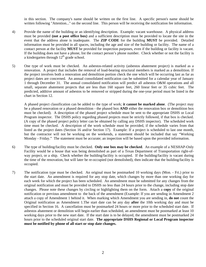in this section. The company's name should be written on the first line. A specific person's name should be written following "Attention..." on the second line. This person will be receiving the notification fee information.

- 4) Provide the name of the building or an identifying description. Example: vacant warehouse. A physical address must be provided **(not a post office box)** and a sufficient description must be provided to locate the site in the event that the address alone is inadequate. The **ZIP CODE** for the building **MUST** be provided. Detailed information must be provided in all spaces, including the age and size of the building or facility. The name of a contact person at the facility **MUST** be provided for inspection purposes, even if the building or facility is vacant. If the building does not have a phone, list the contact person's phone number. Check whether or not the facility is a kindergarten through  $12<sup>th</sup>$  grade school.
- 5) One type of work must be checked. An asbestos-related activity (asbestos abatement project) is marked as a renovation. A project that includes the removal of load-bearing structural members is marked as a demolition. If the project involves both a renovation and demolition portion check the one which will be occurring last as far as project dates are concerned. An annual consolidated notification can be submitted for a calendar year of January 1 through December 31. The annual consolidated notification will predict all asbestos O&M operations and all small, separate abatement projects that are less than 160 square feet, 260 linear feet or 35 cubic feet. The predicted, additive amount of asbestos to be removed or stripped during the one-year period must be listed in the chart in Section 12.

A phased project classification can be added to the type of work; **it cannot be marked alone**. (The project may be a phased renovation or a phased demolition - the phased box **AND** either the renovation box or demolition box must be checked). A description of the phased project schedule must be sent to the appropriate DSHS or Local Program inspector. The DSHS policy regarding phased projects must be strictly followed, if that box is checked. (A copy of the phased project policy letter can be obtained by calling any DSHS inspector). The scheduled work time must be checked. A description of the work schedule must be provided, if the schedule varies from that listed as the project dates (Section 16 and/or Section 17). Example: If a project is scheduled to last one month, but the contractor will not be working on the weekends, a statement should be included that say "Working Monday - Friday." The statement must be accurate; an inspection will be based upon the provided information.

- 6) The type of building/facility must be checked. **Only one box may be checked**. An example of a NESHAP-Only Facility would be a house that was being demolished as part of a Texas Department of Transportation right-ofway project, or a ship. Check whether the building/facility is occupied. If the building/facility is vacant during the time of the renovation, but will later be re-occupied (not demolished), then indicate that the building/facility is occupied.
- 7) The notification type must be checked. An original must be postmarked 10 working days (Mon. Fri.) prior to the start date. An amendment is required for any stop date, which changes by more than one working day for each week for which the project has been scheduled. An amendment must be submitted for any changes from the original notification and must be provided to DSHS no less than 24 hours prior to the change, including stop date changes. Please note these changes by circling or highlighting them on the form. Attach a **copy** of the original notification or previous amendment to the back of the amendment (Example: If you are sending in Amendment 2 attach a copy of Amendment 1 behind it. When marking which Amendment you are sending in, **do not** count the Original notification as Amendment 1.The start date can be any day **after** the 10th working day and must be specified in Section 16. A cancellation must be postmarked 24 hours or more prior to the scheduled start date. If asbestos abatement or demolition will begin earlier than scheduled, an amendment must be postmarked at least 10 working days prior to the new start date. If the start date is to be delayed, the amendment must be postmarked 24 hours prior to the scheduled original start date. **The appropriate DSHS Regional or Local Program inspector must be notified by phone of all start or stop date changes.**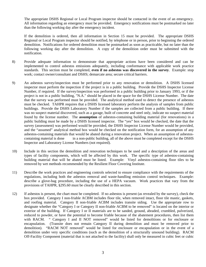The appropriate DSHS Regional or Local Program inspector should be contacted in the event of an emergency. All information regarding an emergency must be provided. Emergency notifications must be postmarked no later than the following working day after the emergency incident.

If the demolition is ordered, then all information in Section 15 must be provided. The appropriate DSHS Regional or Local Program inspector should be notified, by telephone or in person, prior to beginning the ordered demolition. Notifications for ordered demolition must be postmarked as soon as practicable, but no later than the following working day after the demolition. A copy of the demolition order must be submitted with the notification.

- 8) Provide adequate information to demonstrate that appropriate actions have been considered and can be implemented to control asbestos emissions adequately, including conformance with applicable work practice standards. This section must be completed, **even if no asbestos was discovered in the survey**. Example: stop work; contact owner/consultant and DSHS; demarcate area; secure critical barriers.
- 9) An asbestos survey/inspection must be performed prior to any renovation or demolition. A DSHS licensed inspector must perform the inspection if the project is in a public building. Provide the DSHS Inspector License Number, if required. If the survey/inspection was performed in a public building prior to January 1993, or if the project is not in a public building, "N.A." should be placed in the space for the DSHS License Number. The date that the survey was performed must be provided. The analytical method used to detect the presence of asbestos must be checked. TAHPR requires that a DSHS licensed laboratory perform the analysis of samples from public buildings. Provide the DSHS Laboratory Number if the samples are collected from a public building. If there was no suspect material discovered, such as a garage, built of concrete and steel only, indicate no suspect material found by the license number. The **assumption** of asbestos-containing building material (for renovations) in a public building must be made by a DSHS licensed inspector. The "yes" box would be checked, the date that the survey (assessment) was performed would be provided, the DSHS Inspector License Number would be provided, and the "assumed" analytical method box would be checked on the notification form, for an assumption of any asbestos-containing materials that would be abated during a renovation project. When an assumption of asbestoscontaining material is done in a non-public building, all of the above must be completed except for the DSHS Inspector and Laboratory License Numbers (not required).
- 10) Include in this section the demolition and renovation techniques to be used and a description of the areas and types of facility components, which will be affected by this work. The specific type of asbestos-containing building material that will be abated must be listed. Example: Vinyl asbestos-containing floor tiles to be removed by wet methods recommended by the Resilient Floor Covering Institute.
- 11) Describe the work practices and engineering controls selected to ensure compliance with the requirements of the regulations, including both the asbestos removal and waste-handling emission control techniques. Example: describe a glove-bag procedure, including the use of a HEPA vacuum. Work practices that vary from the provisions of TAHPR, §295.60 must be clearly described in this section.
- 12) If asbestos is present, the chart must be completed. If no asbestos is present (as revealed by the survey), check the box provided. Category I non-friable ACBM includes floor tile, when removed intact, floor tile mastic, gaskets, and roofing material. Category II non-friable ACBM includes transite siding. Use the appropriate row to designate whether the "Category I or Category II non-friable ACBM to be removed" is located on the interior or exterior of the building. If Category I or II materials are to be sanded, ground, abraded, crumbled, pulverized, reduced to powder, or have the potential to become friable because of the abatement procedures, then list them with RACM. " Category I and II NOT removed" would be listed for demolitions or for enclosure or encapsulation. (Transite does not remain Category II during demolition and must be removed prior to demolition). "RACM NOT removed" would be listed for enclosure or encapsulation or in the event of a demolition under very specific conditions (such as the demolition of a structurally unsound building). RACM Off-Facility Component (material that is not attached to the facility) shall only be measured in cubic feet or cubic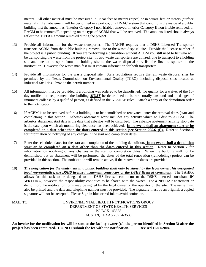meters. All other material must be measured in linear feet or meters (pipes) or in square feet or meters (surface material). If an abatement will be performed in a portico, or a HVAC system that conditions the inside of a public building, list the amount as "Interior Category I non-friable removed, Interior Category II non-friable removed, or RACM to be removed", depending on the type of ACBM that will be removed. The amounts listed should always reflect the **TOTAL** amount removed during the project.

- 13) Provide all information for the waste transporter. The TAHPR requires that a DSHS Licensed Transporter transport ACBM from the public building removal site to the waste disposal site. Provide the license number if the project is a public building. If you are performing a demolition without ACBM you still need to list who will be transporting the waste from the project site. If two waste transporters are utilized, one to transport to a holding site and one to transport from the holding site to the waste disposal site, list the first transporter on the notification. However, the waste manifest must contain information for both transporters.
- 14) Provide all information for the waste disposal site. State regulations require that all waste disposal sites be permitted by the Texas Commission on Environmental Quality (TCEQ), including disposal sites located at industrial facilities. Provide the permit number.
- 15) All information must be provided if a building was ordered to be demolished. To qualify for a waiver of the 10 day notification requirement, the building *MUST* be determined to be structurally unsound and in danger of imminent collapse by a qualified person, as defined in the NESHAP rules. Attach a copy of the demolition order to the notification.
- 16) If ACBM is to be removed before a building is to be demolished or renovated, enter the removal dates (start and completion) in this section. Asbestos abatement work includes any activity which will disturb ACBM. The asbestos abatement start date is the date that asbestos will be disturbed. The asbestos abatement activity stop date is the date upon which air monitoring clearance has been achieved. **In no event shall an abatement start or be completed on a date other than the dates entered in this section (see Section 295.61(f)).** Refer to Section 7 for information on notifying of any change in the start and completion dates.
- 17) Enter the scheduled dates for the start and completion of the building demolition. **In no event shall a demolition start or be completed on a date other than the dates entered in this section**. Refer to Section 7 for information on notifying of any changes in the start or completion dates. When the building will not be demolished, but an abatement will be performed, the dates of the total renovation (remodeling) project can be provided in this section. The notification will remain active, if the renovation dates are provided.
- 18) *The notification for the abatement in a public building shall only be signed by the legal owner, his designated legal representative, the DSHS licensed abatement contractor or the DSHS licensed consultant*. The TAHPR allows for this task to be delegated to the DSHS licensed contractor or the DSHS licensed consultant **IN WRITING**, however, the responsibility continues to be shared with the owner. For a NESHAP abatement or demolition, the notification form may be signed by the legal owner or the operator of the site. The name must also be printed and the date and telephone number must be provided. The signature must be an original, a copied signature will not be accepted. Please Sign in blue or red ink to avoid confusion.

MAIL TO: ENVIRONMENTAL HEALTH NOTIFICATIONS GROUP DEPARTMENT OF STATE HEALTH SERVICES PO BOX 143538 AUSTIN, TEXAS 78714-3538

**An invoice for the notification fee will be sent to the facility owner (c/o the person identified in Section 3) after the project has been completed. DO NOT submit the fee with the notification. Revised 10/01/2004**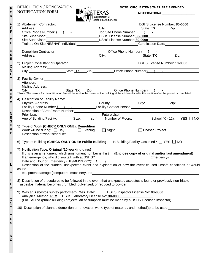# DEMOLITION / RENOVATION  $\overrightarrow{A}^{\star}$  **NOTE: CIRCLE ITEMS THAT ARE AMENDED**<br>NOTIFICATION FORM **NOTIFICATION**#

**F O R** 



| O                                                                                                                                                                                                                                    | 1) Abatement Contractor:                                   | $\blacktriangleright$ $\blacktriangleright$ $\blacktriangleright$ $\blacktriangleright$ state Health Services                                                                                                                        |                                                                                                                                                                                                                               |  |  |  |  |  |
|--------------------------------------------------------------------------------------------------------------------------------------------------------------------------------------------------------------------------------------|------------------------------------------------------------|--------------------------------------------------------------------------------------------------------------------------------------------------------------------------------------------------------------------------------------|-------------------------------------------------------------------------------------------------------------------------------------------------------------------------------------------------------------------------------|--|--|--|--|--|
| F                                                                                                                                                                                                                                    |                                                            |                                                                                                                                                                                                                                      | City: City: City: City: City: City: City: City: City: City: City: City: City: City: City: City: City: City: City: City: City: City: City: City: City: City: City: City: City: City: City: City: City: City: City: City: City: |  |  |  |  |  |
| F                                                                                                                                                                                                                                    |                                                            | Abatement Contractor:<br>Address : City: City: City: State: TX Zip: City: State: TX Zip: City: State: TX Zip: City: City: State: TX Zip:                                                                                             |                                                                                                                                                                                                                               |  |  |  |  |  |
| I                                                                                                                                                                                                                                    |                                                            | Site Supervisor: <u>Netherlandscape DSHS</u> License Number: 80-0000                                                                                                                                                                 |                                                                                                                                                                                                                               |  |  |  |  |  |
| C<br>E                                                                                                                                                                                                                               | Site Supervisor:                                           |                                                                                                                                                                                                                                      |                                                                                                                                                                                                                               |  |  |  |  |  |
|                                                                                                                                                                                                                                      |                                                            | Trained On-Site NESHAP Individual: Contract Contract Contract Contract Contract Contract Contract Contract Contract Contract Contract Contract Contract Contract Contract Contract Contract Contract Contract Contract Contrac       |                                                                                                                                                                                                                               |  |  |  |  |  |
| U                                                                                                                                                                                                                                    |                                                            |                                                                                                                                                                                                                                      |                                                                                                                                                                                                                               |  |  |  |  |  |
|                                                                                                                                                                                                                                      |                                                            | Demolition Contractor:<br><u>City:</u> Contractor: City: City: City: State: TX Zip: Zip:                                                                                                                                             |                                                                                                                                                                                                                               |  |  |  |  |  |
|                                                                                                                                                                                                                                      |                                                            |                                                                                                                                                                                                                                      |                                                                                                                                                                                                                               |  |  |  |  |  |
|                                                                                                                                                                                                                                      |                                                            | 2) Project Consultant or Operator: 10-0000 Number 2010 Number: 10-0000                                                                                                                                                               |                                                                                                                                                                                                                               |  |  |  |  |  |
|                                                                                                                                                                                                                                      |                                                            |                                                                                                                                                                                                                                      |                                                                                                                                                                                                                               |  |  |  |  |  |
|                                                                                                                                                                                                                                      |                                                            |                                                                                                                                                                                                                                      |                                                                                                                                                                                                                               |  |  |  |  |  |
| Y                                                                                                                                                                                                                                    |                                                            |                                                                                                                                                                                                                                      |                                                                                                                                                                                                                               |  |  |  |  |  |
| T                                                                                                                                                                                                                                    | Mailing Address:____________                               | Attention: <u>example and the set of the set of the set of the set of the set of the set of the set of the set of the set of the set of the set of the set of the set of the set of the set of the set of the set of the set of </u> |                                                                                                                                                                                                                               |  |  |  |  |  |
|                                                                                                                                                                                                                                      |                                                            |                                                                                                                                                                                                                                      |                                                                                                                                                                                                                               |  |  |  |  |  |
| City:<br>City: City: State: TX Zip: Office Phone Number ()<br>**Note: The invoice for the notification fee will be sent to the owner of the building at the address listed in this section after the project is completed.<br>A<br>H |                                                            |                                                                                                                                                                                                                                      |                                                                                                                                                                                                                               |  |  |  |  |  |
|                                                                                                                                                                                                                                      |                                                            |                                                                                                                                                                                                                                      |                                                                                                                                                                                                                               |  |  |  |  |  |
|                                                                                                                                                                                                                                      |                                                            |                                                                                                                                                                                                                                      |                                                                                                                                                                                                                               |  |  |  |  |  |
|                                                                                                                                                                                                                                      |                                                            |                                                                                                                                                                                                                                      |                                                                                                                                                                                                                               |  |  |  |  |  |
|                                                                                                                                                                                                                                      | Description of Area/Room Number:                           |                                                                                                                                                                                                                                      |                                                                                                                                                                                                                               |  |  |  |  |  |
|                                                                                                                                                                                                                                      |                                                            |                                                                                                                                                                                                                                      |                                                                                                                                                                                                                               |  |  |  |  |  |
|                                                                                                                                                                                                                                      |                                                            |                                                                                                                                                                                                                                      | Prior Use:<br>Age of Building/Facility: __________Size: _______sq ft ___Number of Floors: __________School (K - 12): □ YES □ NO                                                                                               |  |  |  |  |  |
|                                                                                                                                                                                                                                      |                                                            |                                                                                                                                                                                                                                      |                                                                                                                                                                                                                               |  |  |  |  |  |
|                                                                                                                                                                                                                                      | 5) Type of Work (CHECK ONLY ONE): Demolition               |                                                                                                                                                                                                                                      |                                                                                                                                                                                                                               |  |  |  |  |  |
|                                                                                                                                                                                                                                      |                                                            | Work will be during: $\Box$ Day $\Box$ Evening $\Box$ Night $\Box$ Phased Project                                                                                                                                                    |                                                                                                                                                                                                                               |  |  |  |  |  |
|                                                                                                                                                                                                                                      |                                                            |                                                                                                                                                                                                                                      |                                                                                                                                                                                                                               |  |  |  |  |  |
|                                                                                                                                                                                                                                      | 6) Type of Building (CHECK ONLY ONE): Public Building      |                                                                                                                                                                                                                                      | Is Building/Facility Occupied? □ YES □ NO                                                                                                                                                                                     |  |  |  |  |  |
|                                                                                                                                                                                                                                      |                                                            |                                                                                                                                                                                                                                      |                                                                                                                                                                                                                               |  |  |  |  |  |
|                                                                                                                                                                                                                                      | 7) Notification Type: Original (10 working days)           |                                                                                                                                                                                                                                      |                                                                                                                                                                                                                               |  |  |  |  |  |
| H                                                                                                                                                                                                                                    |                                                            | If this is an amendment, which amendment number is this?__ (Enclose copy of original and/or last amendment)                                                                                                                          |                                                                                                                                                                                                                               |  |  |  |  |  |
|                                                                                                                                                                                                                                      | If an emergency, who did you talk with at DSHS?            |                                                                                                                                                                                                                                      |                                                                                                                                                                                                                               |  |  |  |  |  |
|                                                                                                                                                                                                                                      | Date and Hour of Emergency (HH/MM/DD/YY): / /              |                                                                                                                                                                                                                                      |                                                                                                                                                                                                                               |  |  |  |  |  |
|                                                                                                                                                                                                                                      |                                                            |                                                                                                                                                                                                                                      | Description of the sudden, unexpected event and explanation of how the event caused unsafe conditions or would                                                                                                                |  |  |  |  |  |
|                                                                                                                                                                                                                                      | cause                                                      |                                                                                                                                                                                                                                      |                                                                                                                                                                                                                               |  |  |  |  |  |
|                                                                                                                                                                                                                                      | equipment damage (computers, machinery, etc.               |                                                                                                                                                                                                                                      |                                                                                                                                                                                                                               |  |  |  |  |  |
| $\circ$                                                                                                                                                                                                                              |                                                            | 8) Description of procedures to be followed in the event that unexpected asbestos is found or previously non-friable                                                                                                                 |                                                                                                                                                                                                                               |  |  |  |  |  |
|                                                                                                                                                                                                                                      |                                                            | asbestos material becomes crumbled, pulverized, or reduced to powder:                                                                                                                                                                |                                                                                                                                                                                                                               |  |  |  |  |  |
| A<br>T                                                                                                                                                                                                                               |                                                            |                                                                                                                                                                                                                                      |                                                                                                                                                                                                                               |  |  |  |  |  |
|                                                                                                                                                                                                                                      |                                                            | 9) Was an Asbestos survey performed? Yes Date: DSHS Inspector License No: 00-0000                                                                                                                                                    |                                                                                                                                                                                                                               |  |  |  |  |  |
|                                                                                                                                                                                                                                      | Analytical Method: PLM DSHS Laboratory License No: 30-0000 |                                                                                                                                                                                                                                      |                                                                                                                                                                                                                               |  |  |  |  |  |
|                                                                                                                                                                                                                                      |                                                            | (For TAHPA (public building) projects: an assumption must be made by a DSHS Licensed Inspector)                                                                                                                                      |                                                                                                                                                                                                                               |  |  |  |  |  |
|                                                                                                                                                                                                                                      |                                                            |                                                                                                                                                                                                                                      |                                                                                                                                                                                                                               |  |  |  |  |  |
|                                                                                                                                                                                                                                      |                                                            |                                                                                                                                                                                                                                      | 10) Description of planned demolition or renovation work, type of material, and method(s) to be used:                                                                                                                         |  |  |  |  |  |
|                                                                                                                                                                                                                                      |                                                            |                                                                                                                                                                                                                                      |                                                                                                                                                                                                                               |  |  |  |  |  |
| Y<br>E                                                                                                                                                                                                                               |                                                            |                                                                                                                                                                                                                                      |                                                                                                                                                                                                                               |  |  |  |  |  |
|                                                                                                                                                                                                                                      |                                                            |                                                                                                                                                                                                                                      |                                                                                                                                                                                                                               |  |  |  |  |  |
|                                                                                                                                                                                                                                      |                                                            |                                                                                                                                                                                                                                      |                                                                                                                                                                                                                               |  |  |  |  |  |
|                                                                                                                                                                                                                                      |                                                            |                                                                                                                                                                                                                                      |                                                                                                                                                                                                                               |  |  |  |  |  |
|                                                                                                                                                                                                                                      |                                                            |                                                                                                                                                                                                                                      |                                                                                                                                                                                                                               |  |  |  |  |  |
| N<br>$\Omega$                                                                                                                                                                                                                        |                                                            |                                                                                                                                                                                                                                      |                                                                                                                                                                                                                               |  |  |  |  |  |